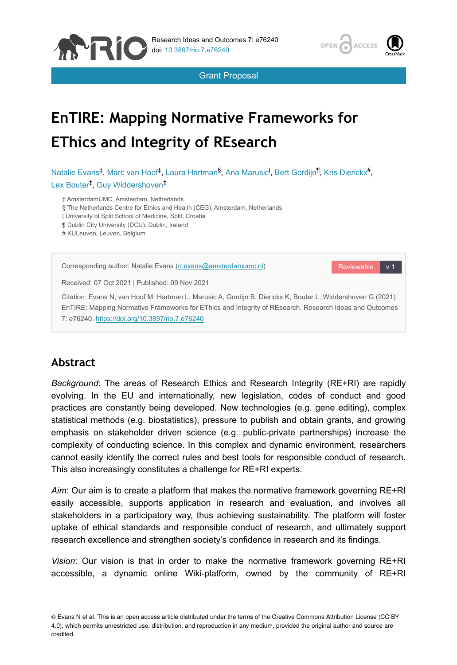

Grant Proposal



# **EnTIRE: Mapping Normative Frameworks for EThics and Integrity of REsearch**

Natalie Evans<sup>‡</sup>, Marc van Hoof<sup>‡</sup>, Laura Hartman<sup>§</sup>, Ana Marusic<sup>I</sup>, Bert Gordijn<sup>¶</sup>, Kris Dierickx<sup>#</sup>, Lex Bouter<sup>‡</sup>, Guy Widdershoven<sup>‡</sup>

‡ AmsterdamUMC, Amsterdam, Netherlands

§ The Netherlands Centre for Ethics and Health (CEG), Amsterdam, Netherlands

| University of Split School of Medicine, Split, Croatia

¶ Dublin City University (DCU), Dublin, Ireland

# KULeuven, Leuven, Belgium



# **Abstract**

*Background*: The areas of Research Ethics and Research Integrity (RE+RI) are rapidly evolving. In the EU and internationally, new legislation, codes of conduct and good practices are constantly being developed. New technologies (e.g. gene editing), complex statistical methods (e.g. biostatistics), pressure to publish and obtain grants, and growing emphasis on stakeholder driven science (e.g. public-private partnerships) increase the complexity of conducting science. In this complex and dynamic environment, researchers cannot easily identify the correct rules and best tools for responsible conduct of research. This also increasingly constitutes a challenge for RE+RI experts.

*Aim*: Our aim is to create a platform that makes the normative framework governing RE+RI easily accessible, supports application in research and evaluation, and involves all stakeholders in a participatory way, thus achieving sustainability. The platform will foster uptake of ethical standards and responsible conduct of research, and ultimately support research excellence and strengthen society's confidence in research and its findings.

*Vision*: Our vision is that in order to make the normative framework governing RE+RI accessible, a dynamic online Wiki-platform, owned by the community of RE+RI

<sup>©</sup> Evans N et al. This is an open access article distributed under the terms of the Creative Commons Attribution License (CC BY 4.0), which permits unrestricted use, distribution, and reproduction in any medium, provided the original author and source are credited.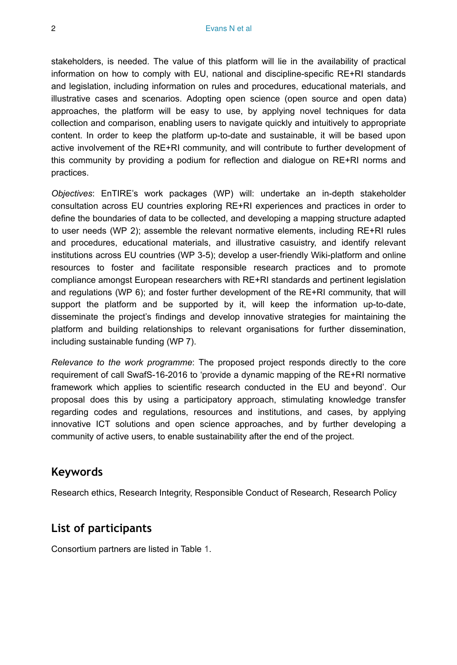stakeholders, is needed. The value of this platform will lie in the availability of practical information on how to comply with EU, national and discipline-specific RE+RI standards and legislation, including information on rules and procedures, educational materials, and illustrative cases and scenarios. Adopting open science (open source and open data) approaches, the platform will be easy to use, by applying novel techniques for data collection and comparison, enabling users to navigate quickly and intuitively to appropriate content. In order to keep the platform up-to-date and sustainable, it will be based upon active involvement of the RE+RI community, and will contribute to further development of this community by providing a podium for reflection and dialogue on RE+RI norms and practices.

*Objectives*: EnTIRE's work packages (WP) will: undertake an in-depth stakeholder consultation across EU countries exploring RE+RI experiences and practices in order to define the boundaries of data to be collected, and developing a mapping structure adapted to user needs (WP 2); assemble the relevant normative elements, including RE+RI rules and procedures, educational materials, and illustrative casuistry, and identify relevant institutions across EU countries (WP 3-5); develop a user-friendly Wiki-platform and online resources to foster and facilitate responsible research practices and to promote compliance amongst European researchers with RE+RI standards and pertinent legislation and regulations (WP 6); and foster further development of the RE+RI community, that will support the platform and be supported by it, will keep the information up-to-date, disseminate the project's findings and develop innovative strategies for maintaining the platform and building relationships to relevant organisations for further dissemination, including sustainable funding (WP 7).

*Relevance to the work programme*: The proposed project responds directly to the core requirement of call SwafS-16-2016 to 'provide a dynamic mapping of the RE+RI normative framework which applies to scientific research conducted in the EU and beyond'. Our proposal does this by using a participatory approach, stimulating knowledge transfer regarding codes and regulations, resources and institutions, and cases, by applying innovative ICT solutions and open science approaches, and by further developing a community of active users, to enable sustainability after the end of the project.

# **Keywords**

Research ethics, Research Integrity, Responsible Conduct of Research, Research Policy

# **List of participants**

Consortium partners are listed in Table [1.](#page-2-0)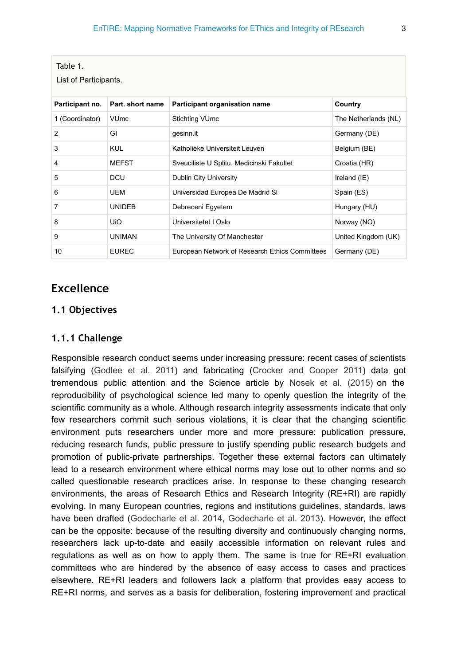<span id="page-2-0"></span>

| Table 1.<br>List of Participants. |                        |                                                |                      |  |  |  |  |  |
|-----------------------------------|------------------------|------------------------------------------------|----------------------|--|--|--|--|--|
| Participant no.                   | Part, short name       | Participant organisation name                  | Country              |  |  |  |  |  |
| 1 (Coordinator)                   | <b>VU<sub>mc</sub></b> | <b>Stichting VUmc</b>                          | The Netherlands (NL) |  |  |  |  |  |
| $\overline{2}$                    | GI                     | gesinn.it                                      | Germany (DE)         |  |  |  |  |  |
| 3                                 | <b>KUL</b>             | Katholieke Universiteit Leuven                 | Belgium (BE)         |  |  |  |  |  |
| 4                                 | <b>MEFST</b>           | Sveuciliste U Splitu, Medicinski Fakultet      | Croatia (HR)         |  |  |  |  |  |
| 5                                 | <b>DCU</b>             | Dublin City University                         | Ireland (IE)         |  |  |  |  |  |
| 6                                 | UEM                    | Universidad Europea De Madrid SI               | Spain (ES)           |  |  |  |  |  |
| $\overline{7}$                    | <b>UNIDEB</b>          | Debreceni Egyetem                              | Hungary (HU)         |  |  |  |  |  |
| 8                                 | <b>UiO</b>             | Universitetet I Oslo                           | Norway (NO)          |  |  |  |  |  |
| 9                                 | <b>UNIMAN</b>          | The University Of Manchester                   | United Kingdom (UK)  |  |  |  |  |  |
| 10                                | <b>EUREC</b>           | European Network of Research Ethics Committees | Germany (DE)         |  |  |  |  |  |

# **Excellence**

### **1.1 Objectives**

# **1.1.1 Challenge**

Responsible research conduct seems under increasing pressure: recent cases of scientists falsifying [\(Godlee et al. 2011\)](#page-67-0) and fabricating [\(Crocker and Cooper 2011\)](#page-67-1) data got tremendous public attention and the Science article by [Nosek et al. \(2015\)](#page-68-0) on the reproducibility of psychological science led many to openly question the integrity of the scientific community as a whole. Although research integrity assessments indicate that only few researchers commit such serious violations, it is clear that the changing scientific environment puts researchers under more and more pressure: publication pressure, reducing research funds, public pressure to justify spending public research budgets and promotion of public-private partnerships. Together these external factors can ultimately lead to a research environment where ethical norms may lose out to other norms and so called questionable research practices arise. In response to these changing research environments, the areas of Research Ethics and Research Integrity (RE+RI) are rapidly evolving. In many European countries, regions and institutions guidelines, standards, laws have been drafted [\(Godecharle et al. 2014](#page-67-2), [Godecharle et al. 2013](#page-67-3)). However, the effect can be the opposite: because of the resulting diversity and continuously changing norms, researchers lack up-to-date and easily accessible information on relevant rules and regulations as well as on how to apply them. The same is true for RE+RI evaluation committees who are hindered by the absence of easy access to cases and practices elsewhere. RE+RI leaders and followers lack a platform that provides easy access to RE+RI norms, and serves as a basis for deliberation, fostering improvement and practical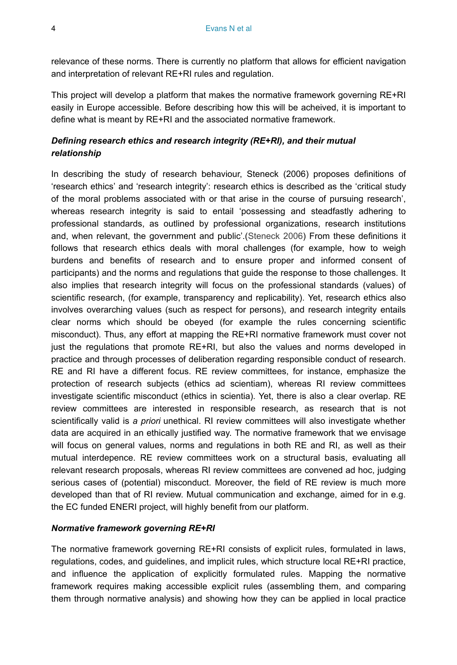relevance of these norms. There is currently no platform that allows for efficient navigation and interpretation of relevant RE+RI rules and regulation.

This project will develop a platform that makes the normative framework governing RE+RI easily in Europe accessible. Before describing how this will be acheived, it is important to define what is meant by RE+RI and the associated normative framework.

# *Defining research ethics and research integrity (RE+RI), and their mutual relationship*

In describing the study of research behaviour, Steneck (2006) proposes definitions of 'research ethics' and 'research integrity': research ethics is described as the 'critical study of the moral problems associated with or that arise in the course of pursuing research', whereas research integrity is said to entail 'possessing and steadfastly adhering to professional standards, as outlined by professional organizations, research institutions and, when relevant, the government and public'.([Steneck 2006\)](#page-68-1) From these definitions it follows that research ethics deals with moral challenges (for example, how to weigh burdens and benefits of research and to ensure proper and informed consent of participants) and the norms and regulations that guide the response to those challenges. It also implies that research integrity will focus on the professional standards (values) of scientific research, (for example, transparency and replicability). Yet, research ethics also involves overarching values (such as respect for persons), and research integrity entails clear norms which should be obeyed (for example the rules concerning scientific misconduct). Thus, any effort at mapping the RE+RI normative framework must cover not just the regulations that promote RE+RI, but also the values and norms developed in practice and through processes of deliberation regarding responsible conduct of research. RE and RI have a different focus. RE review committees, for instance, emphasize the protection of research subjects (ethics ad scientiam), whereas RI review committees investigate scientific misconduct (ethics in scientia). Yet, there is also a clear overlap. RE review committees are interested in responsible research, as research that is not scientifically valid is *a priori* unethical. RI review committees will also investigate whether data are acquired in an ethically justified way. The normative framework that we envisage will focus on general values, norms and regulations in both RE and RI, as well as their mutual interdepence. RE review committees work on a structural basis, evaluating all relevant research proposals, whereas RI review committees are convened ad hoc, judging serious cases of (potential) misconduct. Moreover, the field of RE review is much more developed than that of RI review. Mutual communication and exchange, aimed for in e.g. the EC funded ENERI project, will highly benefit from our platform.

### *Normative framework governing RE+RI*

The normative framework governing RE+RI consists of explicit rules, formulated in laws, regulations, codes, and guidelines, and implicit rules, which structure local RE+RI practice, and influence the application of explicitly formulated rules. Mapping the normative framework requires making accessible explicit rules (assembling them, and comparing them through normative analysis) and showing how they can be applied in local practice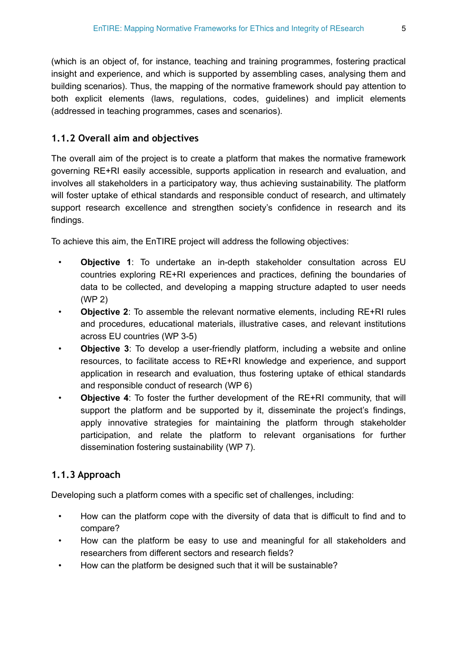(which is an object of, for instance, teaching and training programmes, fostering practical insight and experience, and which is supported by assembling cases, analysing them and building scenarios). Thus, the mapping of the normative framework should pay attention to both explicit elements (laws, regulations, codes, guidelines) and implicit elements (addressed in teaching programmes, cases and scenarios).

# **1.1.2 Overall aim and objectives**

The overall aim of the project is to create a platform that makes the normative framework governing RE+RI easily accessible, supports application in research and evaluation, and involves all stakeholders in a participatory way, thus achieving sustainability. The platform will foster uptake of ethical standards and responsible conduct of research, and ultimately support research excellence and strengthen society's confidence in research and its findings.

To achieve this aim, the EnTIRE project will address the following objectives:

- **Objective 1**: To undertake an in-depth stakeholder consultation across EU countries exploring RE+RI experiences and practices, defining the boundaries of data to be collected, and developing a mapping structure adapted to user needs (WP 2)
- **Objective 2**: To assemble the relevant normative elements, including RE+RI rules and procedures, educational materials, illustrative cases, and relevant institutions across EU countries (WP 3-5)
- **Objective 3:** To develop a user-friendly platform, including a website and online resources, to facilitate access to RE+RI knowledge and experience, and support application in research and evaluation, thus fostering uptake of ethical standards and responsible conduct of research (WP 6)
- **Objective 4**: To foster the further development of the RE+RI community, that will support the platform and be supported by it, disseminate the project's findings, apply innovative strategies for maintaining the platform through stakeholder participation, and relate the platform to relevant organisations for further dissemination fostering sustainability (WP 7).

# **1.1.3 Approach**

Developing such a platform comes with a specific set of challenges, including:

- How can the platform cope with the diversity of data that is difficult to find and to compare?
- How can the platform be easy to use and meaningful for all stakeholders and researchers from different sectors and research fields?
- How can the platform be designed such that it will be sustainable?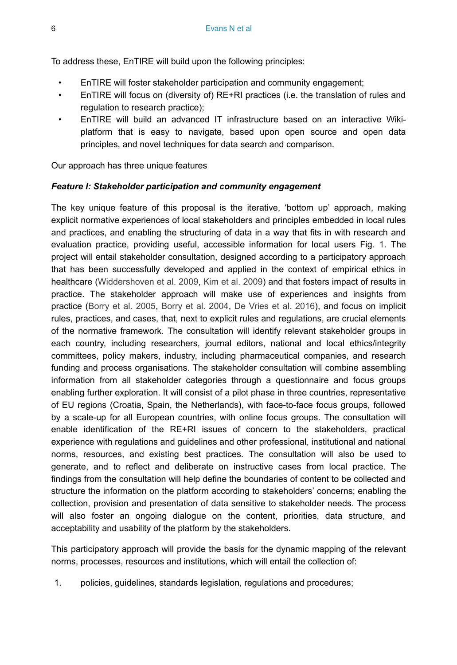To address these, EnTIRE will build upon the following principles:

- EnTIRE will foster stakeholder participation and community engagement;
- EnTIRE will focus on (diversity of) RE+RI practices (i.e. the translation of rules and regulation to research practice);
- EnTIRE will build an advanced IT infrastructure based on an interactive Wikiplatform that is easy to navigate, based upon open source and open data principles, and novel techniques for data search and comparison.

Our approach has three unique features

#### *Feature I: Stakeholder participation and community engagement*

The key unique feature of this proposal is the iterative, 'bottom up' approach, making explicit normative experiences of local stakeholders and principles embedded in local rules and practices, and enabling the structuring of data in a way that fits in with research and evaluation practice, providing useful, accessible information for local users Fig. [1.](#page-6-0) The project will entail stakeholder consultation, designed according to a participatory approach that has been successfully developed and applied in the context of empirical ethics in healthcare [\(Widdershoven et al. 2009,](#page-68-2) [Kim et al. 2009\)](#page-67-4) and that fosters impact of results in practice. The stakeholder approach will make use of experiences and insights from practice [\(Borry et al. 2005](#page-66-0), [Borry et al. 2004,](#page-66-1) [De Vries et al. 2016](#page-67-5)), and focus on implicit rules, practices, and cases, that, next to explicit rules and regulations, are crucial elements of the normative framework. The consultation will identify relevant stakeholder groups in each country, including researchers, journal editors, national and local ethics/integrity committees, policy makers, industry, including pharmaceutical companies, and research funding and process organisations. The stakeholder consultation will combine assembling information from all stakeholder categories through a questionnaire and focus groups enabling further exploration. It will consist of a pilot phase in three countries, representative of EU regions (Croatia, Spain, the Netherlands), with face-to-face focus groups, followed by a scale-up for all European countries, with online focus groups. The consultation will enable identification of the RE+RI issues of concern to the stakeholders, practical experience with regulations and guidelines and other professional, institutional and national norms, resources, and existing best practices. The consultation will also be used to generate, and to reflect and deliberate on instructive cases from local practice. The findings from the consultation will help define the boundaries of content to be collected and structure the information on the platform according to stakeholders' concerns; enabling the collection, provision and presentation of data sensitive to stakeholder needs. The process will also foster an ongoing dialogue on the content, priorities, data structure, and acceptability and usability of the platform by the stakeholders.

This participatory approach will provide the basis for the dynamic mapping of the relevant norms, processes, resources and institutions, which will entail the collection of:

1. policies, guidelines, standards legislation, regulations and procedures;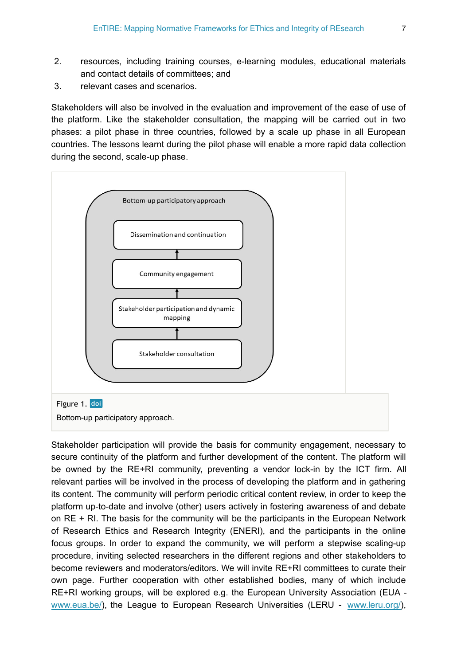- 2. resources, including training courses, e-learning modules, educational materials and contact details of committees; and
- 3. relevant cases and scenarios.

Stakeholders will also be involved in the evaluation and improvement of the ease of use of the platform. Like the stakeholder consultation, the mapping will be carried out in two phases: a pilot phase in three countries, followed by a scale up phase in all European countries. The lessons learnt during the pilot phase will enable a more rapid data collection during the second, scale-up phase.

<span id="page-6-0"></span>

Stakeholder participation will provide the basis for community engagement, necessary to secure continuity of the platform and further development of the content. The platform will be owned by the RE+RI community, preventing a vendor lock-in by the ICT firm. All relevant parties will be involved in the process of developing the platform and in gathering its content. The community will perform periodic critical content review, in order to keep the platform up-to-date and involve (other) users actively in fostering awareness of and debate on RE + RI. The basis for the community will be the participants in the European Network of Research Ethics and Research Integrity (ENERI), and the participants in the online focus groups. In order to expand the community, we will perform a stepwise scaling-up procedure, inviting selected researchers in the different regions and other stakeholders to become reviewers and moderators/editors. We will invite RE+RI committees to curate their own page. Further cooperation with other established bodies, many of which include RE+RI working groups, will be explored e.g. the European University Association (EUA [www.eua.be/\)](http://www.eua.be/), the League to European Research Universities (LERU - [www.leru.org/\)](http://www.leru.org/),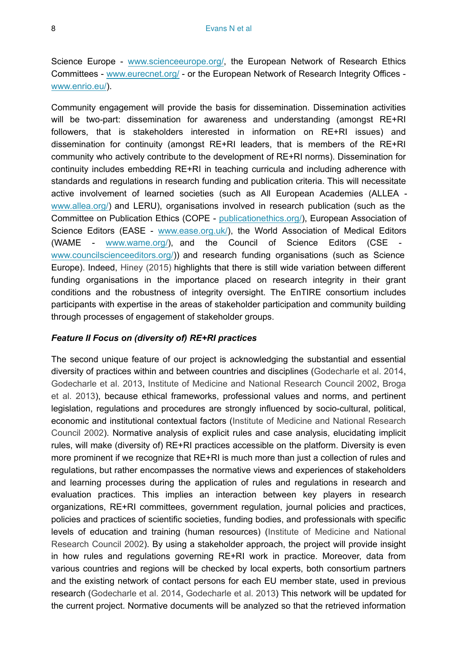Science Europe - [www.scienceeurope.org/,](http://www.scienceeurope.org/) the European Network of Research Ethics Committees - [www.eurecnet.org/](http://www.eurecnet.org/) - or the European Network of Research Integrity Offices [www.enrio.eu/\)](http://www.enrio.eu/).

Community engagement will provide the basis for dissemination. Dissemination activities will be two-part: dissemination for awareness and understanding (amongst RE+RI followers, that is stakeholders interested in information on RE+RI issues) and dissemination for continuity (amongst RE+RI leaders, that is members of the RE+RI community who actively contribute to the development of RE+RI norms). Dissemination for continuity includes embedding RE+RI in teaching curricula and including adherence with standards and regulations in research funding and publication criteria. This will necessitate active involvement of learned societies (such as All European Academies (ALLEA [www.allea.org/\)](http://www.allea.org/) and LERU), organisations involved in research publication (such as the Committee on Publication Ethics (COPE - [publicationethics.org/\)](http://publicationethics.org/), European Association of Science Editors (EASE - [www.ease.org.uk/\)](http://www.ease.org.uk/), the World Association of Medical Editors (WAME - [www.wame.org/\)](http://www.wame.org/), and the Council of Science Editors (CSE [www.councilscienceeditors.org/](http://www.councilscienceeditors.org/))) and research funding organisations (such as Science Europe). Indeed, [Hiney \(2015\)](#page-67-6) highlights that there is still wide variation between different funding organisations in the importance placed on research integrity in their grant conditions and the robustness of integrity oversight. The EnTIRE consortium includes participants with expertise in the areas of stakeholder participation and community building through processes of engagement of stakeholder groups.

#### *Feature II Focus on (diversity of) RE+RI practices*

The second unique feature of our project is acknowledging the substantial and essential diversity of practices within and between countries and disciplines [\(Godecharle et al. 2014,](#page-67-2) [Godecharle et al. 2013,](#page-67-3) [Institute of Medicine and National Research Council 2002,](#page-67-7) [Broga](#page-66-2) [et al. 2013\)](#page-66-2), because ethical frameworks, professional values and norms, and pertinent legislation, regulations and procedures are strongly influenced by socio-cultural, political, economic and institutional contextual factors ([Institute of Medicine and National Research](#page-67-7) [Council 2002](#page-67-7)). Normative analysis of explicit rules and case analysis, elucidating implicit rules, will make (diversity of) RE+RI practices accessible on the platform. Diversity is even more prominent if we recognize that RE+RI is much more than just a collection of rules and regulations, but rather encompasses the normative views and experiences of stakeholders and learning processes during the application of rules and regulations in research and evaluation practices. This implies an interaction between key players in research organizations, RE+RI committees, government regulation, journal policies and practices, policies and practices of scientific societies, funding bodies, and professionals with specific levels of education and training (human resources) [\(Institute of Medicine and National](#page-67-7) [Research Council 2002](#page-67-7)). By using a stakeholder approach, the project will provide insight in how rules and regulations governing RE+RI work in practice. Moreover, data from various countries and regions will be checked by local experts, both consortium partners and the existing network of contact persons for each EU member state, used in previous research [\(Godecharle et al. 2014,](#page-67-2) [Godecharle et al. 2013\)](#page-67-3) This network will be updated for the current project. Normative documents will be analyzed so that the retrieved information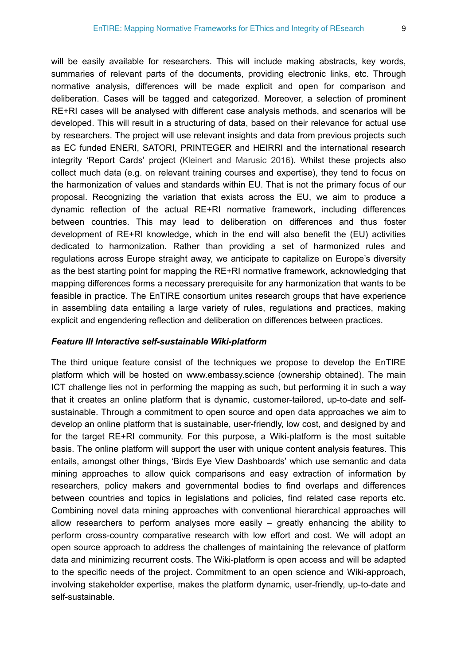will be easily available for researchers. This will include making abstracts, key words, summaries of relevant parts of the documents, providing electronic links, etc. Through normative analysis, differences will be made explicit and open for comparison and deliberation. Cases will be tagged and categorized. Moreover, a selection of prominent RE+RI cases will be analysed with different case analysis methods, and scenarios will be developed. This will result in a structuring of data, based on their relevance for actual use by researchers. The project will use relevant insights and data from previous projects such as EC funded ENERI, SATORI, PRINTEGER and HEIRRI and the international research integrity 'Report Cards' project ([Kleinert and Marusic 2016](#page-67-8)). Whilst these projects also collect much data (e.g. on relevant training courses and expertise), they tend to focus on the harmonization of values and standards within EU. That is not the primary focus of our proposal. Recognizing the variation that exists across the EU, we aim to produce a dynamic reflection of the actual RE+RI normative framework, including differences between countries. This may lead to deliberation on differences and thus foster development of RE+RI knowledge, which in the end will also benefit the (EU) activities dedicated to harmonization. Rather than providing a set of harmonized rules and regulations across Europe straight away, we anticipate to capitalize on Europe's diversity as the best starting point for mapping the RE+RI normative framework, acknowledging that mapping differences forms a necessary prerequisite for any harmonization that wants to be feasible in practice. The EnTIRE consortium unites research groups that have experience in assembling data entailing a large variety of rules, regulations and practices, making explicit and engendering reflection and deliberation on differences between practices.

#### *Feature III Interactive self-sustainable Wiki-platform*

The third unique feature consist of the techniques we propose to develop the EnTIRE platform which will be hosted on www.embassy.science (ownership obtained). The main ICT challenge lies not in performing the mapping as such, but performing it in such a way that it creates an online platform that is dynamic, customer-tailored, up-to-date and selfsustainable. Through a commitment to open source and open data approaches we aim to develop an online platform that is sustainable, user-friendly, low cost, and designed by and for the target RE+RI community. For this purpose, a Wiki-platform is the most suitable basis. The online platform will support the user with unique content analysis features. This entails, amongst other things, 'Birds Eye View Dashboards' which use semantic and data mining approaches to allow quick comparisons and easy extraction of information by researchers, policy makers and governmental bodies to find overlaps and differences between countries and topics in legislations and policies, find related case reports etc. Combining novel data mining approaches with conventional hierarchical approaches will allow researchers to perform analyses more easily – greatly enhancing the ability to perform cross-country comparative research with low effort and cost. We will adopt an open source approach to address the challenges of maintaining the relevance of platform data and minimizing recurrent costs. The Wiki-platform is open access and will be adapted to the specific needs of the project. Commitment to an open science and Wiki-approach, involving stakeholder expertise, makes the platform dynamic, user-friendly, up-to-date and self-sustainable.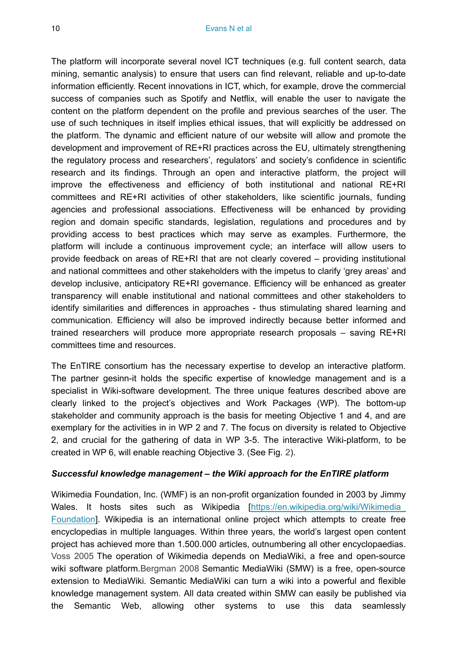The platform will incorporate several novel ICT techniques (e.g. full content search, data mining, semantic analysis) to ensure that users can find relevant, reliable and up-to-date information efficiently. Recent innovations in ICT, which, for example, drove the commercial success of companies such as Spotify and Netflix, will enable the user to navigate the content on the platform dependent on the profile and previous searches of the user. The use of such techniques in itself implies ethical issues, that will explicitly be addressed on the platform. The dynamic and efficient nature of our website will allow and promote the development and improvement of RE+RI practices across the EU, ultimately strengthening the regulatory process and researchers', regulators' and society's confidence in scientific research and its findings. Through an open and interactive platform, the project will improve the effectiveness and efficiency of both institutional and national RE+RI committees and RE+RI activities of other stakeholders, like scientific journals, funding agencies and professional associations. Effectiveness will be enhanced by providing region and domain specific standards, legislation, regulations and procedures and by providing access to best practices which may serve as examples. Furthermore, the platform will include a continuous improvement cycle; an interface will allow users to provide feedback on areas of RE+RI that are not clearly covered – providing institutional and national committees and other stakeholders with the impetus to clarify 'grey areas' and develop inclusive, anticipatory RE+RI governance. Efficiency will be enhanced as greater transparency will enable institutional and national committees and other stakeholders to identify similarities and differences in approaches - thus stimulating shared learning and communication. Efficiency will also be improved indirectly because better informed and trained researchers will produce more appropriate research proposals – saving RE+RI committees time and resources.

The EnTIRE consortium has the necessary expertise to develop an interactive platform. The partner gesinn-it holds the specific expertise of knowledge management and is a specialist in Wiki-software development. The three unique features described above are clearly linked to the project's objectives and Work Packages (WP). The bottom-up stakeholder and community approach is the basis for meeting Objective 1 and 4, and are exemplary for the activities in in WP 2 and 7. The focus on diversity is related to Objective 2, and crucial for the gathering of data in WP 3-5. The interactive Wiki-platform, to be created in WP 6, will enable reaching Objective 3. (See Fig. [2\)](#page-10-0).

#### *Successful knowledge management – the Wiki approach for the EnTIRE platform*

Wikimedia Foundation, Inc. (WMF) is an non-profit organization founded in 2003 by Jimmy Wales. It hosts sites such as Wikipedia [https://en.wikipedia.org/wiki/Wikimedia [Foundation](https://en.wikipedia.org/wiki/Wikimedia_Foundation)]. Wikipedia is an international online project which attempts to create free encyclopedias in multiple languages. Within three years, the world's largest open content project has achieved more than 1.500.000 articles, outnumbering all other encyclopaedias. [Voss 2005](#page-68-3) The operation of Wikimedia depends on MediaWiki, a free and open-source wiki software platform.[Bergman 2008](#page-66-3) Semantic MediaWiki (SMW) is a free, open-source extension to MediaWiki. Semantic MediaWiki can turn a wiki into a powerful and flexible knowledge management system. All data created within SMW can easily be published via the Semantic Web, allowing other systems to use this data seamlessly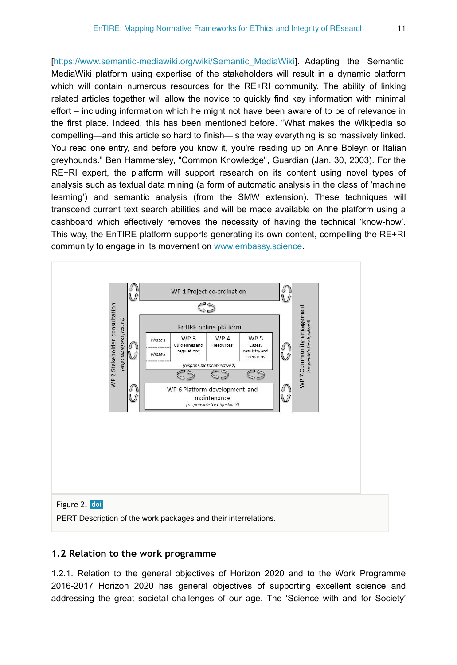[[https://www.semantic-mediawiki.org/wiki/Semantic\\_MediaWiki\]](https://www.semantic-mediawiki.org/wiki/Semantic_MediaWiki). Adapting the Semantic MediaWiki platform using expertise of the stakeholders will result in a dynamic platform which will contain numerous resources for the RE+RI community. The ability of linking related articles together will allow the novice to quickly find key information with minimal effort – including information which he might not have been aware of to be of relevance in the first place. Indeed, this has been mentioned before. "What makes the Wikipedia so compelling—and this article so hard to finish—is the way everything is so massively linked. You read one entry, and before you know it, you're reading up on Anne Boleyn or Italian greyhounds." Ben Hammersley, "Common Knowledge", Guardian (Jan. 30, 2003). For the RE+RI expert, the platform will support research on its content using novel types of analysis such as textual data mining (a form of automatic analysis in the class of 'machine learning') and semantic analysis (from the SMW extension). These techniques will transcend current text search abilities and will be made available on the platform using a dashboard which effectively removes the necessity of having the technical 'know-how'. This way, the EnTIRE platform supports generating its own content, compelling the RE+RI community to engage in its movement on [www.embassy.science.](http://www.embassy.science)

<span id="page-10-0"></span>

#### **1.2 Relation to the work programme**

1.2.1. Relation to the general objectives of Horizon 2020 and to the Work Programme 2016-2017 Horizon 2020 has general objectives of supporting excellent science and addressing the great societal challenges of our age. The 'Science with and for Society'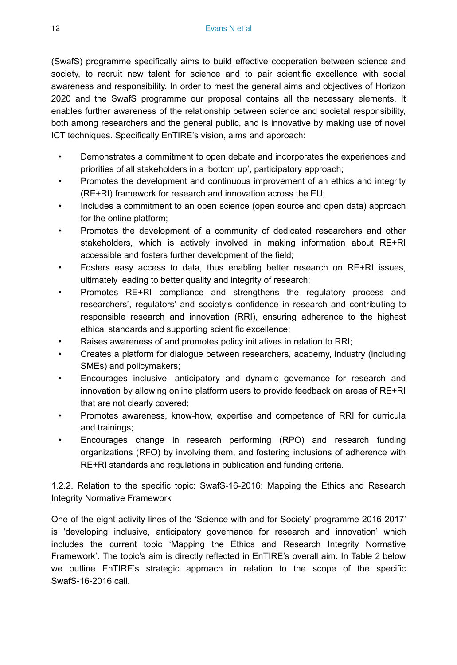(SwafS) programme specifically aims to build effective cooperation between science and society, to recruit new talent for science and to pair scientific excellence with social awareness and responsibility. In order to meet the general aims and objectives of Horizon 2020 and the SwafS programme our proposal contains all the necessary elements. It enables further awareness of the relationship between science and societal responsibility, both among researchers and the general public, and is innovative by making use of novel ICT techniques. Specifically EnTIRE's vision, aims and approach:

- Demonstrates a commitment to open debate and incorporates the experiences and priorities of all stakeholders in a 'bottom up', participatory approach;
- Promotes the development and continuous improvement of an ethics and integrity (RE+RI) framework for research and innovation across the EU;
- Includes a commitment to an open science (open source and open data) approach for the online platform;
- Promotes the development of a community of dedicated researchers and other stakeholders, which is actively involved in making information about RE+RI accessible and fosters further development of the field;
- Fosters easy access to data, thus enabling better research on RE+RI issues, ultimately leading to better quality and integrity of research;
- Promotes RE+RI compliance and strengthens the regulatory process and researchers', regulators' and society's confidence in research and contributing to responsible research and innovation (RRI), ensuring adherence to the highest ethical standards and supporting scientific excellence;
- Raises awareness of and promotes policy initiatives in relation to RRI;
- Creates a platform for dialogue between researchers, academy, industry (including SMEs) and policymakers;
- Encourages inclusive, anticipatory and dynamic governance for research and innovation by allowing online platform users to provide feedback on areas of RE+RI that are not clearly covered;
- Promotes awareness, know-how, expertise and competence of RRI for curricula and trainings;
- Encourages change in research performing (RPO) and research funding organizations (RFO) by involving them, and fostering inclusions of adherence with RE+RI standards and regulations in publication and funding criteria.

1.2.2. Relation to the specific topic: SwafS-16-2016: Mapping the Ethics and Research Integrity Normative Framework

One of the eight activity lines of the 'Science with and for Society' programme 2016-2017' is 'developing inclusive, anticipatory governance for research and innovation' which includes the current topic 'Mapping the Ethics and Research Integrity Normative Framework'. The topic's aim is directly reflected in EnTIRE's overall aim. In Table [2](#page-12-0) below we outline EnTIRE's strategic approach in relation to the scope of the specific SwafS-16-2016 call.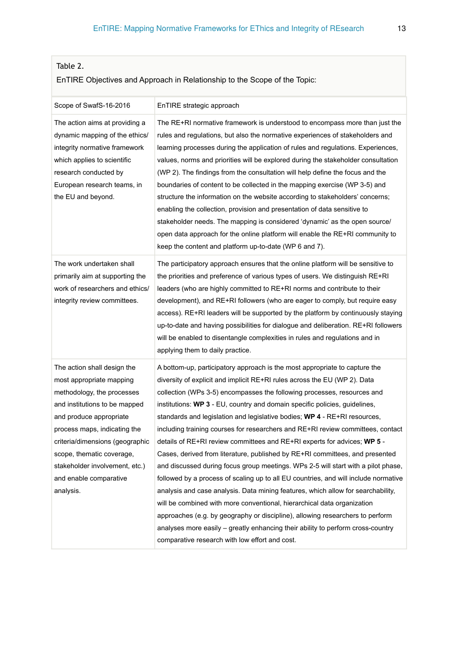# <span id="page-12-0"></span>Table 2.

# EnTIRE Objectives and Approach in Relationship to the Scope of the Topic:

| Scope of SwafS-16-2016                                                                                                                                                                                                                                                                                                     | EnTIRE strategic approach                                                                                                                                                                                                                                                                                                                                                                                                                                                                                                                                                                                                                                                                                                                                                                                                                                                                                                                                                                                                                                                                                                                                                                                         |
|----------------------------------------------------------------------------------------------------------------------------------------------------------------------------------------------------------------------------------------------------------------------------------------------------------------------------|-------------------------------------------------------------------------------------------------------------------------------------------------------------------------------------------------------------------------------------------------------------------------------------------------------------------------------------------------------------------------------------------------------------------------------------------------------------------------------------------------------------------------------------------------------------------------------------------------------------------------------------------------------------------------------------------------------------------------------------------------------------------------------------------------------------------------------------------------------------------------------------------------------------------------------------------------------------------------------------------------------------------------------------------------------------------------------------------------------------------------------------------------------------------------------------------------------------------|
| The action aims at providing a<br>dynamic mapping of the ethics/<br>integrity normative framework<br>which applies to scientific<br>research conducted by<br>European research teams, in<br>the EU and beyond.                                                                                                             | The RE+RI normative framework is understood to encompass more than just the<br>rules and regulations, but also the normative experiences of stakeholders and<br>learning processes during the application of rules and regulations. Experiences,<br>values, norms and priorities will be explored during the stakeholder consultation<br>(WP 2). The findings from the consultation will help define the focus and the<br>boundaries of content to be collected in the mapping exercise (WP 3-5) and<br>structure the information on the website according to stakeholders' concerns;<br>enabling the collection, provision and presentation of data sensitive to<br>stakeholder needs. The mapping is considered 'dynamic' as the open source/<br>open data approach for the online platform will enable the RE+RI community to<br>keep the content and platform up-to-date (WP 6 and 7).                                                                                                                                                                                                                                                                                                                        |
| The work undertaken shall<br>primarily aim at supporting the<br>work of researchers and ethics/<br>integrity review committees.                                                                                                                                                                                            | The participatory approach ensures that the online platform will be sensitive to<br>the priorities and preference of various types of users. We distinguish RE+RI<br>leaders (who are highly committed to RE+RI norms and contribute to their<br>development), and RE+RI followers (who are eager to comply, but require easy<br>access). RE+RI leaders will be supported by the platform by continuously staying<br>up-to-date and having possibilities for dialogue and deliberation. RE+RI followers<br>will be enabled to disentangle complexities in rules and regulations and in<br>applying them to daily practice.                                                                                                                                                                                                                                                                                                                                                                                                                                                                                                                                                                                        |
| The action shall design the<br>most appropriate mapping<br>methodology, the processes<br>and institutions to be mapped<br>and produce appropriate<br>process maps, indicating the<br>criteria/dimensions (geographic<br>scope, thematic coverage,<br>stakeholder involvement, etc.)<br>and enable comparative<br>analysis. | A bottom-up, participatory approach is the most appropriate to capture the<br>diversity of explicit and implicit RE+RI rules across the EU (WP 2). Data<br>collection (WPs 3-5) encompasses the following processes, resources and<br>institutions: WP 3 - EU, country and domain specific policies, guidelines,<br>standards and legislation and legislative bodies; WP 4 - RE+RI resources,<br>including training courses for researchers and RE+RI review committees, contact<br>details of $RE+RI$ review committees and $RE+RI$ experts for advices; WP 5 -<br>Cases, derived from literature, published by RE+RI committees, and presented<br>and discussed during focus group meetings. WPs 2-5 will start with a pilot phase,<br>followed by a process of scaling up to all EU countries, and will include normative<br>analysis and case analysis. Data mining features, which allow for searchability,<br>will be combined with more conventional, hierarchical data organization<br>approaches (e.g. by geography or discipline), allowing researchers to perform<br>analyses more easily – greatly enhancing their ability to perform cross-country<br>comparative research with low effort and cost. |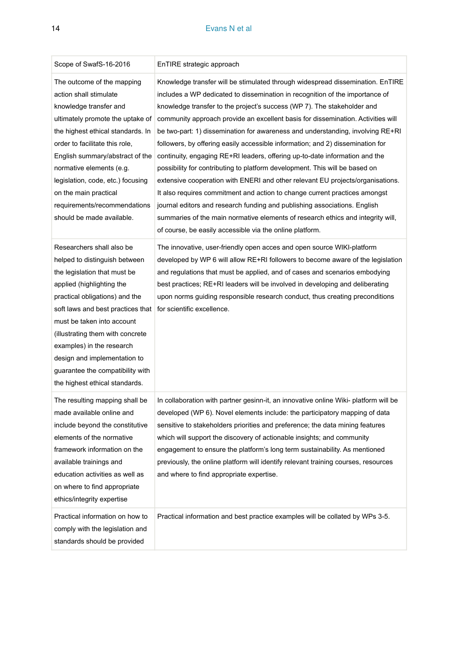#### 14 Evans N et al

| Scope of SwafS-16-2016                                                                                                                                                                                                                                                                                                                                                                              | EnTIRE strategic approach                                                                                                                                                                                                                                                                                                                                                                                                                                                                                                                                                                                                                                                                                                                                                                                                                                                                                                                                                                                                                                   |
|-----------------------------------------------------------------------------------------------------------------------------------------------------------------------------------------------------------------------------------------------------------------------------------------------------------------------------------------------------------------------------------------------------|-------------------------------------------------------------------------------------------------------------------------------------------------------------------------------------------------------------------------------------------------------------------------------------------------------------------------------------------------------------------------------------------------------------------------------------------------------------------------------------------------------------------------------------------------------------------------------------------------------------------------------------------------------------------------------------------------------------------------------------------------------------------------------------------------------------------------------------------------------------------------------------------------------------------------------------------------------------------------------------------------------------------------------------------------------------|
| The outcome of the mapping<br>action shall stimulate<br>knowledge transfer and<br>ultimately promote the uptake of<br>the highest ethical standards. In<br>order to facilitate this role,<br>English summary/abstract of the<br>normative elements (e.g.<br>legislation, code, etc.) focusing<br>on the main practical<br>requirements/recommendations<br>should be made available.                 | Knowledge transfer will be stimulated through widespread dissemination. EnTIRE<br>includes a WP dedicated to dissemination in recognition of the importance of<br>knowledge transfer to the project's success (WP 7). The stakeholder and<br>community approach provide an excellent basis for dissemination. Activities will<br>be two-part: 1) dissemination for awareness and understanding, involving RE+RI<br>followers, by offering easily accessible information; and 2) dissemination for<br>continuity, engaging RE+RI leaders, offering up-to-date information and the<br>possibility for contributing to platform development. This will be based on<br>extensive cooperation with ENERI and other relevant EU projects/organisations.<br>It also requires commitment and action to change current practices amongst<br>journal editors and research funding and publishing associations. English<br>summaries of the main normative elements of research ethics and integrity will,<br>of course, be easily accessible via the online platform. |
| Researchers shall also be<br>helped to distinguish between<br>the legislation that must be<br>applied (highlighting the<br>practical obligations) and the<br>soft laws and best practices that<br>must be taken into account<br>(illustrating them with concrete<br>examples) in the research<br>design and implementation to<br>guarantee the compatibility with<br>the highest ethical standards. | The innovative, user-friendly open acces and open source WIKI-platform<br>developed by WP 6 will allow RE+RI followers to become aware of the legislation<br>and regulations that must be applied, and of cases and scenarios embodying<br>best practices; RE+RI leaders will be involved in developing and deliberating<br>upon norms guiding responsible research conduct, thus creating preconditions<br>for scientific excellence.                                                                                                                                                                                                                                                                                                                                                                                                                                                                                                                                                                                                                      |
| The resulting mapping shall be<br>made available online and<br>include beyond the constitutive<br>elements of the normative<br>framework information on the<br>available trainings and<br>education activities as well as<br>on where to find appropriate<br>ethics/integrity expertise                                                                                                             | In collaboration with partner gesinn-it, an innovative online Wiki- platform will be<br>developed (WP 6). Novel elements include: the participatory mapping of data<br>sensitive to stakeholders priorities and preference; the data mining features<br>which will support the discovery of actionable insights; and community<br>engagement to ensure the platform's long term sustainability. As mentioned<br>previously, the online platform will identify relevant training courses, resources<br>and where to find appropriate expertise.                                                                                                                                                                                                                                                                                                                                                                                                                                                                                                              |
| Practical information on how to<br>comply with the legislation and<br>standards should be provided                                                                                                                                                                                                                                                                                                  | Practical information and best practice examples will be collated by WPs 3-5.                                                                                                                                                                                                                                                                                                                                                                                                                                                                                                                                                                                                                                                                                                                                                                                                                                                                                                                                                                               |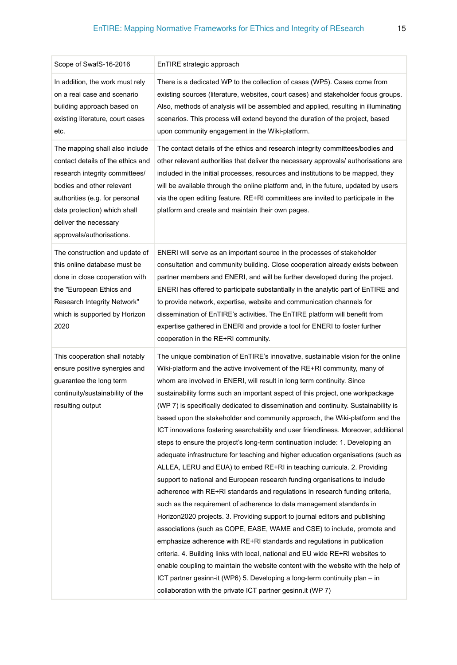| Scope of SwafS-16-2016                                                                                                                                                                                                                                     | EnTIRE strategic approach                                                                                                                                                                                                                                                                                                                                                                                                                                                                                                                                                                                                                                                                                                                                                                                                                                                                                                                                                                                                                                                                                                                                                                                                                                                                                                                                                                                                                                                                                                                                                                                                               |
|------------------------------------------------------------------------------------------------------------------------------------------------------------------------------------------------------------------------------------------------------------|-----------------------------------------------------------------------------------------------------------------------------------------------------------------------------------------------------------------------------------------------------------------------------------------------------------------------------------------------------------------------------------------------------------------------------------------------------------------------------------------------------------------------------------------------------------------------------------------------------------------------------------------------------------------------------------------------------------------------------------------------------------------------------------------------------------------------------------------------------------------------------------------------------------------------------------------------------------------------------------------------------------------------------------------------------------------------------------------------------------------------------------------------------------------------------------------------------------------------------------------------------------------------------------------------------------------------------------------------------------------------------------------------------------------------------------------------------------------------------------------------------------------------------------------------------------------------------------------------------------------------------------------|
| In addition, the work must rely<br>on a real case and scenario<br>building approach based on<br>existing literature, court cases<br>etc.                                                                                                                   | There is a dedicated WP to the collection of cases (WP5). Cases come from<br>existing sources (literature, websites, court cases) and stakeholder focus groups.<br>Also, methods of analysis will be assembled and applied, resulting in illuminating<br>scenarios. This process will extend beyond the duration of the project, based<br>upon community engagement in the Wiki-platform.                                                                                                                                                                                                                                                                                                                                                                                                                                                                                                                                                                                                                                                                                                                                                                                                                                                                                                                                                                                                                                                                                                                                                                                                                                               |
| The mapping shall also include<br>contact details of the ethics and<br>research integrity committees/<br>bodies and other relevant<br>authorities (e.g. for personal<br>data protection) which shall<br>deliver the necessary<br>approvals/authorisations. | The contact details of the ethics and research integrity committees/bodies and<br>other relevant authorities that deliver the necessary approvals/ authorisations are<br>included in the initial processes, resources and institutions to be mapped, they<br>will be available through the online platform and, in the future, updated by users<br>via the open editing feature. RE+RI committees are invited to participate in the<br>platform and create and maintain their own pages.                                                                                                                                                                                                                                                                                                                                                                                                                                                                                                                                                                                                                                                                                                                                                                                                                                                                                                                                                                                                                                                                                                                                                |
| The construction and update of<br>this online database must be<br>done in close cooperation with<br>the "European Ethics and<br>Research Integrity Network"<br>which is supported by Horizon<br>2020                                                       | ENERI will serve as an important source in the processes of stakeholder<br>consultation and community building. Close cooperation already exists between<br>partner members and ENERI, and will be further developed during the project.<br>ENERI has offered to participate substantially in the analytic part of EnTIRE and<br>to provide network, expertise, website and communication channels for<br>dissemination of EnTIRE's activities. The EnTIRE platform will benefit from<br>expertise gathered in ENERI and provide a tool for ENERI to foster further<br>cooperation in the RE+RI community.                                                                                                                                                                                                                                                                                                                                                                                                                                                                                                                                                                                                                                                                                                                                                                                                                                                                                                                                                                                                                              |
| This cooperation shall notably<br>ensure positive synergies and<br>guarantee the long term<br>continuity/sustainability of the<br>resulting output                                                                                                         | The unique combination of EnTIRE's innovative, sustainable vision for the online<br>Wiki-platform and the active involvement of the RE+RI community, many of<br>whom are involved in ENERI, will result in long term continuity. Since<br>sustainability forms such an important aspect of this project, one workpackage<br>(WP 7) is specifically dedicated to dissemination and continuity. Sustainability is<br>based upon the stakeholder and community approach, the Wiki-platform and the<br>ICT innovations fostering searchability and user friendliness. Moreover, additional<br>steps to ensure the project's long-term continuation include: 1. Developing an<br>adequate infrastructure for teaching and higher education organisations (such as<br>ALLEA, LERU and EUA) to embed RE+RI in teaching curricula. 2. Providing<br>support to national and European research funding organisations to include<br>adherence with RE+RI standards and regulations in research funding criteria,<br>such as the requirement of adherence to data management standards in<br>Horizon2020 projects. 3. Providing support to journal editors and publishing<br>associations (such as COPE, EASE, WAME and CSE) to include, promote and<br>emphasize adherence with RE+RI standards and regulations in publication<br>criteria. 4. Building links with local, national and EU wide RE+RI websites to<br>enable coupling to maintain the website content with the website with the help of<br>ICT partner gesinn-it (WP6) 5. Developing a long-term continuity plan – in<br>collaboration with the private ICT partner gesinn.it (WP 7) |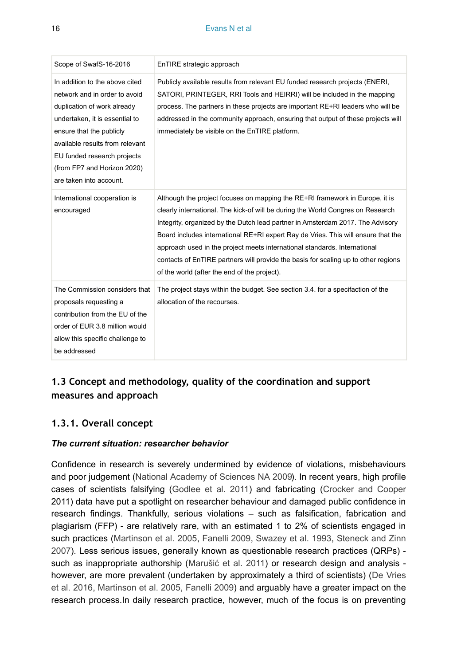| Scope of SwafS-16-2016                                                                                                                                                                                                                                                                   | EnTIRE strategic approach                                                                                                                                                                                                                                                                                                                                                                                                                                                                                                                                 |
|------------------------------------------------------------------------------------------------------------------------------------------------------------------------------------------------------------------------------------------------------------------------------------------|-----------------------------------------------------------------------------------------------------------------------------------------------------------------------------------------------------------------------------------------------------------------------------------------------------------------------------------------------------------------------------------------------------------------------------------------------------------------------------------------------------------------------------------------------------------|
| In addition to the above cited<br>network and in order to avoid<br>duplication of work already<br>undertaken, it is essential to<br>ensure that the publicly<br>available results from relevant<br>EU funded research projects<br>(from FP7 and Horizon 2020)<br>are taken into account. | Publicly available results from relevant EU funded research projects (ENERI,<br>SATORI, PRINTEGER, RRI Tools and HEIRRI) will be included in the mapping<br>process. The partners in these projects are important RE+RI leaders who will be<br>addressed in the community approach, ensuring that output of these projects will<br>immediately be visible on the EnTIRE platform.                                                                                                                                                                         |
| International cooperation is<br>encouraged                                                                                                                                                                                                                                               | Although the project focuses on mapping the RE+RI framework in Europe, it is<br>clearly international. The kick-of will be during the World Congres on Research<br>Integrity, organized by the Dutch lead partner in Amsterdam 2017. The Advisory<br>Board includes international RE+RI expert Ray de Vries. This will ensure that the<br>approach used in the project meets international standards. International<br>contacts of EnTIRE partners will provide the basis for scaling up to other regions<br>of the world (after the end of the project). |
| The Commission considers that<br>proposals requesting a<br>contribution from the EU of the<br>order of EUR 3.8 million would<br>allow this specific challenge to<br>be addressed                                                                                                         | The project stays within the budget. See section 3.4, for a specifaction of the<br>allocation of the recourses.                                                                                                                                                                                                                                                                                                                                                                                                                                           |

# **1.3 Concept and methodology, quality of the coordination and support measures and approach**

# **1.3.1. Overall concept**

### *The current situation: researcher behavior*

Confidence in research is severely undermined by evidence of violations, misbehaviours and poor judgement [\(National Academy of Sciences NA 2009\)](#page-68-4). In recent years, high profile cases of scientists falsifying [\(Godlee et al. 2011\)](#page-67-0) and fabricating [\(Crocker and Cooper](#page-67-1) 2011) data have put a spotlight on researcher behaviour and damaged public confidence in research findings. Thankfully, serious violations – such as falsification, fabrication and plagiarism (FFP) - are relatively rare, with an estimated 1 to 2% of scientists engaged in such practices [\(Martinson et al. 2005,](#page-68-5) [Fanelli 2009](#page-67-9), [Swazey et al. 1993](#page-68-6), [Steneck and Zinn](#page-68-7) [2007](#page-68-7)). Less serious issues, generally known as questionable research practices (QRPs) such as inappropriate authorship (Marušić [et al. 2011](#page-68-8)) or research design and analysis however, are more prevalent (undertaken by approximately a third of scientists) [\(De Vries](#page-67-5) [et al. 2016,](#page-67-5) [Martinson et al. 2005,](#page-68-5) [Fanelli 2009](#page-67-9)) and arguably have a greater impact on the research process.In daily research practice, however, much of the focus is on preventing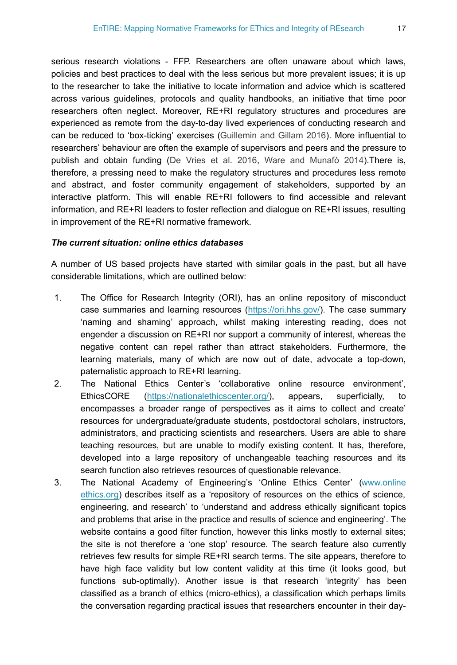serious research violations - FFP. Researchers are often unaware about which laws, policies and best practices to deal with the less serious but more prevalent issues; it is up to the researcher to take the initiative to locate information and advice which is scattered across various guidelines, protocols and quality handbooks, an initiative that time poor researchers often neglect. Moreover, RE+RI regulatory structures and procedures are experienced as remote from the day-to-day lived experiences of conducting research and can be reduced to 'box-ticking' exercises [\(Guillemin and Gillam 2016](#page-67-10)). More influential to researchers' behaviour are often the example of supervisors and peers and the pressure to publish and obtain funding ([De Vries et al. 2016,](#page-67-5) [Ware and Munafò 2014](#page-68-9)).There is, therefore, a pressing need to make the regulatory structures and procedures less remote and abstract, and foster community engagement of stakeholders, supported by an interactive platform. This will enable RE+RI followers to find accessible and relevant information, and RE+RI leaders to foster reflection and dialogue on RE+RI issues, resulting in improvement of the RE+RI normative framework.

#### *The current situation: online ethics databases*

A number of US based projects have started with similar goals in the past, but all have considerable limitations, which are outlined below:

- 1. The Office for Research Integrity (ORI), has an online repository of misconduct case summaries and learning resources (<https://ori.hhs.gov/>). The case summary 'naming and shaming' approach, whilst making interesting reading, does not engender a discussion on RE+RI nor support a community of interest, whereas the negative content can repel rather than attract stakeholders. Furthermore, the learning materials, many of which are now out of date, advocate a top-down, paternalistic approach to RE+RI learning.
- 2. The National Ethics Center's 'collaborative online resource environment', EthicsCORE [\(https://nationalethicscenter.org/\)](https://nationalethicscenter.org/), appears, superficially, to encompasses a broader range of perspectives as it aims to collect and create' resources for undergraduate/graduate students, postdoctoral scholars, instructors, administrators, and practicing scientists and researchers. Users are able to share teaching resources, but are unable to modify existing content. It has, therefore, developed into a large repository of unchangeable teaching resources and its search function also retrieves resources of questionable relevance.
- 3. The National Academy of Engineering's 'Online Ethics Center' [\(www.online](http://www.onlineethics.org) [ethics.org](http://www.onlineethics.org)) describes itself as a 'repository of resources on the ethics of science, engineering, and research' to 'understand and address ethically significant topics and problems that arise in the practice and results of science and engineering'. The website contains a good filter function, however this links mostly to external sites; the site is not therefore a 'one stop' resource. The search feature also currently retrieves few results for simple RE+RI search terms. The site appears, therefore to have high face validity but low content validity at this time (it looks good, but functions sub-optimally). Another issue is that research 'integrity' has been classified as a branch of ethics (micro-ethics), a classification which perhaps limits the conversation regarding practical issues that researchers encounter in their day-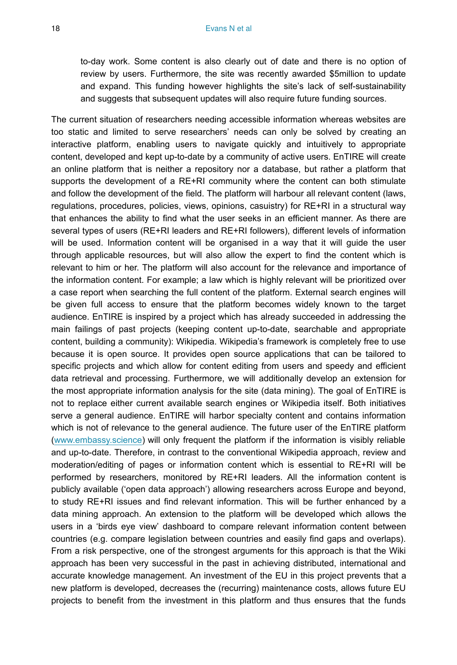to-day work. Some content is also clearly out of date and there is no option of review by users. Furthermore, the site was recently awarded \$5million to update and expand. This funding however highlights the site's lack of self-sustainability and suggests that subsequent updates will also require future funding sources.

The current situation of researchers needing accessible information whereas websites are too static and limited to serve researchers' needs can only be solved by creating an interactive platform, enabling users to navigate quickly and intuitively to appropriate content, developed and kept up-to-date by a community of active users. EnTIRE will create an online platform that is neither a repository nor a database, but rather a platform that supports the development of a RE+RI community where the content can both stimulate and follow the development of the field. The platform will harbour all relevant content (laws, regulations, procedures, policies, views, opinions, casuistry) for RE+RI in a structural way that enhances the ability to find what the user seeks in an efficient manner. As there are several types of users (RE+RI leaders and RE+RI followers), different levels of information will be used. Information content will be organised in a way that it will guide the user through applicable resources, but will also allow the expert to find the content which is relevant to him or her. The platform will also account for the relevance and importance of the information content. For example; a law which is highly relevant will be prioritized over a case report when searching the full content of the platform. External search engines will be given full access to ensure that the platform becomes widely known to the target audience. EnTIRE is inspired by a project which has already succeeded in addressing the main failings of past projects (keeping content up-to-date, searchable and appropriate content, building a community): Wikipedia. Wikipedia's framework is completely free to use because it is open source. It provides open source applications that can be tailored to specific projects and which allow for content editing from users and speedy and efficient data retrieval and processing. Furthermore, we will additionally develop an extension for the most appropriate information analysis for the site (data mining). The goal of EnTIRE is not to replace either current available search engines or Wikipedia itself. Both initiatives serve a general audience. EnTIRE will harbor specialty content and contains information which is not of relevance to the general audience. The future user of the EnTIRE platform [\(www.embassy.science](http://www.embassy.science)) will only frequent the platform if the information is visibly reliable and up-to-date. Therefore, in contrast to the conventional Wikipedia approach, review and moderation/editing of pages or information content which is essential to RE+RI will be performed by researchers, monitored by RE+RI leaders. All the information content is publicly available ('open data approach') allowing researchers across Europe and beyond, to study RE+RI issues and find relevant information. This will be further enhanced by a data mining approach. An extension to the platform will be developed which allows the users in a 'birds eye view' dashboard to compare relevant information content between countries (e.g. compare legislation between countries and easily find gaps and overlaps). From a risk perspective, one of the strongest arguments for this approach is that the Wiki approach has been very successful in the past in achieving distributed, international and accurate knowledge management. An investment of the EU in this project prevents that a new platform is developed, decreases the (recurring) maintenance costs, allows future EU projects to benefit from the investment in this platform and thus ensures that the funds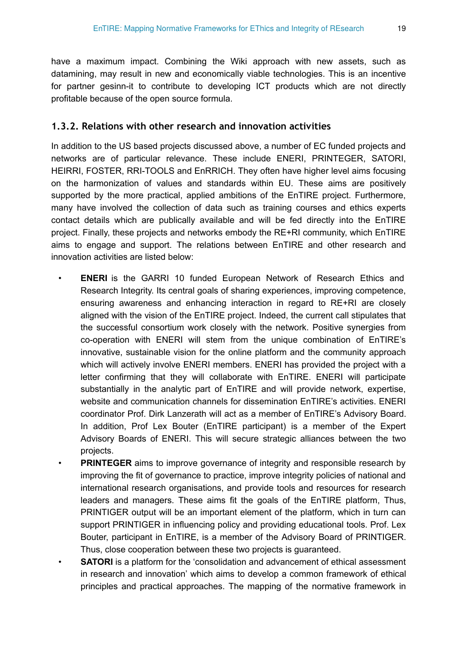have a maximum impact. Combining the Wiki approach with new assets, such as datamining, may result in new and economically viable technologies. This is an incentive for partner gesinn-it to contribute to developing ICT products which are not directly profitable because of the open source formula.

# **1.3.2. Relations with other research and innovation activities**

In addition to the US based projects discussed above, a number of EC funded projects and networks are of particular relevance. These include ENERI, PRINTEGER, SATORI, HEIRRI, FOSTER, RRI-TOOLS and EnRRICH. They often have higher level aims focusing on the harmonization of values and standards within EU. These aims are positively supported by the more practical, applied ambitions of the EnTIRE project. Furthermore, many have involved the collection of data such as training courses and ethics experts contact details which are publically available and will be fed directly into the EnTIRE project. Finally, these projects and networks embody the RE+RI community, which EnTIRE aims to engage and support. The relations between EnTIRE and other research and innovation activities are listed below:

- **ENERI** is the GARRI 10 funded European Network of Research Ethics and Research Integrity. Its central goals of sharing experiences, improving competence, ensuring awareness and enhancing interaction in regard to RE+RI are closely aligned with the vision of the EnTIRE project. Indeed, the current call stipulates that the successful consortium work closely with the network. Positive synergies from co-operation with ENERI will stem from the unique combination of EnTIRE's innovative, sustainable vision for the online platform and the community approach which will actively involve ENERI members. ENERI has provided the project with a letter confirming that they will collaborate with EnTIRE. ENERI will participate substantially in the analytic part of EnTIRE and will provide network, expertise, website and communication channels for dissemination EnTIRE's activities. ENERI coordinator Prof. Dirk Lanzerath will act as a member of EnTIRE's Advisory Board. In addition, Prof Lex Bouter (EnTIRE participant) is a member of the Expert Advisory Boards of ENERI. This will secure strategic alliances between the two projects.
- **PRINTEGER** aims to improve governance of integrity and responsible research by improving the fit of governance to practice, improve integrity policies of national and international research organisations, and provide tools and resources for research leaders and managers. These aims fit the goals of the EnTIRE platform, Thus, PRINTIGER output will be an important element of the platform, which in turn can support PRINTIGER in influencing policy and providing educational tools. Prof. Lex Bouter, participant in EnTIRE, is a member of the Advisory Board of PRINTIGER. Thus, close cooperation between these two projects is guaranteed.
- **SATORI** is a platform for the 'consolidation and advancement of ethical assessment in research and innovation' which aims to develop a common framework of ethical principles and practical approaches. The mapping of the normative framework in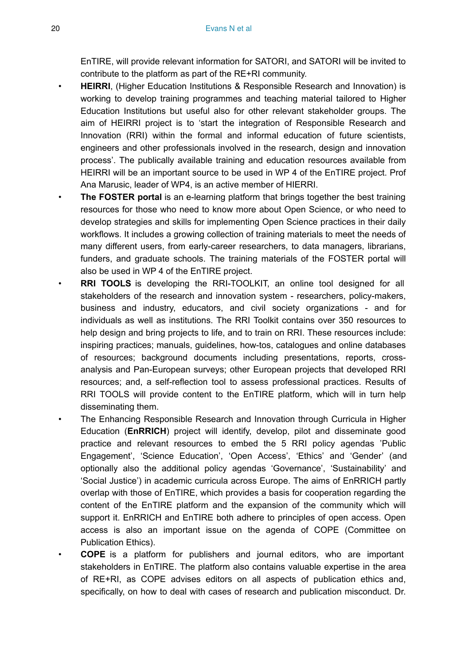EnTIRE, will provide relevant information for SATORI, and SATORI will be invited to contribute to the platform as part of the RE+RI community.

- **HEIRRI**, (Higher Education Institutions & Responsible Research and Innovation) is working to develop training programmes and teaching material tailored to Higher Education Institutions but useful also for other relevant stakeholder groups. The aim of HEIRRI project is to 'start the integration of Responsible Research and Innovation (RRI) within the formal and informal education of future scientists, engineers and other professionals involved in the research, design and innovation process'. The publically available training and education resources available from HEIRRI will be an important source to be used in WP 4 of the EnTIRE project. Prof Ana Marusic, leader of WP4, is an active member of HIERRI.
- **The FOSTER portal** is an e-learning platform that brings together the best training resources for those who need to know more about Open Science, or who need to develop strategies and skills for implementing Open Science practices in their daily workflows. It includes a growing collection of training materials to meet the needs of many different users, from early-career researchers, to data managers, librarians, funders, and graduate schools. The training materials of the FOSTER portal will also be used in WP 4 of the EnTIRE project.
- **RRI TOOLS** is developing the RRI-TOOLKIT, an online tool designed for all stakeholders of the research and innovation system - researchers, policy-makers, business and industry, educators, and civil society organizations - and for individuals as well as institutions. The RRI Toolkit contains over 350 resources to help design and bring projects to life, and to train on RRI. These resources include: inspiring practices; manuals, guidelines, how-tos, catalogues and online databases of resources; background documents including presentations, reports, crossanalysis and Pan-European surveys; other European projects that developed RRI resources; and, a self-reflection tool to assess professional practices. Results of RRI TOOLS will provide content to the EnTIRE platform, which will in turn help disseminating them.
- The Enhancing Responsible Research and Innovation through Curricula in Higher Education (**EnRRICH**) project will identify, develop, pilot and disseminate good practice and relevant resources to embed the 5 RRI policy agendas 'Public Engagement', 'Science Education', 'Open Access', 'Ethics' and 'Gender' (and optionally also the additional policy agendas 'Governance', 'Sustainability' and 'Social Justice') in academic curricula across Europe. The aims of EnRRICH partly overlap with those of EnTIRE, which provides a basis for cooperation regarding the content of the EnTIRE platform and the expansion of the community which will support it. EnRRICH and EnTIRE both adhere to principles of open access. Open access is also an important issue on the agenda of COPE (Committee on Publication Ethics).
- **COPE** is a platform for publishers and journal editors, who are important stakeholders in EnTIRE. The platform also contains valuable expertise in the area of RE+RI, as COPE advises editors on all aspects of publication ethics and, specifically, on how to deal with cases of research and publication misconduct. Dr.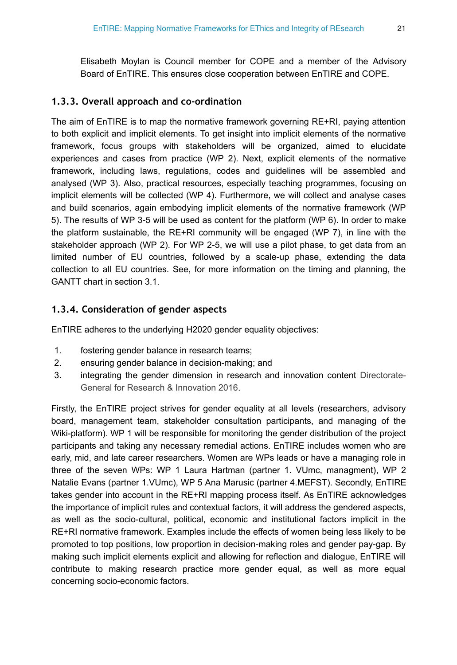Elisabeth Moylan is Council member for COPE and a member of the Advisory Board of EnTIRE. This ensures close cooperation between EnTIRE and COPE.

# **1.3.3. Overall approach and co-ordination**

The aim of EnTIRE is to map the normative framework governing RE+RI, paying attention to both explicit and implicit elements. To get insight into implicit elements of the normative framework, focus groups with stakeholders will be organized, aimed to elucidate experiences and cases from practice (WP 2). Next, explicit elements of the normative framework, including laws, regulations, codes and guidelines will be assembled and analysed (WP 3). Also, practical resources, especially teaching programmes, focusing on implicit elements will be collected (WP 4). Furthermore, we will collect and analyse cases and build scenarios, again embodying implicit elements of the normative framework (WP 5). The results of WP 3-5 will be used as content for the platform (WP 6). In order to make the platform sustainable, the RE+RI community will be engaged (WP 7), in line with the stakeholder approach (WP 2). For WP 2-5, we will use a pilot phase, to get data from an limited number of EU countries, followed by a scale-up phase, extending the data collection to all EU countries. See, for more information on the timing and planning, the GANTT chart in section 3.1.

# **1.3.4. Consideration of gender aspects**

EnTIRE adheres to the underlying H2020 gender equality objectives:

- 1. fostering gender balance in research teams;
- 2. ensuring gender balance in decision-making; and
- 3. integrating the gender dimension in research and innovation content [Directorate-](#page-67-11)[General for Research & Innovation 2016.](#page-67-11)

Firstly, the EnTIRE project strives for gender equality at all levels (researchers, advisory board, management team, stakeholder consultation participants, and managing of the Wiki-platform). WP 1 will be responsible for monitoring the gender distribution of the project participants and taking any necessary remedial actions. EnTIRE includes women who are early, mid, and late career researchers. Women are WPs leads or have a managing role in three of the seven WPs: WP 1 Laura Hartman (partner 1. VUmc, managment), WP 2 Natalie Evans (partner 1.VUmc), WP 5 Ana Marusic (partner 4.MEFST). Secondly, EnTIRE takes gender into account in the RE+RI mapping process itself. As EnTIRE acknowledges the importance of implicit rules and contextual factors, it will address the gendered aspects, as well as the socio-cultural, political, economic and institutional factors implicit in the RE+RI normative framework. Examples include the effects of women being less likely to be promoted to top positions, low proportion in decision-making roles and gender pay-gap. By making such implicit elements explicit and allowing for reflection and dialogue, EnTIRE will contribute to making research practice more gender equal, as well as more equal concerning socio-economic factors.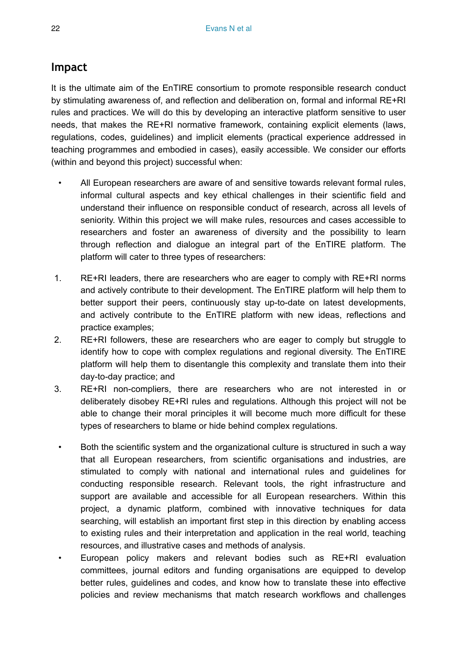# **Impact**

It is the ultimate aim of the EnTIRE consortium to promote responsible research conduct by stimulating awareness of, and reflection and deliberation on, formal and informal RE+RI rules and practices. We will do this by developing an interactive platform sensitive to user needs, that makes the RE+RI normative framework, containing explicit elements (laws, regulations, codes, guidelines) and implicit elements (practical experience addressed in teaching programmes and embodied in cases), easily accessible. We consider our efforts (within and beyond this project) successful when:

- All European researchers are aware of and sensitive towards relevant formal rules, informal cultural aspects and key ethical challenges in their scientific field and understand their influence on responsible conduct of research, across all levels of seniority. Within this project we will make rules, resources and cases accessible to researchers and foster an awareness of diversity and the possibility to learn through reflection and dialogue an integral part of the EnTIRE platform. The platform will cater to three types of researchers:
- 1. RE+RI leaders, there are researchers who are eager to comply with RE+RI norms and actively contribute to their development. The EnTIRE platform will help them to better support their peers, continuously stay up-to-date on latest developments, and actively contribute to the EnTIRE platform with new ideas, reflections and practice examples;
- 2. RE+RI followers, these are researchers who are eager to comply but struggle to identify how to cope with complex regulations and regional diversity. The EnTIRE platform will help them to disentangle this complexity and translate them into their day-to-day practice; and
- 3. RE+RI non-compliers, there are researchers who are not interested in or deliberately disobey RE+RI rules and regulations. Although this project will not be able to change their moral principles it will become much more difficult for these types of researchers to blame or hide behind complex regulations.
- Both the scientific system and the organizational culture is structured in such a way that all European researchers, from scientific organisations and industries, are stimulated to comply with national and international rules and guidelines for conducting responsible research. Relevant tools, the right infrastructure and support are available and accessible for all European researchers. Within this project, a dynamic platform, combined with innovative techniques for data searching, will establish an important first step in this direction by enabling access to existing rules and their interpretation and application in the real world, teaching resources, and illustrative cases and methods of analysis.
- European policy makers and relevant bodies such as RE+RI evaluation committees, journal editors and funding organisations are equipped to develop better rules, guidelines and codes, and know how to translate these into effective policies and review mechanisms that match research workflows and challenges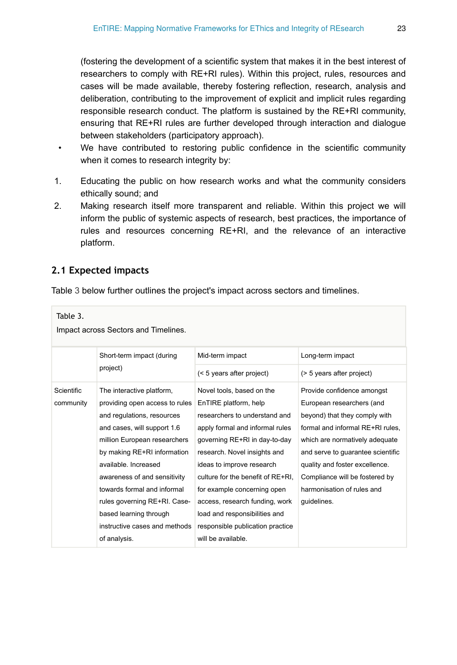(fostering the development of a scientific system that makes it in the best interest of researchers to comply with RE+RI rules). Within this project, rules, resources and cases will be made available, thereby fostering reflection, research, analysis and deliberation, contributing to the improvement of explicit and implicit rules regarding responsible research conduct. The platform is sustained by the RE+RI community, ensuring that RE+RI rules are further developed through interaction and dialogue between stakeholders (participatory approach).

- We have contributed to restoring public confidence in the scientific community when it comes to research integrity by:
- 1. Educating the public on how research works and what the community considers ethically sound; and
- 2. Making research itself more transparent and reliable. Within this project we will inform the public of systemic aspects of research, best practices, the importance of rules and resources concerning RE+RI, and the relevance of an interactive platform.

# **2.1 Expected impacts**

Table [3](#page-22-0) below further outlines the project's impact across sectors and timelines.

<span id="page-22-0"></span>

| Short-term impact (during                                                                                                                                                                                                                                                                                                                                                | Mid-term impact                                                                                                                                                                                                                                                                                                                                                                                 | Long-term impact                                                                                                                                                                                                                                                                                                     |  |  |  |  |
|--------------------------------------------------------------------------------------------------------------------------------------------------------------------------------------------------------------------------------------------------------------------------------------------------------------------------------------------------------------------------|-------------------------------------------------------------------------------------------------------------------------------------------------------------------------------------------------------------------------------------------------------------------------------------------------------------------------------------------------------------------------------------------------|----------------------------------------------------------------------------------------------------------------------------------------------------------------------------------------------------------------------------------------------------------------------------------------------------------------------|--|--|--|--|
| project)                                                                                                                                                                                                                                                                                                                                                                 | (< 5 years after project)                                                                                                                                                                                                                                                                                                                                                                       | (> 5 years after project)                                                                                                                                                                                                                                                                                            |  |  |  |  |
| The interactive platform,<br>providing open access to rules<br>and regulations, resources<br>and cases, will support 1.6<br>million European researchers<br>by making RE+RI information<br>available Increased<br>awareness of and sensitivity<br>towards formal and informal<br>rules governing RE+RI. Case-<br>based learning through<br>instructive cases and methods | Novel tools, based on the<br>EnTIRE platform, help<br>researchers to understand and<br>apply formal and informal rules<br>governing RE+RI in day-to-day<br>research. Novel insights and<br>ideas to improve research<br>culture for the benefit of RE+RI.<br>for example concerning open<br>access, research funding, work<br>load and responsibilities and<br>responsible publication practice | Provide confidence amongst<br>European researchers (and<br>beyond) that they comply with<br>formal and informal RE+RI rules.<br>which are normatively adequate<br>and serve to guarantee scientific<br>quality and foster excellence.<br>Compliance will be fostered by<br>harmonisation of rules and<br>quidelines. |  |  |  |  |
|                                                                                                                                                                                                                                                                                                                                                                          | of analysis.                                                                                                                                                                                                                                                                                                                                                                                    | will be available.                                                                                                                                                                                                                                                                                                   |  |  |  |  |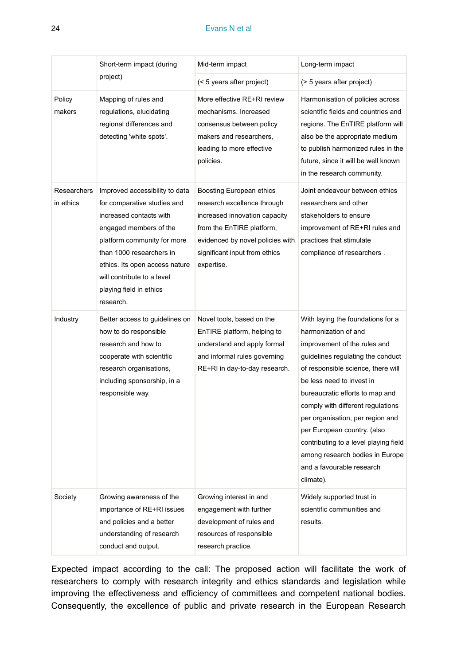### 24 Evans N et al

|                          | Short-term impact (during<br>Mid-term impact                                                                                                                                                                                                                                          |                                                                                                                                                                                                          | Long-term impact                                                                                                                                                                                                                                                                                                                                                                                                                                                   |
|--------------------------|---------------------------------------------------------------------------------------------------------------------------------------------------------------------------------------------------------------------------------------------------------------------------------------|----------------------------------------------------------------------------------------------------------------------------------------------------------------------------------------------------------|--------------------------------------------------------------------------------------------------------------------------------------------------------------------------------------------------------------------------------------------------------------------------------------------------------------------------------------------------------------------------------------------------------------------------------------------------------------------|
|                          | project)                                                                                                                                                                                                                                                                              | (< 5 years after project)                                                                                                                                                                                | (> 5 years after project)                                                                                                                                                                                                                                                                                                                                                                                                                                          |
| Policy<br>makers         | Mapping of rules and<br>regulations, elucidating<br>regional differences and<br>detecting 'white spots'.                                                                                                                                                                              | More effective RE+RI review<br>mechanisms. Increased<br>consensus between policy<br>makers and researchers,<br>leading to more effective<br>policies.                                                    | Harmonisation of policies across<br>scientific fields and countries and<br>regions. The EnTIRE platform will<br>also be the appropriate medium<br>to publish harmonized rules in the<br>future, since it will be well known<br>in the research community.                                                                                                                                                                                                          |
| Researchers<br>in ethics | Improved accessibility to data<br>for comparative studies and<br>increased contacts with<br>engaged members of the<br>platform community for more<br>than 1000 researchers in<br>ethics. Its open access nature<br>will contribute to a level<br>playing field in ethics<br>research. | Boosting European ethics<br>research excellence through<br>increased innovation capacity<br>from the EnTIRE platform,<br>evidenced by novel policies with<br>significant input from ethics<br>expertise. | Joint endeavour between ethics<br>researchers and other<br>stakeholders to ensure<br>improvement of RE+RI rules and<br>practices that stimulate<br>compliance of researchers.                                                                                                                                                                                                                                                                                      |
| Industry                 | Better access to guidelines on<br>how to do responsible<br>research and how to<br>cooperate with scientific<br>research organisations,<br>including sponsorship, in a<br>responsible way.                                                                                             | Novel tools, based on the<br>EnTIRE platform, helping to<br>understand and apply formal<br>and informal rules governing<br>RE+RI in day-to-day research.                                                 | With laying the foundations for a<br>harmonization of and<br>improvement of the rules and<br>guidelines regulating the conduct<br>of responsible science, there will<br>be less need to invest in<br>bureaucratic efforts to map and<br>comply with different regulations<br>per organisation, per region and<br>per European country. (also<br>contributing to a level playing field<br>among research bodies in Europe<br>and a favourable research<br>climate). |
| Society                  | Growing awareness of the<br>importance of RE+RI issues<br>and policies and a better<br>understanding of research<br>conduct and output.                                                                                                                                               | Growing interest in and<br>engagement with further<br>development of rules and<br>resources of responsible<br>research practice.                                                                         | Widely supported trust in<br>scientific communities and<br>results.                                                                                                                                                                                                                                                                                                                                                                                                |

Expected impact according to the call: The proposed action will facilitate the work of researchers to comply with research integrity and ethics standards and legislation while improving the effectiveness and efficiency of committees and competent national bodies. Consequently, the excellence of public and private research in the European Research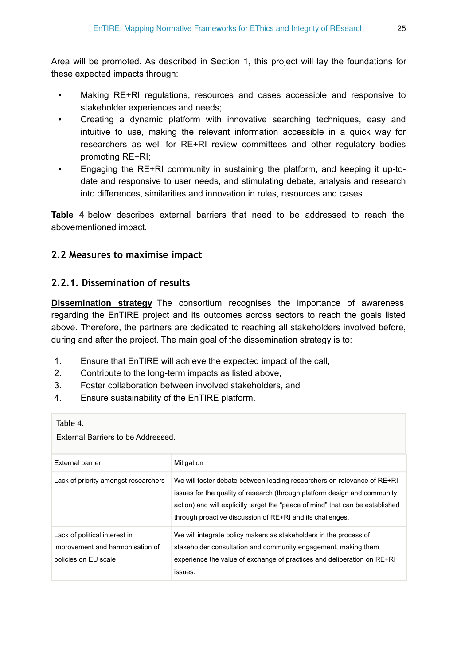Area will be promoted. As described in Section 1, this project will lay the foundations for these expected impacts through:

- Making RE+RI regulations, resources and cases accessible and responsive to stakeholder experiences and needs;
- Creating a dynamic platform with innovative searching techniques, easy and intuitive to use, making the relevant information accessible in a quick way for researchers as well for RE+RI review committees and other regulatory bodies promoting RE+RI;
- Engaging the RE+RI community in sustaining the platform, and keeping it up-todate and responsive to user needs, and stimulating debate, analysis and research into differences, similarities and innovation in rules, resources and cases.

**Table [4](#page-24-0)** below describes external barriers that need to be addressed to reach the abovementioned impact.

# **2.2 Measures to maximise impact**

# **2.2.1. Dissemination of results**

**Dissemination strategy** The consortium recognises the importance of awareness regarding the EnTIRE project and its outcomes across sectors to reach the goals listed above. Therefore, the partners are dedicated to reaching all stakeholders involved before, during and after the project. The main goal of the dissemination strategy is to:

- 1. Ensure that EnTIRE will achieve the expected impact of the call,
- 2. Contribute to the long-term impacts as listed above,
- 3. Foster collaboration between involved stakeholders, and
- 4. Ensure sustainability of the EnTIRE platform.

#### <span id="page-24-0"></span>Table 4.

External Barriers to be Addressed.

| External barrier                                                                          | Mitigation                                                                                                                                                                                                                                                                                          |
|-------------------------------------------------------------------------------------------|-----------------------------------------------------------------------------------------------------------------------------------------------------------------------------------------------------------------------------------------------------------------------------------------------------|
| Lack of priority amongst researchers                                                      | We will foster debate between leading researchers on relevance of RE+RI<br>issues for the quality of research (through platform design and community<br>action) and will explicitly target the "peace of mind" that can be established<br>through proactive discussion of RE+RI and its challenges. |
| Lack of political interest in<br>improvement and harmonisation of<br>policies on EU scale | We will integrate policy makers as stakeholders in the process of<br>stakeholder consultation and community engagement, making them<br>experience the value of exchange of practices and deliberation on RE+RI<br>issues.                                                                           |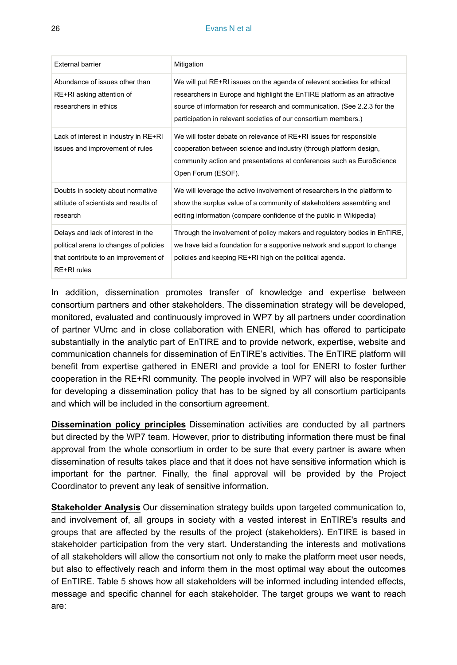#### 26 Evans N et al.

| External barrier                                                                                                                    | Mitigation                                                                                                                                                                                                                                                                                          |
|-------------------------------------------------------------------------------------------------------------------------------------|-----------------------------------------------------------------------------------------------------------------------------------------------------------------------------------------------------------------------------------------------------------------------------------------------------|
| Abundance of issues other than<br>RE+RI asking attention of<br>researchers in ethics                                                | We will put RE+RI issues on the agenda of relevant societies for ethical<br>researchers in Europe and highlight the EnTIRE platform as an attractive<br>source of information for research and communication. (See 2.2.3 for the<br>participation in relevant societies of our consortium members.) |
| Lack of interest in industry in RE+RI<br>issues and improvement of rules                                                            | We will foster debate on relevance of RE+RI issues for responsible<br>cooperation between science and industry (through platform design,<br>community action and presentations at conferences such as EuroScience<br>Open Forum (ESOF).                                                             |
| Doubts in society about normative<br>attitude of scientists and results of<br>research                                              | We will leverage the active involvement of researchers in the platform to<br>show the surplus value of a community of stakeholders assembling and<br>editing information (compare confidence of the public in Wikipedia)                                                                            |
| Delays and lack of interest in the<br>political arena to changes of policies<br>that contribute to an improvement of<br>RE+RI rules | Through the involvement of policy makers and regulatory bodies in EnTIRE,<br>we have laid a foundation for a supportive network and support to change<br>policies and keeping RE+RI high on the political agenda.                                                                                   |

In addition, dissemination promotes transfer of knowledge and expertise between consortium partners and other stakeholders. The dissemination strategy will be developed, monitored, evaluated and continuously improved in WP7 by all partners under coordination of partner VUmc and in close collaboration with ENERI, which has offered to participate substantially in the analytic part of EnTIRE and to provide network, expertise, website and communication channels for dissemination of EnTIRE's activities. The EnTIRE platform will benefit from expertise gathered in ENERI and provide a tool for ENERI to foster further cooperation in the RE+RI community. The people involved in WP7 will also be responsible for developing a dissemination policy that has to be signed by all consortium participants and which will be included in the consortium agreement.

**Dissemination policy principles** Dissemination activities are conducted by all partners but directed by the WP7 team. However, prior to distributing information there must be final approval from the whole consortium in order to be sure that every partner is aware when dissemination of results takes place and that it does not have sensitive information which is important for the partner. Finally, the final approval will be provided by the Project Coordinator to prevent any leak of sensitive information.

**Stakeholder Analysis** Our dissemination strategy builds upon targeted communication to, and involvement of, all groups in society with a vested interest in EnTIRE's results and groups that are affected by the results of the project (stakeholders). EnTIRE is based in stakeholder participation from the very start. Understanding the interests and motivations of all stakeholders will allow the consortium not only to make the platform meet user needs, but also to effectively reach and inform them in the most optimal way about the outcomes of EnTIRE. Table [5](#page-26-0) shows how all stakeholders will be informed including intended effects, message and specific channel for each stakeholder. The target groups we want to reach are: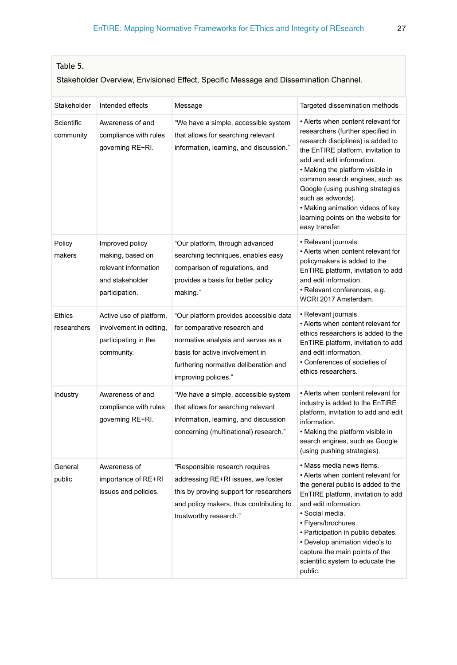### <span id="page-26-0"></span>Table 5.

### Stakeholder Overview, Envisioned Effect, Specific Message and Dissemination Channel.

| Stakeholder             | Intended effects                                                                                 | Message                                                                                                                                                                                                          | Targeted dissemination methods                                                                                                                                                                                                                                                                                                                                                                             |
|-------------------------|--------------------------------------------------------------------------------------------------|------------------------------------------------------------------------------------------------------------------------------------------------------------------------------------------------------------------|------------------------------------------------------------------------------------------------------------------------------------------------------------------------------------------------------------------------------------------------------------------------------------------------------------------------------------------------------------------------------------------------------------|
| Scientific<br>community | Awareness of and<br>compliance with rules<br>governing RE+RI.                                    | "We have a simple, accessible system<br>that allows for searching relevant<br>information, learning, and discussion."                                                                                            | • Alerts when content relevant for<br>researchers (further specified in<br>research disciplines) is added to<br>the EnTIRE platform, invitation to<br>add and edit information.<br>• Making the platform visible in<br>common search engines, such as<br>Google (using pushing strategies<br>such as adwords).<br>• Making animation videos of key<br>learning points on the website for<br>easy transfer. |
| Policy<br>makers        | Improved policy<br>making, based on<br>relevant information<br>and stakeholder<br>participation. | "Our platform, through advanced<br>searching techniques, enables easy<br>comparison of regulations, and<br>provides a basis for better policy<br>making."                                                        | • Relevant journals.<br>• Alerts when content relevant for<br>policymakers is added to the<br>EnTIRE platform, invitation to add<br>and edit information.<br>· Relevant conferences, e.g.<br>WCRI 2017 Amsterdam.                                                                                                                                                                                          |
| Ethics<br>researchers   | Active use of platform,<br>involvement in editing,<br>participating in the<br>community.         | "Our platform provides accessible data<br>for comparative research and<br>normative analysis and serves as a<br>basis for active involvement in<br>furthering normative deliberation and<br>improving policies." | · Relevant journals.<br>• Alerts when content relevant for<br>ethics researchers is added to the<br>EnTIRE platform, invitation to add<br>and edit information.<br>• Conferences of societies of<br>ethics researchers.                                                                                                                                                                                    |
| Industry                | Awareness of and<br>compliance with rules<br>governing RE+RI.                                    | "We have a simple, accessible system<br>that allows for searching relevant<br>information, learning, and discussion<br>concerning (multinational) research."                                                     | • Alerts when content relevant for<br>industry is added to the EnTIRE<br>platform, invitation to add and edit<br>information.<br>• Making the platform visible in<br>search engines, such as Google<br>(using pushing strategies).                                                                                                                                                                         |
| General<br>public       | Awareness of<br>importance of RE+RI<br>issues and policies.                                      | "Responsible research requires<br>addressing RE+RI issues, we foster<br>this by proving support for researchers<br>and policy makers, thus contributing to<br>trustworthy research."                             | • Mass media news items.<br>• Alerts when content relevant for<br>the general public is added to the<br>EnTIRE platform, invitation to add<br>and edit information.<br>· Social media.<br>· Flyers/brochures.<br>• Participation in public debates.<br>• Develop animation video's to<br>capture the main points of the<br>scientific system to educate the<br>public.                                     |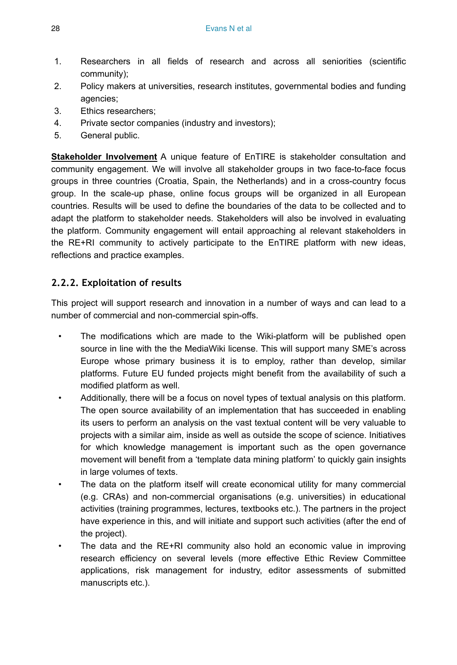- 1. Researchers in all fields of research and across all seniorities (scientific community);
- 2. Policy makers at universities, research institutes, governmental bodies and funding agencies;
- 3. Ethics researchers;
- 4. Private sector companies (industry and investors);
- 5. General public.

**Stakeholder Involvement** A unique feature of EnTIRE is stakeholder consultation and community engagement. We will involve all stakeholder groups in two face-to-face focus groups in three countries (Croatia, Spain, the Netherlands) and in a cross-country focus group. In the scale-up phase, online focus groups will be organized in all European countries. Results will be used to define the boundaries of the data to be collected and to adapt the platform to stakeholder needs. Stakeholders will also be involved in evaluating the platform. Community engagement will entail approaching al relevant stakeholders in the RE+RI community to actively participate to the EnTIRE platform with new ideas, reflections and practice examples.

# **2.2.2. Exploitation of results**

This project will support research and innovation in a number of ways and can lead to a number of commercial and non-commercial spin-offs.

- The modifications which are made to the Wiki-platform will be published open source in line with the the MediaWiki license. This will support many SME's across Europe whose primary business it is to employ, rather than develop, similar platforms. Future EU funded projects might benefit from the availability of such a modified platform as well.
- Additionally, there will be a focus on novel types of textual analysis on this platform. The open source availability of an implementation that has succeeded in enabling its users to perform an analysis on the vast textual content will be very valuable to projects with a similar aim, inside as well as outside the scope of science. Initiatives for which knowledge management is important such as the open governance movement will benefit from a 'template data mining platform' to quickly gain insights in large volumes of texts.
- The data on the platform itself will create economical utility for many commercial (e.g. CRAs) and non-commercial organisations (e.g. universities) in educational activities (training programmes, lectures, textbooks etc.). The partners in the project have experience in this, and will initiate and support such activities (after the end of the project).
- The data and the RE+RI community also hold an economic value in improving research efficiency on several levels (more effective Ethic Review Committee applications, risk management for industry, editor assessments of submitted manuscripts etc.).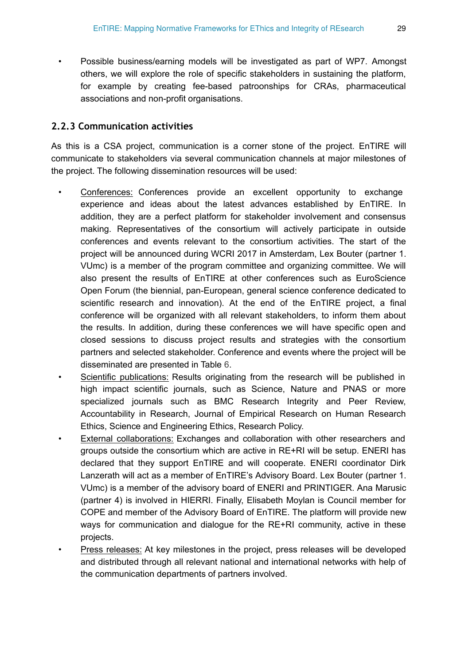• Possible business/earning models will be investigated as part of WP7. Amongst others, we will explore the role of specific stakeholders in sustaining the platform, for example by creating fee-based patroonships for CRAs, pharmaceutical associations and non-profit organisations.

# **2.2.3 Communication activities**

As this is a CSA project, communication is a corner stone of the project. EnTIRE will communicate to stakeholders via several communication channels at major milestones of the project. The following dissemination resources will be used:

- Conferences: Conferences provide an excellent opportunity to exchange experience and ideas about the latest advances established by EnTIRE. In addition, they are a perfect platform for stakeholder involvement and consensus making. Representatives of the consortium will actively participate in outside conferences and events relevant to the consortium activities. The start of the project will be announced during WCRI 2017 in Amsterdam, Lex Bouter (partner 1. VUmc) is a member of the program committee and organizing committee. We will also present the results of EnTIRE at other conferences such as EuroScience Open Forum (the biennial, pan-European, general science conference dedicated to scientific research and innovation). At the end of the EnTIRE project, a final conference will be organized with all relevant stakeholders, to inform them about the results. In addition, during these conferences we will have specific open and closed sessions to discuss project results and strategies with the consortium partners and selected stakeholder. Conference and events where the project will be disseminated are presented in Table [6](#page-29-0).
- Scientific publications: Results originating from the research will be published in high impact scientific journals, such as Science, Nature and PNAS or more specialized journals such as BMC Research Integrity and Peer Review, Accountability in Research, Journal of Empirical Research on Human Research Ethics, Science and Engineering Ethics, Research Policy.
- External collaborations: Exchanges and collaboration with other researchers and groups outside the consortium which are active in RE+RI will be setup. ENERI has declared that they support EnTIRE and will cooperate. ENERI coordinator Dirk Lanzerath will act as a member of EnTIRE's Advisory Board. Lex Bouter (partner 1. VUmc) is a member of the advisory board of ENERI and PRINTIGER. Ana Marusic (partner 4) is involved in HIERRI. Finally, Elisabeth Moylan is Council member for COPE and member of the Advisory Board of EnTIRE. The platform will provide new ways for communication and dialogue for the RE+RI community, active in these projects.
- Press releases: At key milestones in the project, press releases will be developed and distributed through all relevant national and international networks with help of the communication departments of partners involved.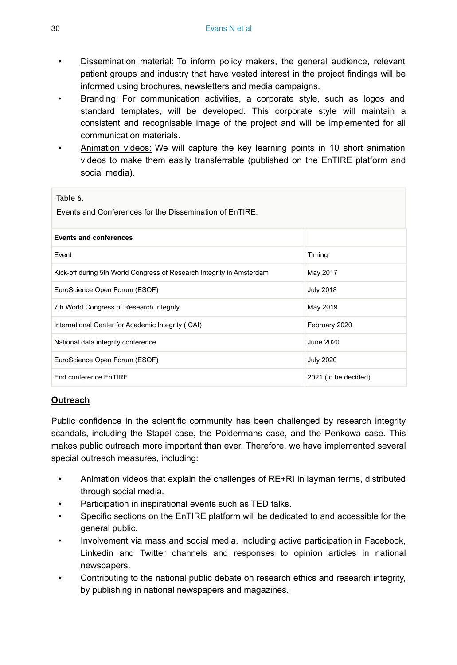- Dissemination material: To inform policy makers, the general audience, relevant patient groups and industry that have vested interest in the project findings will be informed using brochures, newsletters and media campaigns.
- Branding: For communication activities, a corporate style, such as logos and standard templates, will be developed. This corporate style will maintain a consistent and recognisable image of the project and will be implemented for all communication materials.
- Animation videos: We will capture the key learning points in 10 short animation videos to make them easily transferrable (published on the EnTIRE platform and social media).

<span id="page-29-0"></span>

| Table 6.<br>Events and Conferences for the Dissemination of EnTIRE.   |                      |  |  |  |  |  |  |  |
|-----------------------------------------------------------------------|----------------------|--|--|--|--|--|--|--|
| <b>Events and conferences</b>                                         |                      |  |  |  |  |  |  |  |
| Event                                                                 | Timing               |  |  |  |  |  |  |  |
| Kick-off during 5th World Congress of Research Integrity in Amsterdam | May 2017             |  |  |  |  |  |  |  |
| EuroScience Open Forum (ESOF)                                         | <b>July 2018</b>     |  |  |  |  |  |  |  |
| 7th World Congress of Research Integrity                              | May 2019             |  |  |  |  |  |  |  |
| International Center for Academic Integrity (ICAI)                    | February 2020        |  |  |  |  |  |  |  |
| National data integrity conference                                    | June 2020            |  |  |  |  |  |  |  |
| EuroScience Open Forum (ESOF)                                         | <b>July 2020</b>     |  |  |  |  |  |  |  |
| End conference EnTIRE                                                 | 2021 (to be decided) |  |  |  |  |  |  |  |

# **Outreach**

Public confidence in the scientific community has been challenged by research integrity scandals, including the Stapel case, the Poldermans case, and the Penkowa case. This makes public outreach more important than ever. Therefore, we have implemented several special outreach measures, including:

- Animation videos that explain the challenges of RE+RI in layman terms, distributed through social media.
- Participation in inspirational events such as TED talks.
- Specific sections on the EnTIRE platform will be dedicated to and accessible for the general public.
- Involvement via mass and social media, including active participation in Facebook, Linkedin and Twitter channels and responses to opinion articles in national newspapers.
- Contributing to the national public debate on research ethics and research integrity, by publishing in national newspapers and magazines.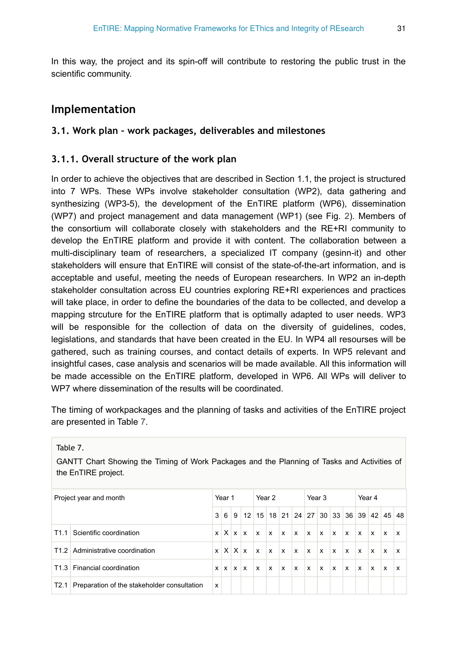In this way, the project and its spin-off will contribute to restoring the public trust in the scientific community.

# **Implementation**

### **3.1. Work plan – work packages, deliverables and milestones**

### **3.1.1. Overall structure of the work plan**

In order to achieve the objectives that are described in Section 1.1, the project is structured into 7 WPs. These WPs involve stakeholder consultation (WP2), data gathering and synthesizing (WP3-5), the development of the EnTIRE platform (WP6), dissemination (WP7) and project management and data management (WP1) (see Fig. [2](#page-10-0)). Members of the consortium will collaborate closely with stakeholders and the RE+RI community to develop the EnTIRE platform and provide it with content. The collaboration between a multi-disciplinary team of researchers, a specialized IT company (gesinn-it) and other stakeholders will ensure that EnTIRE will consist of the state-of-the-art information, and is acceptable and useful, meeting the needs of European researchers. In WP2 an in-depth stakeholder consultation across EU countries exploring RE+RI experiences and practices will take place, in order to define the boundaries of the data to be collected, and develop a mapping strcuture for the EnTIRE platform that is optimally adapted to user needs. WP3 will be responsible for the collection of data on the diversity of guidelines, codes, legislations, and standards that have been created in the EU. In WP4 all resourses will be gathered, such as training courses, and contact details of experts. In WP5 relevant and insightful cases, case analysis and scenarios will be made available. All this information will be made accessible on the EnTIRE platform, developed in WP6. All WPs will deliver to WP7 where dissemination of the results will be coordinated.

The timing of workpackages and the planning of tasks and activities of the EnTIRE project are presented in Table [7.](#page-30-0)

<span id="page-30-0"></span>Table 7.

GANTT Chart Showing the Timing of Work Packages and the Planning of Tasks and Activities of the EnTIRE project.

| Project year and month |                                                  | Year 1 |  |  | Year 2                   |              |              |              | Year 3                                                                                                                      |              |                           |              | Year 4       |              |              |              |                                              |
|------------------------|--------------------------------------------------|--------|--|--|--------------------------|--------------|--------------|--------------|-----------------------------------------------------------------------------------------------------------------------------|--------------|---------------------------|--------------|--------------|--------------|--------------|--------------|----------------------------------------------|
|                        |                                                  |        |  |  |                          |              |              |              |                                                                                                                             |              |                           |              |              |              |              |              | 3 6 9 12 15 18 21 24 27 30 33 36 39 42 45 48 |
|                        | T1.1 Scientific coordination                     |        |  |  |                          |              |              |              | $x$ $\vert$ $X$ $\vert$ $x$ $\vert$ $x$ $\vert$ $x$ $\vert$ $x$ $\vert$ $x$ $\vert$ $x$ $\vert$ $x$ $\vert$ $x$ $\vert$ $x$ |              |                           |              |              |              | $x \times$   |              | x                                            |
|                        | T1.2 Administrative coordination                 |        |  |  | $x$ $X$ $X$ $x$ $x$      |              | $\mathbf{x}$ | $\mathbf{x}$ | $\mathbf{x}$                                                                                                                | $\mathbf{x}$ | $\mathbb{I}_{\mathbf{X}}$ | $\mathbf{x}$ | $\mathbf{x}$ | $\mathbf{x}$ | $\mathbf{x}$ | $\mathbf{x}$ | $\mathbf{x}$                                 |
|                        | T1.3 Financial coordination                      |        |  |  | $x \mid x \mid x \mid x$ | $\mathbf{x}$ | $\mathbf{x}$ | $\mathbf{x}$ | $\mathbf{x}$                                                                                                                | $\mathbf{x}$ | $\mathsf{x}$              | $\mathbf{x}$ | $\mathbf{x}$ | x            | x            | $\mathbf{x}$ | $\mathsf{x}$                                 |
|                        | T2.1 Preparation of the stakeholder consultation | x      |  |  |                          |              |              |              |                                                                                                                             |              |                           |              |              |              |              |              |                                              |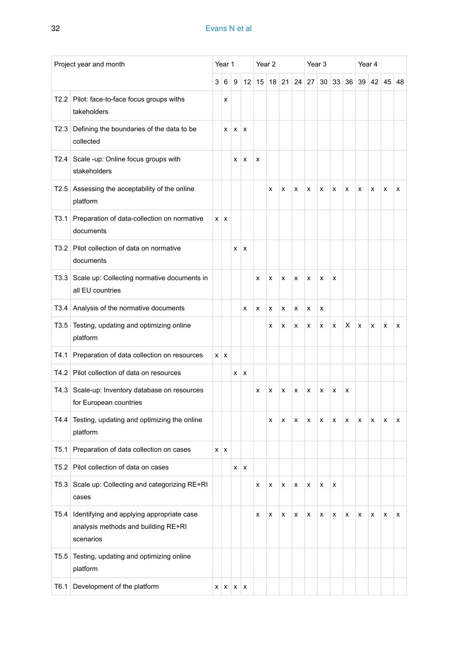|      | Project year and month                                                                        |   | Year 1          |              |              |    | Year 2 |       |    | Year 3 |    |    | Year 4 |    |   |              |    |
|------|-----------------------------------------------------------------------------------------------|---|-----------------|--------------|--------------|----|--------|-------|----|--------|----|----|--------|----|---|--------------|----|
|      |                                                                                               | 3 | 6               | 9            | 12           | 15 |        | 18 21 | 24 | 27     | 30 | 33 | 36     | 39 |   | $42 \mid 45$ | 48 |
| T2.2 | Pilot: face-to-face focus groups withs<br>takeholders                                         |   | x               |              |              |    |        |       |    |        |    |    |        |    |   |              |    |
| T2.3 | Defining the boundaries of the data to be<br>collected                                        |   | x               | $\mathsf{x}$ | X            |    |        |       |    |        |    |    |        |    |   |              |    |
| T2.4 | Scale -up: Online focus groups with<br>stakeholders                                           |   |                 | x            | $\pmb{\chi}$ | x  |        |       |    |        |    |    |        |    |   |              |    |
| T2.5 | Assessing the acceptability of the online<br>platform                                         |   |                 |              |              |    | х      | х     | x  | х      | х  | x  | х      | x  | x | x            | x  |
| T3.1 | Preparation of data-collection on normative<br>documents                                      |   | $x \mid x$      |              |              |    |        |       |    |        |    |    |        |    |   |              |    |
|      | T3.2 Pilot collection of data on normative<br>documents                                       |   |                 | x            | X            |    |        |       |    |        |    |    |        |    |   |              |    |
| T3.3 | Scale up: Collecting normative documents in<br>all EU countries                               |   |                 |              |              | x  | x      | х     | x  | x      | х  | x  |        |    |   |              |    |
| T3.4 | Analysis of the normative documents                                                           |   |                 |              | x            | x  | x      | x     | x  | x      | x  |    |        |    |   |              |    |
| T3.5 | Testing, updating and optimizing online<br>platform                                           |   |                 |              |              |    | x      | x     | x  | х      | х  | x  | х      | x  | x | х            | х  |
| T4.1 | Preparation of data collection on resources                                                   |   | $x \mid x$      |              |              |    |        |       |    |        |    |    |        |    |   |              |    |
| T4.2 | Pilot collection of data on resources                                                         |   |                 | x            | x            |    |        |       |    |        |    |    |        |    |   |              |    |
| T4.3 | Scale-up: Inventory database on resources<br>for European countries                           |   |                 |              |              | x  | x      | x     | x  | x      | x  | x  | x      |    |   |              |    |
| T4.4 | Testing, updating and optimizing the online<br>platform                                       |   |                 |              |              |    | x      | x     | x  | x      | x  | x  | x      | x  | x | x            | x  |
| T5.1 | Preparation of data collection on cases                                                       |   | $x \mid x$      |              |              |    |        |       |    |        |    |    |        |    |   |              |    |
| T5.2 | Pilot collection of data on cases                                                             |   |                 | x            | x            |    |        |       |    |        |    |    |        |    |   |              |    |
| T5.3 | Scale up: Collecting and categorizing RE+RI<br>cases                                          |   |                 |              |              | x  | х      | х     | х  | х      | х  | х  |        |    |   |              |    |
| T5.4 | Identifying and applying appropriate case<br>analysis methods and building RE+RI<br>scenarios |   |                 |              |              | x  | x      | х     | x  | x      | x  | x  | x      | x  | x | x            | x  |
| T5.5 | Testing, updating and optimizing online<br>platform                                           |   |                 |              |              |    |        |       |    |        |    |    |        |    |   |              |    |
| T6.1 | Development of the platform                                                                   |   | $X$ $X$ $X$ $X$ |              |              |    |        |       |    |        |    |    |        |    |   |              |    |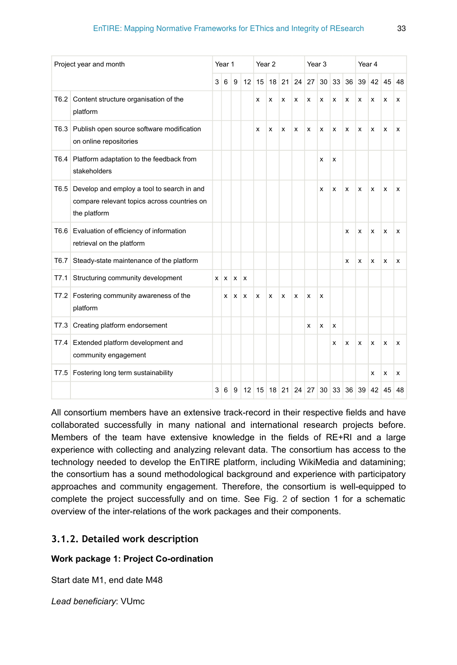|                  | Project year and month                                                                                    |   | Year 1     |   |    | Year <sub>2</sub> |   |         | Year <sub>3</sub> |       |    |    | Year 4       |    |    |    |    |
|------------------|-----------------------------------------------------------------------------------------------------------|---|------------|---|----|-------------------|---|---------|-------------------|-------|----|----|--------------|----|----|----|----|
|                  |                                                                                                           | 3 | 6          | 9 | 12 | 15                |   | $18$ 21 | 24                | 27    | 30 | 33 | 36           | 39 | 42 | 45 | 48 |
| T <sub>6.2</sub> | Content structure organisation of the<br>platform                                                         |   |            |   |    | x                 | x | x       | x                 | x     | x  | x  | x            | x  | x  | x  | x  |
| T6.3             | Publish open source software modification<br>on online repositories                                       |   |            |   |    | x                 | x | x       | x                 | x     | x  | x  | x            | x  | x  | x  | x  |
| T6.4             | Platform adaptation to the feedback from<br>stakeholders                                                  |   |            |   |    |                   |   |         |                   |       | x  | x  |              |    |    |    |    |
| T6.5             | Develop and employ a tool to search in and<br>compare relevant topics across countries on<br>the platform |   |            |   |    |                   |   |         |                   |       | x  | x  | x            | x  | x  | x  | x  |
| T6.6             | Evaluation of efficiency of information<br>retrieval on the platform                                      |   |            |   |    |                   |   |         |                   |       |    |    | x            | x  | x  | x  | x  |
| T6.7             | Steady-state maintenance of the platform                                                                  |   |            |   |    |                   |   |         |                   |       |    |    | x            | x  | X  | x  | x  |
| T7.1             | Structuring community development                                                                         |   | $x \mid x$ | x | x  |                   |   |         |                   |       |    |    |              |    |    |    |    |
| T7.2             | Fostering community awareness of the<br>platform                                                          |   | x          | x | x  | x                 | х | x       | x                 | x     | x  |    |              |    |    |    |    |
| T7.3             | Creating platform endorsement                                                                             |   |            |   |    |                   |   |         |                   | x     | x  | x  |              |    |    |    |    |
|                  | T7.4 Extended platform development and<br>community engagement                                            |   |            |   |    |                   |   |         |                   |       |    | x  | x            | x  | X  | x  | x  |
| T7.5             | Fostering long term sustainability                                                                        |   |            |   |    |                   |   |         |                   |       |    |    |              |    | x  | x  | x  |
|                  |                                                                                                           | 3 | 6          | 9 | 12 | 15                |   | 18 21   |                   | 24 27 | 30 |    | $33 \mid 36$ | 39 | 42 | 45 | 48 |

All consortium members have an extensive track-record in their respective fields and have collaborated successfully in many national and international research projects before. Members of the team have extensive knowledge in the fields of RE+RI and a large experience with collecting and analyzing relevant data. The consortium has access to the technology needed to develop the EnTIRE platform, including WikiMedia and datamining; the consortium has a sound methodological background and experience with participatory approaches and community engagement. Therefore, the consortium is well-equipped to complete the project successfully and on time. See Fig. [2](#page-10-0) of section 1 for a schematic overview of the inter-relations of the work packages and their components.

# **3.1.2. Detailed work description**

### **Work package 1: Project Co-ordination**

Start date M1, end date M48

*Lead beneficiary*: VUmc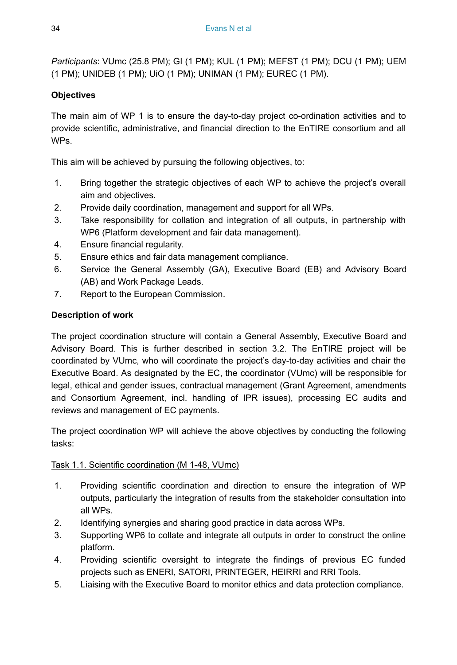*Participants*: VUmc (25.8 PM); GI (1 PM); KUL (1 PM); MEFST (1 PM); DCU (1 PM); UEM (1 PM); UNIDEB (1 PM); UiO (1 PM); UNIMAN (1 PM); EUREC (1 PM).

# **Objectives**

The main aim of WP 1 is to ensure the day-to-day project co-ordination activities and to provide scientific, administrative, and financial direction to the EnTIRE consortium and all WPs.

This aim will be achieved by pursuing the following objectives, to:

- 1. Bring together the strategic objectives of each WP to achieve the project's overall aim and objectives.
- 2. Provide daily coordination, management and support for all WPs.
- 3. Take responsibility for collation and integration of all outputs, in partnership with WP6 (Platform development and fair data management).
- 4. Ensure financial regularity.
- 5. Ensure ethics and fair data management compliance.
- 6. Service the General Assembly (GA), Executive Board (EB) and Advisory Board (AB) and Work Package Leads.
- 7. Report to the European Commission.

# **Description of work**

The project coordination structure will contain a General Assembly, Executive Board and Advisory Board. This is further described in section 3.2. The EnTIRE project will be coordinated by VUmc, who will coordinate the project's day-to-day activities and chair the Executive Board. As designated by the EC, the coordinator (VUmc) will be responsible for legal, ethical and gender issues, contractual management (Grant Agreement, amendments and Consortium Agreement, incl. handling of IPR issues), processing EC audits and reviews and management of EC payments.

The project coordination WP will achieve the above objectives by conducting the following tasks:

# Task 1.1. Scientific coordination (M 1-48, VUmc)

- 1. Providing scientific coordination and direction to ensure the integration of WP outputs, particularly the integration of results from the stakeholder consultation into all WPs.
- 2. Identifying synergies and sharing good practice in data across WPs.
- 3. Supporting WP6 to collate and integrate all outputs in order to construct the online platform.
- 4. Providing scientific oversight to integrate the findings of previous EC funded projects such as ENERI, SATORI, PRINTEGER, HEIRRI and RRI Tools.
- 5. Liaising with the Executive Board to monitor ethics and data protection compliance.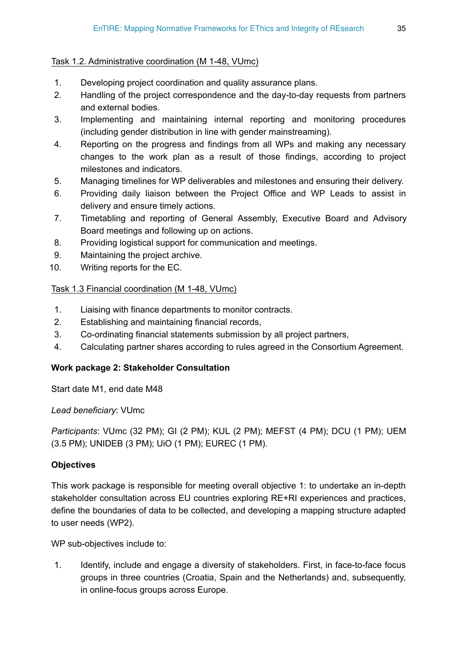### Task 1.2. Administrative coordination (M 1-48, VUmc)

- 1. Developing project coordination and quality assurance plans.
- 2. Handling of the project correspondence and the day-to-day requests from partners and external bodies.
- 3. Implementing and maintaining internal reporting and monitoring procedures (including gender distribution in line with gender mainstreaming).
- 4. Reporting on the progress and findings from all WPs and making any necessary changes to the work plan as a result of those findings, according to project milestones and indicators.
- 5. Managing timelines for WP deliverables and milestones and ensuring their delivery.
- 6. Providing daily liaison between the Project Office and WP Leads to assist in delivery and ensure timely actions.
- 7. Timetabling and reporting of General Assembly, Executive Board and Advisory Board meetings and following up on actions.
- 8. Providing logistical support for communication and meetings.
- 9. Maintaining the project archive.
- 10. Writing reports for the EC.

### Task 1.3 Financial coordination (M 1-48, VUmc)

- 1. Liaising with finance departments to monitor contracts.
- 2. Establishing and maintaining financial records,
- 3. Co-ordinating financial statements submission by all project partners,
- 4. Calculating partner shares according to rules agreed in the Consortium Agreement.

#### **Work package 2: Stakeholder Consultation**

Start date M1, end date M48

*Lead beneficiary*: VUmc

*Participants*: VUmc (32 PM); GI (2 PM); KUL (2 PM); MEFST (4 PM); DCU (1 PM); UEM (3.5 PM); UNIDEB (3 PM); UiO (1 PM); EUREC (1 PM).

### **Objectives**

This work package is responsible for meeting overall objective 1: to undertake an in-depth stakeholder consultation across EU countries exploring RE+RI experiences and practices, define the boundaries of data to be collected, and developing a mapping structure adapted to user needs (WP2).

WP sub-objectives include to:

1. Identify, include and engage a diversity of stakeholders. First, in face-to-face focus groups in three countries (Croatia, Spain and the Netherlands) and, subsequently, in online-focus groups across Europe.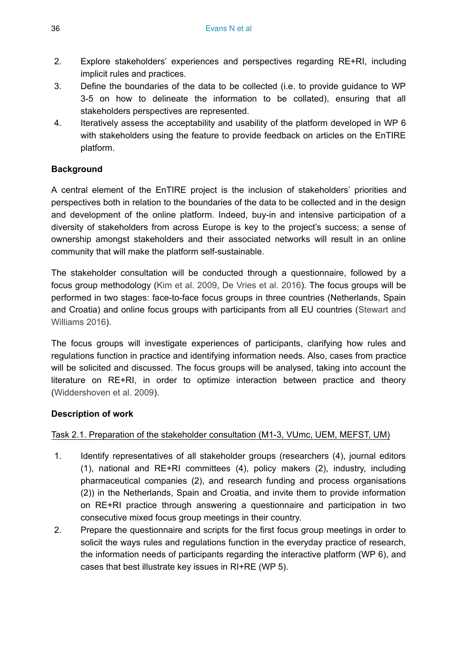- 2. Explore stakeholders' experiences and perspectives regarding RE+RI, including implicit rules and practices.
- 3. Define the boundaries of the data to be collected (i.e. to provide guidance to WP 3-5 on how to delineate the information to be collated), ensuring that all stakeholders perspectives are represented.
- 4. Iteratively assess the acceptability and usability of the platform developed in WP 6 with stakeholders using the feature to provide feedback on articles on the EnTIRE platform.

# **Background**

A central element of the EnTIRE project is the inclusion of stakeholders' priorities and perspectives both in relation to the boundaries of the data to be collected and in the design and development of the online platform. Indeed, buy-in and intensive participation of a diversity of stakeholders from across Europe is key to the project's success; a sense of ownership amongst stakeholders and their associated networks will result in an online community that will make the platform self-sustainable.

The stakeholder consultation will be conducted through a questionnaire, followed by a focus group methodology [\(Kim et al. 2009,](#page-67-4) [De Vries et al. 2016](#page-67-5)). The focus groups will be performed in two stages: face-to-face focus groups in three countries (Netherlands, Spain and Croatia) and online focus groups with participants from all EU countries ([Stewart and](#page-68-10) [Williams 2016](#page-68-10)).

The focus groups will investigate experiences of participants, clarifying how rules and regulations function in practice and identifying information needs. Also, cases from practice will be solicited and discussed. The focus groups will be analysed, taking into account the literature on RE+RI, in order to optimize interaction between practice and theory [\(Widdershoven et al. 2009\)](#page-68-2).

### **Description of work**

### Task 2.1. Preparation of the stakeholder consultation (M1-3, VUmc, UEM, MEFST, UM)

- 1. Identify representatives of all stakeholder groups (researchers (4), journal editors (1), national and RE+RI committees (4), policy makers (2), industry, including pharmaceutical companies (2), and research funding and process organisations (2)) in the Netherlands, Spain and Croatia, and invite them to provide information on RE+RI practice through answering a questionnaire and participation in two consecutive mixed focus group meetings in their country.
- 2. Prepare the questionnaire and scripts for the first focus group meetings in order to solicit the ways rules and regulations function in the everyday practice of research, the information needs of participants regarding the interactive platform (WP 6), and cases that best illustrate key issues in RI+RE (WP 5).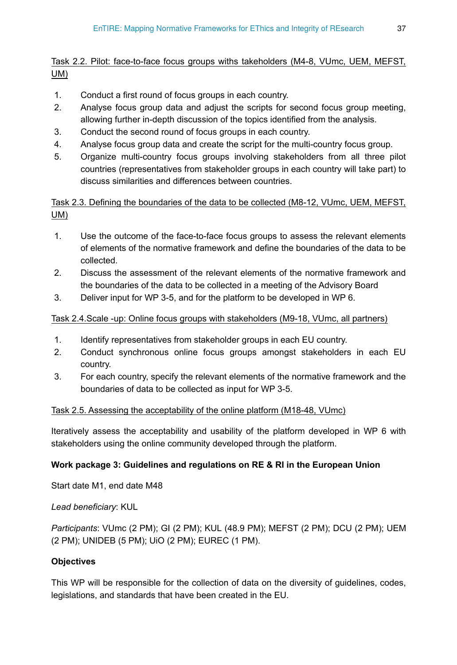# Task 2.2. Pilot: face-to-face focus groups withs takeholders (M4-8, VUmc, UEM, MEFST, UM)

- 1. Conduct a first round of focus groups in each country.
- 2. Analyse focus group data and adjust the scripts for second focus group meeting, allowing further in-depth discussion of the topics identified from the analysis.
- 3. Conduct the second round of focus groups in each country.
- 4. Analyse focus group data and create the script for the multi-country focus group.
- 5. Organize multi-country focus groups involving stakeholders from all three pilot countries (representatives from stakeholder groups in each country will take part) to discuss similarities and differences between countries.

Task 2.3. Defining the boundaries of the data to be collected (M8-12, VUmc, UEM, MEFST, UM)

- 1. Use the outcome of the face-to-face focus groups to assess the relevant elements of elements of the normative framework and define the boundaries of the data to be collected.
- 2. Discuss the assessment of the relevant elements of the normative framework and the boundaries of the data to be collected in a meeting of the Advisory Board
- 3. Deliver input for WP 3-5, and for the platform to be developed in WP 6.

# Task 2.4.Scale -up: Online focus groups with stakeholders (M9-18, VUmc, all partners)

- 1. Identify representatives from stakeholder groups in each EU country.
- 2. Conduct synchronous online focus groups amongst stakeholders in each EU country.
- 3. For each country, specify the relevant elements of the normative framework and the boundaries of data to be collected as input for WP 3-5.

### Task 2.5. Assessing the acceptability of the online platform (M18-48, VUmc)

Iteratively assess the acceptability and usability of the platform developed in WP 6 with stakeholders using the online community developed through the platform.

# **Work package 3: Guidelines and regulations on RE & RI in the European Union**

Start date M1, end date M48

*Lead beneficiary*: KUL

*Participants*: VUmc (2 PM); GI (2 PM); KUL (48.9 PM); MEFST (2 PM); DCU (2 PM); UEM (2 PM); UNIDEB (5 PM); UiO (2 PM); EUREC (1 PM).

# **Objectives**

This WP will be responsible for the collection of data on the diversity of guidelines, codes, legislations, and standards that have been created in the EU.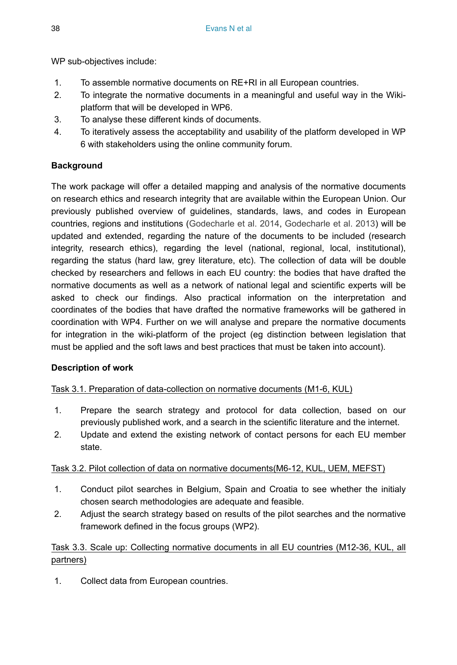WP sub-objectives include:

- 1. To assemble normative documents on RE+RI in all European countries.
- 2. To integrate the normative documents in a meaningful and useful way in the Wikiplatform that will be developed in WP6.
- 3. To analyse these different kinds of documents.
- 4. To iteratively assess the acceptability and usability of the platform developed in WP 6 with stakeholders using the online community forum.

# **Background**

The work package will offer a detailed mapping and analysis of the normative documents on research ethics and research integrity that are available within the European Union. Our previously published overview of guidelines, standards, laws, and codes in European countries, regions and institutions [\(Godecharle et al. 2014,](#page-67-2) [Godecharle et al. 2013\)](#page-67-3) will be updated and extended, regarding the nature of the documents to be included (research integrity, research ethics), regarding the level (national, regional, local, institutional), regarding the status (hard law, grey literature, etc). The collection of data will be double checked by researchers and fellows in each EU country: the bodies that have drafted the normative documents as well as a network of national legal and scientific experts will be asked to check our findings. Also practical information on the interpretation and coordinates of the bodies that have drafted the normative frameworks will be gathered in coordination with WP4. Further on we will analyse and prepare the normative documents for integration in the wiki-platform of the project (eg distinction between legislation that must be applied and the soft laws and best practices that must be taken into account).

# **Description of work**

# Task 3.1. Preparation of data-collection on normative documents (M1-6, KUL)

- 1. Prepare the search strategy and protocol for data collection, based on our previously published work, and a search in the scientific literature and the internet.
- 2. Update and extend the existing network of contact persons for each EU member state.

# Task 3.2. Pilot collection of data on normative documents(M6-12, KUL, UEM, MEFST)

- 1. Conduct pilot searches in Belgium, Spain and Croatia to see whether the initialy chosen search methodologies are adequate and feasible.
- 2. Adjust the search strategy based on results of the pilot searches and the normative framework defined in the focus groups (WP2).

# Task 3.3. Scale up: Collecting normative documents in all EU countries (M12-36, KUL, all partners)

1. Collect data from European countries.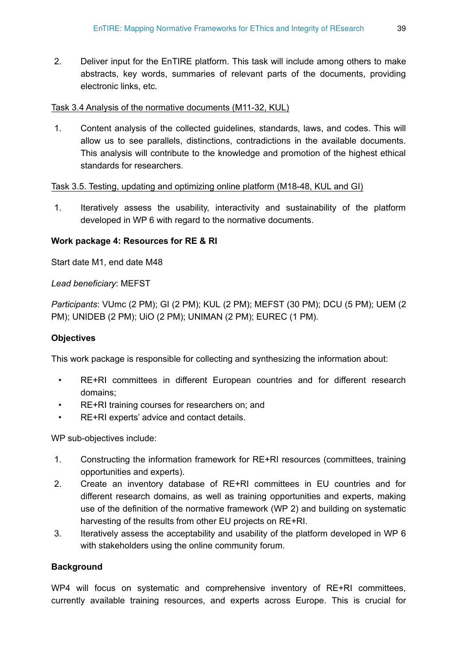2. Deliver input for the EnTIRE platform. This task will include among others to make abstracts, key words, summaries of relevant parts of the documents, providing electronic links, etc.

### Task 3.4 Analysis of the normative documents (M11-32, KUL)

1. Content analysis of the collected guidelines, standards, laws, and codes. This will allow us to see parallels, distinctions, contradictions in the available documents. This analysis will contribute to the knowledge and promotion of the highest ethical standards for researchers.

#### Task 3.5. Testing, updating and optimizing online platform (M18-48, KUL and GI)

1. Iteratively assess the usability, interactivity and sustainability of the platform developed in WP 6 with regard to the normative documents.

#### **Work package 4: Resources for RE & RI**

Start date M1, end date M48

*Lead beneficiary*: MEFST

*Participants*: VUmc (2 PM); GI (2 PM); KUL (2 PM); MEFST (30 PM); DCU (5 PM); UEM (2 PM); UNIDEB (2 PM); UiO (2 PM); UNIMAN (2 PM); EUREC (1 PM).

### **Objectives**

This work package is responsible for collecting and synthesizing the information about:

- RE+RI committees in different European countries and for different research domains;
- RE+RI training courses for researchers on; and
- RE+RI experts' advice and contact details.

WP sub-objectives include:

- 1. Constructing the information framework for RE+RI resources (committees, training opportunities and experts).
- 2. Create an inventory database of RE+RI committees in EU countries and for different research domains, as well as training opportunities and experts, making use of the definition of the normative framework (WP 2) and building on systematic harvesting of the results from other EU projects on RE+RI.
- 3. Iteratively assess the acceptability and usability of the platform developed in WP 6 with stakeholders using the online community forum.

#### **Background**

WP4 will focus on systematic and comprehensive inventory of RE+RI committees, currently available training resources, and experts across Europe. This is crucial for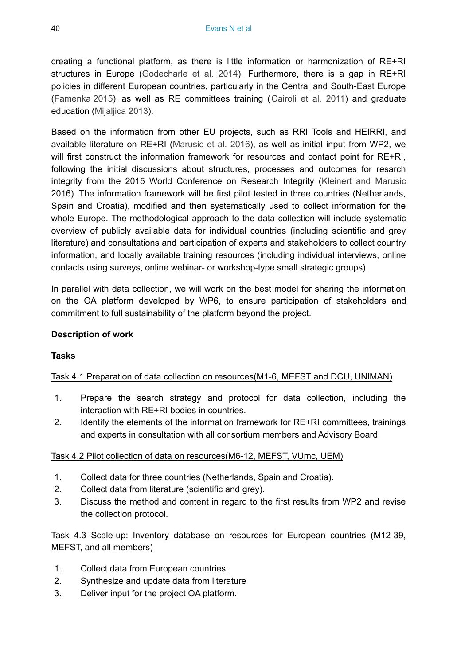creating a functional platform, as there is little information or harmonization of RE+RI structures in Europe [\(Godecharle et al. 2014](#page-67-2)). Furthermore, there is a gap in RE+RI policies in different European countries, particularly in the Central and South-East Europe [\(Famenka 2015](#page-67-12)), as well as RE committees training ([Cairoli et al. 2011\)](#page-67-13) and graduate education ([Mijaljica 2013](#page-68-11)).

Based on the information from other EU projects, such as RRI Tools and HEIRRI, and available literature on RE+RI ([Marusic et al. 2016\)](#page-68-12), as well as initial input from WP2, we will first construct the information framework for resources and contact point for RE+RI, following the initial discussions about structures, processes and outcomes for resarch integrity from the 2015 World Conference on Research Integrity ([Kleinert and Marusic](#page-67-8) 2016). The information framework will be first pilot tested in three countries (Netherlands, Spain and Croatia), modified and then systematically used to collect information for the whole Europe. The methodological approach to the data collection will include systematic overview of publicly available data for individual countries (including scientific and grey literature) and consultations and participation of experts and stakeholders to collect country information, and locally available training resources (including individual interviews, online contacts using surveys, online webinar- or workshop-type small strategic groups).

In parallel with data collection, we will work on the best model for sharing the information on the OA platform developed by WP6, to ensure participation of stakeholders and commitment to full sustainability of the platform beyond the project.

#### **Description of work**

### **Tasks**

### Task 4.1 Preparation of data collection on resources(M1-6, MEFST and DCU, UNIMAN)

- 1. Prepare the search strategy and protocol for data collection, including the interaction with RE+RI bodies in countries.
- 2. Identify the elements of the information framework for RE+RI committees, trainings and experts in consultation with all consortium members and Advisory Board.

#### Task 4.2 Pilot collection of data on resources(M6-12, MEFST, VUmc, UEM)

- 1. Collect data for three countries (Netherlands, Spain and Croatia).
- 2. Collect data from literature (scientific and grey).
- 3. Discuss the method and content in regard to the first results from WP2 and revise the collection protocol.

Task 4.3 Scale-up: Inventory database on resources for European countries (M12-39, MEFST, and all members)

- 1. Collect data from European countries.
- 2. Synthesize and update data from literature
- 3. Deliver input for the project OA platform.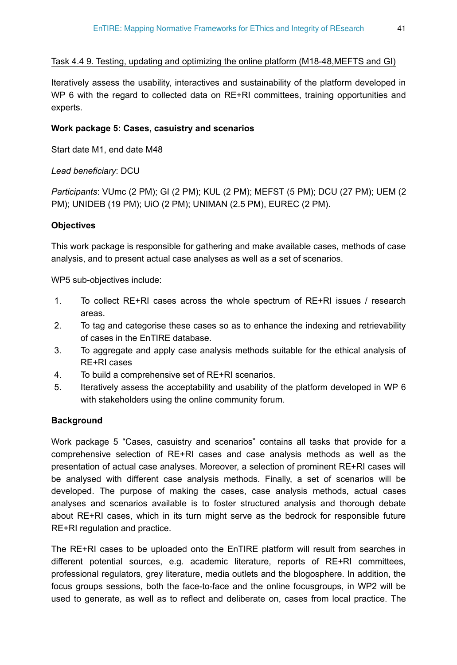Task 4.4 9. Testing, updating and optimizing the online platform (M18-48,MEFTS and GI)

Iteratively assess the usability, interactives and sustainability of the platform developed in WP 6 with the regard to collected data on RE+RI committees, training opportunities and experts.

### **Work package 5: Cases, casuistry and scenarios**

Start date M1, end date M48

*Lead beneficiary*: DCU

*Participants*: VUmc (2 PM); GI (2 PM); KUL (2 PM); MEFST (5 PM); DCU (27 PM); UEM (2 PM); UNIDEB (19 PM); UiO (2 PM); UNIMAN (2.5 PM), EUREC (2 PM).

### **Objectives**

This work package is responsible for gathering and make available cases, methods of case analysis, and to present actual case analyses as well as a set of scenarios.

WP5 sub-objectives include:

- 1. To collect RE+RI cases across the whole spectrum of RE+RI issues / research areas.
- 2. To tag and categorise these cases so as to enhance the indexing and retrievability of cases in the EnTIRE database.
- 3. To aggregate and apply case analysis methods suitable for the ethical analysis of RE+RI cases
- 4. To build a comprehensive set of RE+RI scenarios.
- 5. Iteratively assess the acceptability and usability of the platform developed in WP 6 with stakeholders using the online community forum.

### **Background**

Work package 5 "Cases, casuistry and scenarios" contains all tasks that provide for a comprehensive selection of RE+RI cases and case analysis methods as well as the presentation of actual case analyses. Moreover, a selection of prominent RE+RI cases will be analysed with different case analysis methods. Finally, a set of scenarios will be developed. The purpose of making the cases, case analysis methods, actual cases analyses and scenarios available is to foster structured analysis and thorough debate about RE+RI cases, which in its turn might serve as the bedrock for responsible future RE+RI regulation and practice.

The RE+RI cases to be uploaded onto the EnTIRE platform will result from searches in different potential sources, e.g. academic literature, reports of RE+RI committees, professional regulators, grey literature, media outlets and the blogosphere. In addition, the focus groups sessions, both the face-to-face and the online focusgroups, in WP2 will be used to generate, as well as to reflect and deliberate on, cases from local practice. The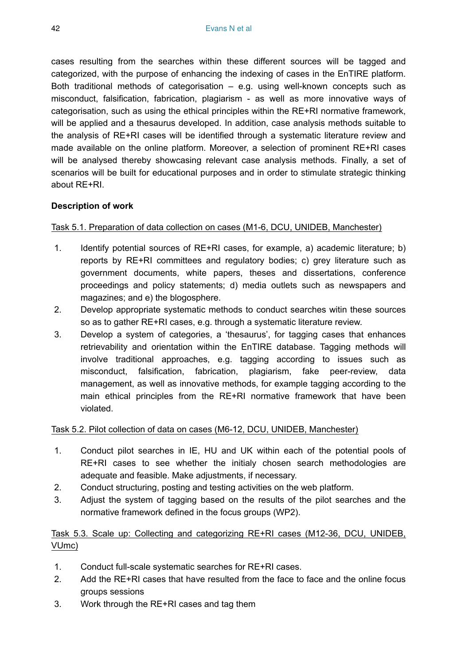cases resulting from the searches within these different sources will be tagged and categorized, with the purpose of enhancing the indexing of cases in the EnTIRE platform. Both traditional methods of categorisation – e.g. using well-known concepts such as misconduct, falsification, fabrication, plagiarism - as well as more innovative ways of categorisation, such as using the ethical principles within the RE+RI normative framework, will be applied and a thesaurus developed. In addition, case analysis methods suitable to the analysis of RE+RI cases will be identified through a systematic literature review and made available on the online platform. Moreover, a selection of prominent RE+RI cases will be analysed thereby showcasing relevant case analysis methods. Finally, a set of scenarios will be built for educational purposes and in order to stimulate strategic thinking about RE+RI.

### **Description of work**

### Task 5.1. Preparation of data collection on cases (M1-6, DCU, UNIDEB, Manchester)

- 1. Identify potential sources of RE+RI cases, for example, a) academic literature; b) reports by RE+RI committees and regulatory bodies; c) grey literature such as government documents, white papers, theses and dissertations, conference proceedings and policy statements; d) media outlets such as newspapers and magazines; and e) the blogosphere.
- 2. Develop appropriate systematic methods to conduct searches witin these sources so as to gather RE+RI cases, e.g. through a systematic literature review.
- 3. Develop a system of categories, a 'thesaurus', for tagging cases that enhances retrievability and orientation within the EnTIRE database. Tagging methods will involve traditional approaches, e.g. tagging according to issues such as misconduct, falsification, fabrication, plagiarism, fake peer-review, data management, as well as innovative methods, for example tagging according to the main ethical principles from the RE+RI normative framework that have been violated.

### Task 5.2. Pilot collection of data on cases (M6-12, DCU, UNIDEB, Manchester)

- 1. Conduct pilot searches in IE, HU and UK within each of the potential pools of RE+RI cases to see whether the initialy chosen search methodologies are adequate and feasible. Make adjustments, if necessary.
- 2. Conduct structuring, posting and testing activities on the web platform.
- 3. Adjust the system of tagging based on the results of the pilot searches and the normative framework defined in the focus groups (WP2).

# Task 5.3. Scale up: Collecting and categorizing RE+RI cases (M12-36, DCU, UNIDEB, VUmc)

- 1. Conduct full-scale systematic searches for RE+RI cases.
- 2. Add the RE+RI cases that have resulted from the face to face and the online focus groups sessions
- 3. Work through the RE+RI cases and tag them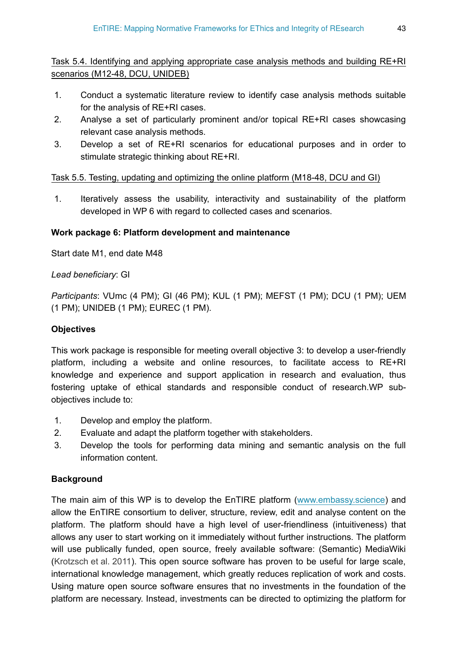Task 5.4. Identifying and applying appropriate case analysis methods and building RE+RI scenarios (M12-48, DCU, UNIDEB)

- 1. Conduct a systematic literature review to identify case analysis methods suitable for the analysis of RE+RI cases.
- 2. Analyse a set of particularly prominent and/or topical RE+RI cases showcasing relevant case analysis methods.
- 3. Develop a set of RE+RI scenarios for educational purposes and in order to stimulate strategic thinking about RE+RI.

### Task 5.5. Testing, updating and optimizing the online platform (M18-48, DCU and GI)

1. Iteratively assess the usability, interactivity and sustainability of the platform developed in WP 6 with regard to collected cases and scenarios.

### **Work package 6: Platform development and maintenance**

Start date M1, end date M48

### *Lead beneficiary*: GI

*Participants*: VUmc (4 PM); GI (46 PM); KUL (1 PM); MEFST (1 PM); DCU (1 PM); UEM (1 PM); UNIDEB (1 PM); EUREC (1 PM).

### **Objectives**

This work package is responsible for meeting overall objective 3: to develop a user-friendly platform, including a website and online resources, to facilitate access to RE+RI knowledge and experience and support application in research and evaluation, thus fostering uptake of ethical standards and responsible conduct of research.WP subobjectives include to:

- 1. Develop and employ the platform.
- 2. Evaluate and adapt the platform together with stakeholders.
- 3. Develop the tools for performing data mining and semantic analysis on the full information content.

#### **Background**

The main aim of this WP is to develop the EnTIRE platform ([www.embassy.science\)](http://www.embassy.science) and allow the EnTIRE consortium to deliver, structure, review, edit and analyse content on the platform. The platform should have a high level of user-friendliness (intuitiveness) that allows any user to start working on it immediately without further instructions. The platform will use publically funded, open source, freely available software: (Semantic) MediaWiki [\(Krotzsch et al. 2011](#page-68-13)). This open source software has proven to be useful for large scale, international knowledge management, which greatly reduces replication of work and costs. Using mature open source software ensures that no investments in the foundation of the platform are necessary. Instead, investments can be directed to optimizing the platform for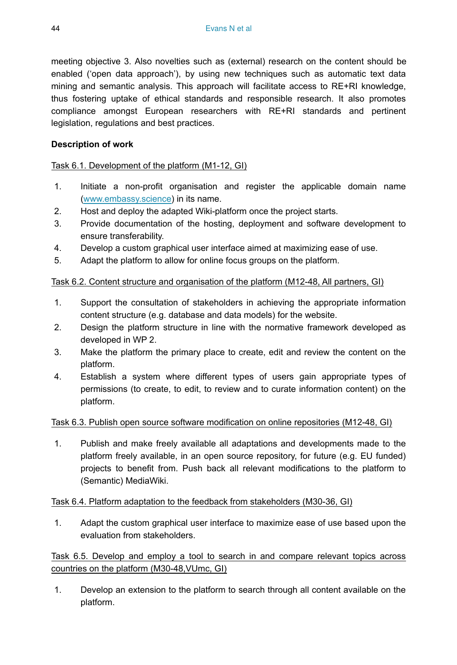meeting objective 3. Also novelties such as (external) research on the content should be enabled ('open data approach'), by using new techniques such as automatic text data mining and semantic analysis. This approach will facilitate access to RE+RI knowledge, thus fostering uptake of ethical standards and responsible research. It also promotes compliance amongst European researchers with RE+RI standards and pertinent legislation, regulations and best practices.

### **Description of work**

### Task 6.1. Development of the platform (M1-12, GI)

- 1. Initiate a non-profit organisation and register the applicable domain name [\(www.embassy.science](http://www.embassy.science)) in its name.
- 2. Host and deploy the adapted Wiki-platform once the project starts.
- 3. Provide documentation of the hosting, deployment and software development to ensure transferability.
- 4. Develop a custom graphical user interface aimed at maximizing ease of use.
- 5. Adapt the platform to allow for online focus groups on the platform.

### Task 6.2. Content structure and organisation of the platform (M12-48, All partners, GI)

- 1. Support the consultation of stakeholders in achieving the appropriate information content structure (e.g. database and data models) for the website.
- 2. Design the platform structure in line with the normative framework developed as developed in WP 2.
- 3. Make the platform the primary place to create, edit and review the content on the platform.
- 4. Establish a system where different types of users gain appropriate types of permissions (to create, to edit, to review and to curate information content) on the platform.

#### Task 6.3. Publish open source software modification on online repositories (M12-48, GI)

1. Publish and make freely available all adaptations and developments made to the platform freely available, in an open source repository, for future (e.g. EU funded) projects to benefit from. Push back all relevant modifications to the platform to (Semantic) MediaWiki.

#### Task 6.4. Platform adaptation to the feedback from stakeholders (M30-36, GI)

1. Adapt the custom graphical user interface to maximize ease of use based upon the evaluation from stakeholders.

Task 6.5. Develop and employ a tool to search in and compare relevant topics across countries on the platform (M30-48,VUmc, GI)

1. Develop an extension to the platform to search through all content available on the platform.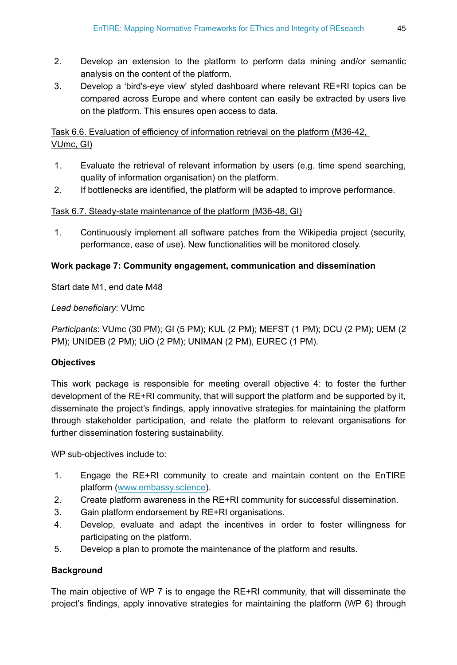- 2. Develop an extension to the platform to perform data mining and/or semantic analysis on the content of the platform.
- 3. Develop a 'bird's-eye view' styled dashboard where relevant RE+RI topics can be compared across Europe and where content can easily be extracted by users live on the platform. This ensures open access to data.

# Task 6.6. Evaluation of efficiency of information retrieval on the platform (M36-42, VUmc, GI)

- 1. Evaluate the retrieval of relevant information by users (e.g. time spend searching, quality of information organisation) on the platform.
- 2. If bottlenecks are identified, the platform will be adapted to improve performance.

# Task 6.7. Steady-state maintenance of the platform (M36-48, GI)

1. Continuously implement all software patches from the Wikipedia project (security, performance, ease of use). New functionalities will be monitored closely.

# **Work package 7: Community engagement, communication and dissemination**

Start date M1, end date M48

### *Lead beneficiary*: VUmc

*Participants*: VUmc (30 PM); GI (5 PM); KUL (2 PM); MEFST (1 PM); DCU (2 PM); UEM (2 PM); UNIDEB (2 PM); UiO (2 PM); UNIMAN (2 PM), EUREC (1 PM).

### **Objectives**

This work package is responsible for meeting overall objective 4: to foster the further development of the RE+RI community, that will support the platform and be supported by it, disseminate the project's findings, apply innovative strategies for maintaining the platform through stakeholder participation, and relate the platform to relevant organisations for further dissemination fostering sustainability.

WP sub-objectives include to:

- 1. Engage the RE+RI community to create and maintain content on the EnTIRE platform [\(www.embassy.science](http://www.embassy.science)).
- 2. Create platform awareness in the RE+RI community for successful dissemination.
- 3. Gain platform endorsement by RE+RI organisations.
- 4. Develop, evaluate and adapt the incentives in order to foster willingness for participating on the platform.
- 5. Develop a plan to promote the maintenance of the platform and results.

### **Background**

The main objective of WP 7 is to engage the RE+RI community, that will disseminate the project's findings, apply innovative strategies for maintaining the platform (WP 6) through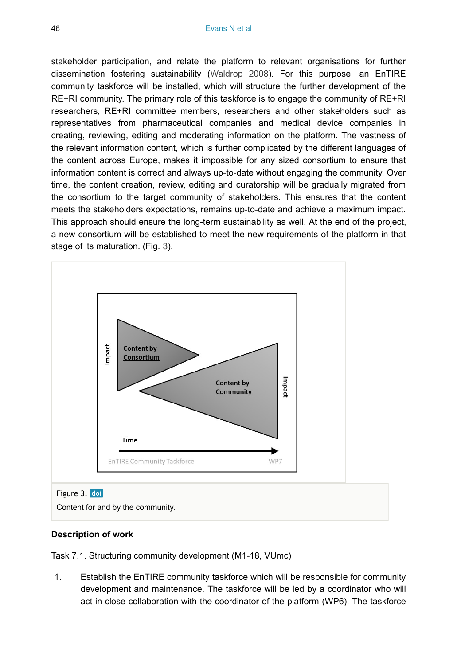stakeholder participation, and relate the platform to relevant organisations for further dissemination fostering sustainability [\(Waldrop 2008\)](#page-68-14). For this purpose, an EnTIRE community taskforce will be installed, which will structure the further development of the RE+RI community. The primary role of this taskforce is to engage the community of RE+RI researchers, RE+RI committee members, researchers and other stakeholders such as representatives from pharmaceutical companies and medical device companies in creating, reviewing, editing and moderating information on the platform. The vastness of the relevant information content, which is further complicated by the different languages of the content across Europe, makes it impossible for any sized consortium to ensure that information content is correct and always up-to-date without engaging the community. Over time, the content creation, review, editing and curatorship will be gradually migrated from the consortium to the target community of stakeholders. This ensures that the content meets the stakeholders expectations, remains up-to-date and achieve a maximum impact. This approach should ensure the long-term sustainability as well. At the end of the project, a new consortium will be established to meet the new requirements of the platform in that stage of its maturation. (Fig. [3](#page-45-0)).

<span id="page-45-0"></span>

#### **Description of work**

#### Task 7.1. Structuring community development (M1-18, VUmc)

1. Establish the EnTIRE community taskforce which will be responsible for community development and maintenance. The taskforce will be led by a coordinator who will act in close collaboration with the coordinator of the platform (WP6). The taskforce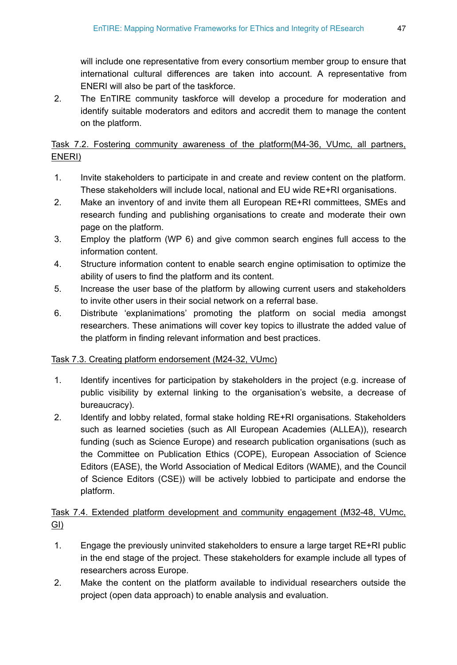will include one representative from every consortium member group to ensure that international cultural differences are taken into account. A representative from ENERI will also be part of the taskforce.

2. The EnTIRE community taskforce will develop a procedure for moderation and identify suitable moderators and editors and accredit them to manage the content on the platform.

Task 7.2. Fostering community awareness of the platform(M4-36, VUmc, all partners, ENERI)

- 1. Invite stakeholders to participate in and create and review content on the platform. These stakeholders will include local, national and EU wide RE+RI organisations.
- 2. Make an inventory of and invite them all European RE+RI committees, SMEs and research funding and publishing organisations to create and moderate their own page on the platform.
- 3. Employ the platform (WP 6) and give common search engines full access to the information content.
- 4. Structure information content to enable search engine optimisation to optimize the ability of users to find the platform and its content.
- 5. Increase the user base of the platform by allowing current users and stakeholders to invite other users in their social network on a referral base.
- 6. Distribute 'explanimations' promoting the platform on social media amongst researchers. These animations will cover key topics to illustrate the added value of the platform in finding relevant information and best practices.

### Task 7.3. Creating platform endorsement (M24-32, VUmc)

- 1. Identify incentives for participation by stakeholders in the project (e.g. increase of public visibility by external linking to the organisation's website, a decrease of bureaucracy).
- 2. Identify and lobby related, formal stake holding RE+RI organisations. Stakeholders such as learned societies (such as All European Academies (ALLEA)), research funding (such as Science Europe) and research publication organisations (such as the Committee on Publication Ethics (COPE), European Association of Science Editors (EASE), the World Association of Medical Editors (WAME), and the Council of Science Editors (CSE)) will be actively lobbied to participate and endorse the platform.

# Task 7.4. Extended platform development and community engagement (M32-48, VUmc, GI)

- 1. Engage the previously uninvited stakeholders to ensure a large target RE+RI public in the end stage of the project. These stakeholders for example include all types of researchers across Europe.
- 2. Make the content on the platform available to individual researchers outside the project (open data approach) to enable analysis and evaluation.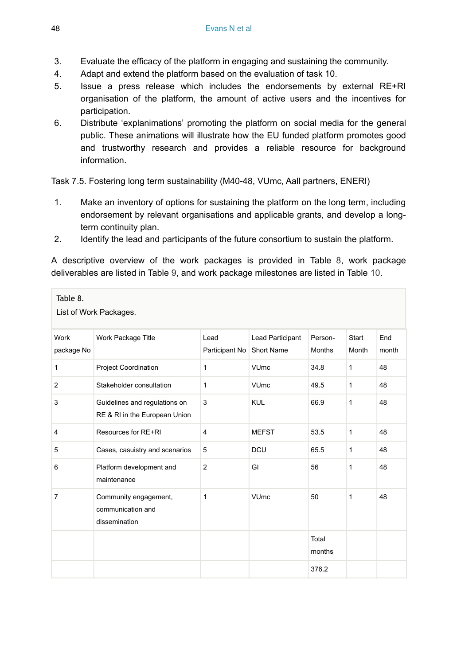- 3. Evaluate the efficacy of the platform in engaging and sustaining the community.
- 4. Adapt and extend the platform based on the evaluation of task 10.
- 5. Issue a press release which includes the endorsements by external RE+RI organisation of the platform, the amount of active users and the incentives for participation.
- 6. Distribute 'explanimations' promoting the platform on social media for the general public. These animations will illustrate how the EU funded platform promotes good and trustworthy research and provides a reliable resource for background information.

### Task 7.5. Fostering long term sustainability (M40-48, VUmc, Aall partners, ENERI)

- 1. Make an inventory of options for sustaining the platform on the long term, including endorsement by relevant organisations and applicable grants, and develop a longterm continuity plan.
- 2. Identify the lead and participants of the future consortium to sustain the platform.

A descriptive overview of the work packages is provided in Table [8,](#page-47-0) work package deliverables are listed in Table [9](#page-48-0), and work package milestones are listed in Table [10.](#page-51-0)

<span id="page-47-0"></span>

| Table 8.<br>List of Work Packages. |                                                                |                        |                                |                          |                |              |  |
|------------------------------------|----------------------------------------------------------------|------------------------|--------------------------------|--------------------------|----------------|--------------|--|
| Work<br>package No                 | Work Package Title                                             | Lead<br>Participant No | Lead Participant<br>Short Name | Person-<br><b>Months</b> | Start<br>Month | End<br>month |  |
| $\mathbf{1}$                       | Project Coordination                                           | 1                      | <b>VU<sub>mc</sub></b>         | 34.8                     | $\mathbf{1}$   | 48           |  |
| $\overline{2}$                     | Stakeholder consultation                                       | 1                      | <b>VU<sub>mc</sub></b>         | 49.5                     | $\mathbf{1}$   | 48           |  |
| 3                                  | Guidelines and regulations on<br>RE & RI in the European Union | 3                      | <b>KUL</b>                     | 66.9                     | 1              | 48           |  |
| 4                                  | Resources for RE+RI                                            | $\overline{4}$         | <b>MEFST</b>                   | 53.5                     | $\mathbf{1}$   | 48           |  |
| 5                                  | Cases, casuistry and scenarios                                 | 5                      | DCU                            | 65.5                     | $\mathbf{1}$   | 48           |  |
| 6                                  | Platform development and<br>maintenance                        | $\overline{2}$         | GI                             | 56                       | 1              | 48           |  |
| $\overline{7}$                     | Community engagement,<br>communication and<br>dissemination    | 1                      | <b>VUmc</b>                    | 50                       | 1              | 48           |  |
|                                    |                                                                |                        |                                | Total<br>months          |                |              |  |
|                                    |                                                                |                        |                                | 376.2                    |                |              |  |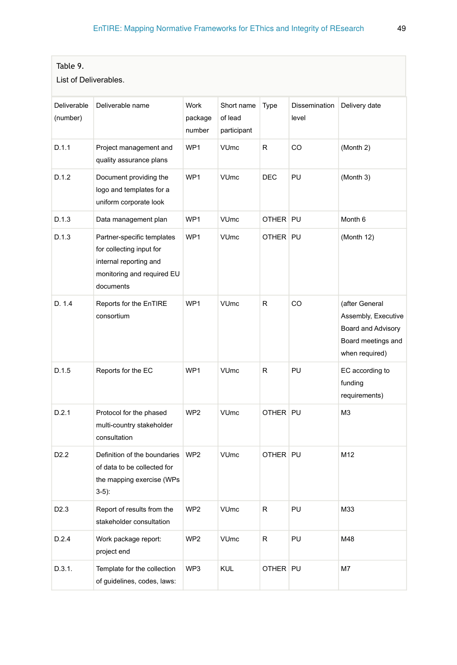<span id="page-48-0"></span>

| Table 9.              |  |
|-----------------------|--|
| List of Deliverables. |  |

| Deliverable<br>(number) | Deliverable name                                                                                                            | <b>Work</b><br>package<br>number | Short name<br>of lead<br>participant | Type         | Dissemination<br>level | Delivery date                                                                                       |
|-------------------------|-----------------------------------------------------------------------------------------------------------------------------|----------------------------------|--------------------------------------|--------------|------------------------|-----------------------------------------------------------------------------------------------------|
| D.1.1                   | Project management and<br>quality assurance plans                                                                           | WP1                              | <b>VUmc</b>                          | R.           | CO                     | (Month 2)                                                                                           |
| D.1.2                   | Document providing the<br>logo and templates for a<br>uniform corporate look                                                | WP1                              | <b>VUmc</b>                          | <b>DEC</b>   | PU                     | (Month 3)                                                                                           |
| D.1.3                   | Data management plan                                                                                                        | WP1                              | <b>VUmc</b>                          | OTHER PU     |                        | Month 6                                                                                             |
| D.1.3                   | Partner-specific templates<br>for collecting input for<br>internal reporting and<br>monitoring and required EU<br>documents | WP1                              | <b>VUmc</b>                          | OTHER PU     |                        | (Month 12)                                                                                          |
| D. 1.4                  | Reports for the EnTIRE<br>consortium                                                                                        | WP1                              | <b>VUmc</b>                          | R            | CO                     | (after General<br>Assembly, Executive<br>Board and Advisory<br>Board meetings and<br>when required) |
| D.1.5                   | Reports for the EC                                                                                                          | WP1                              | <b>VUmc</b>                          | R.           | PU                     | EC according to<br>funding<br>requirements)                                                         |
| D.2.1                   | Protocol for the phased<br>multi-country stakeholder<br>consultation                                                        | WP <sub>2</sub>                  | VUmc                                 | OTHER PU     |                        | M3                                                                                                  |
| D <sub>2.2</sub>        | Definition of the boundaries<br>of data to be collected for<br>the mapping exercise (WPs<br>$3-5$ :                         | WP <sub>2</sub>                  | <b>VUmc</b>                          | OTHER PU     |                        | M12                                                                                                 |
| D <sub>2.3</sub>        | Report of results from the<br>stakeholder consultation                                                                      | WP <sub>2</sub>                  | <b>VUmc</b>                          | R.           | PU                     | M33                                                                                                 |
| D.2.4                   | Work package report:<br>project end                                                                                         | WP <sub>2</sub>                  | VUmc                                 | R            | PU                     | M48                                                                                                 |
| D.3.1.                  | Template for the collection<br>of guidelines, codes, laws:                                                                  | WP3                              | <b>KUL</b>                           | <b>OTHER</b> | PU                     | M7                                                                                                  |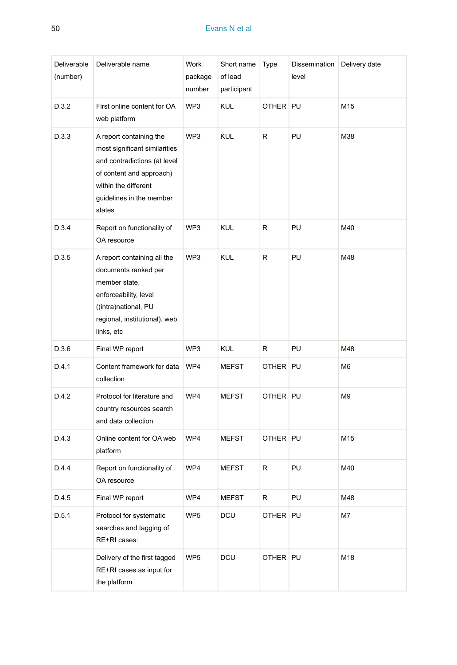| Deliverable<br>(number) | Deliverable name                                                                                                                                                                   | Work<br>package<br>number | Short name<br>of lead<br>participant | Type       | Dissemination<br>level | Delivery date  |
|-------------------------|------------------------------------------------------------------------------------------------------------------------------------------------------------------------------------|---------------------------|--------------------------------------|------------|------------------------|----------------|
| D.3.2                   | First online content for OA<br>web platform                                                                                                                                        | WP3                       | <b>KUL</b>                           | OTHER PU   |                        | M15            |
| D.3.3                   | A report containing the<br>most significant similarities<br>and contradictions (at level<br>of content and approach)<br>within the different<br>guidelines in the member<br>states | WP3                       | <b>KUL</b>                           | R          | PU                     | M38            |
| D.3.4                   | Report on functionality of<br>OA resource                                                                                                                                          | WP3                       | <b>KUL</b>                           | R          | PU                     | M40            |
| D.3.5                   | A report containing all the<br>documents ranked per<br>member state,<br>enforceability, level<br>((intra)national, PU<br>regional, institutional), web<br>links, etc               | WP3                       | <b>KUL</b>                           | R          | PU                     | M48            |
| D.3.6                   | Final WP report                                                                                                                                                                    | WP3                       | <b>KUL</b>                           | R          | PU                     | M48            |
| D.4.1                   | Content framework for data<br>collection                                                                                                                                           | WP4                       | <b>MEFST</b>                         | OTHER      | PU                     | M <sub>6</sub> |
| D.4.2                   | Protocol for literature and<br>country resources search<br>and data collection                                                                                                     | WP4                       | <b>MEFST</b>                         | OTHER PU   |                        | M9             |
| D.4.3                   | Online content for OA web<br>platform                                                                                                                                              | WP4                       | <b>MEFST</b>                         | OTHER PU   |                        | M15            |
| D.4.4                   | Report on functionality of<br>OA resource                                                                                                                                          | WP4                       | <b>MEFST</b>                         | R          | PU                     | M40            |
| D.4.5                   | Final WP report                                                                                                                                                                    | WP4                       | <b>MEFST</b>                         | R          | PU                     | M48            |
| D.5.1                   | Protocol for systematic<br>searches and tagging of<br>RE+RI cases:                                                                                                                 | WP5                       | DCU                                  | OTHER   PU |                        | M7             |
|                         | Delivery of the first tagged<br>RE+RI cases as input for<br>the platform                                                                                                           | WP5                       | DCU                                  | OTHER PU   |                        | M18            |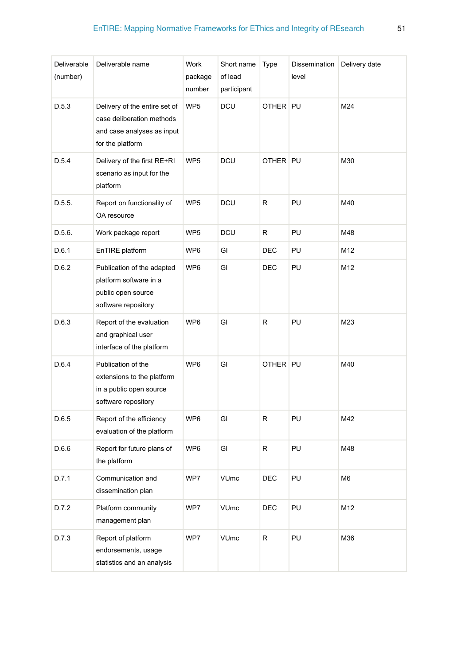| Deliverable<br>(number) | Deliverable name                                                                                             | Work<br>package<br>number | Short name<br>of lead<br>participant | Type     | Dissemination<br>level | Delivery date  |
|-------------------------|--------------------------------------------------------------------------------------------------------------|---------------------------|--------------------------------------|----------|------------------------|----------------|
| D.5.3                   | Delivery of the entire set of<br>case deliberation methods<br>and case analyses as input<br>for the platform | WP <sub>5</sub>           | DCU                                  | OTHER PU |                        | M24            |
| D.5.4                   | Delivery of the first RE+RI<br>scenario as input for the<br>platform                                         | WP <sub>5</sub>           | DCU                                  | OTHER PU |                        | M30            |
| D.5.5.                  | Report on functionality of<br>OA resource                                                                    | WP <sub>5</sub>           | DCU                                  | R        | PU                     | M40            |
| D.5.6.                  | Work package report                                                                                          | WP <sub>5</sub>           | DCU                                  | R        | PU                     | M48            |
| D.6.1                   | EnTIRE platform                                                                                              | WP6                       | GI                                   | DEC      | PU                     | M12            |
| D.6.2                   | Publication of the adapted<br>platform software in a<br>public open source<br>software repository            | WP6                       | GI                                   | DEC      | PU                     | M12            |
| D.6.3                   | Report of the evaluation<br>and graphical user<br>interface of the platform                                  | WP6                       | GI                                   | R        | PU                     | M23            |
| D.6.4                   | Publication of the<br>extensions to the platform<br>in a public open source<br>software repository           | WP <sub>6</sub>           | GI                                   | OTHER PU |                        | M40            |
| D.6.5                   | Report of the efficiency<br>evaluation of the platform                                                       | WP6                       | GI                                   | R        | PU                     | M42            |
| D.6.6                   | Report for future plans of<br>the platform                                                                   | WP6                       | GI                                   | R        | PU                     | M48            |
| D.7.1                   | Communication and<br>dissemination plan                                                                      | WP7                       | <b>VUmc</b>                          | DEC      | PU                     | M <sub>6</sub> |
| D.7.2                   | Platform community<br>management plan                                                                        | WP7                       | <b>VUmc</b>                          | DEC      | PU                     | M12            |
| D.7.3                   | Report of platform<br>endorsements, usage<br>statistics and an analysis                                      | WP7                       | VUmc                                 | R        | PU                     | M36            |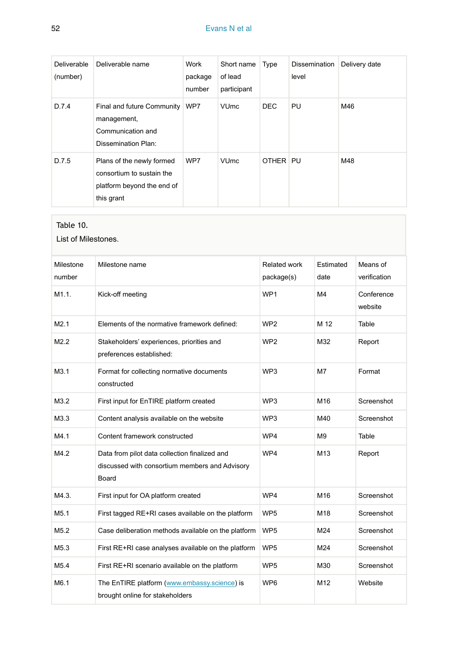### 52 Evans N et al

| <b>Deliverable</b><br>(number) | Deliverable name                                                                                   | Work<br>package<br>number | Short name<br>of lead<br>participant | Type     | Dissemination<br>level | Delivery date |
|--------------------------------|----------------------------------------------------------------------------------------------------|---------------------------|--------------------------------------|----------|------------------------|---------------|
| D.7.4                          | Final and future Community<br>management,<br>Communication and<br>Dissemination Plan:              | WP7                       | <b>VU<sub>mc</sub></b>               | DEC.     | PU                     | M46           |
| D.7.5                          | Plans of the newly formed<br>consortium to sustain the<br>platform beyond the end of<br>this grant | WP7                       | <b>VU<sub>mc</sub></b>               | OTHER PU |                        | M48           |

#### <span id="page-51-0"></span>Table 10.

List of Milestones.

| Milestone<br>number | Milestone name                                                                                           | <b>Related work</b><br>package(s) | Estimated<br>date | Means of<br>verification |
|---------------------|----------------------------------------------------------------------------------------------------------|-----------------------------------|-------------------|--------------------------|
| M1.1.               | Kick-off meeting                                                                                         | WP <sub>1</sub>                   | M4                | Conference<br>website    |
| M2.1                | Elements of the normative framework defined:                                                             | WP <sub>2</sub>                   | M 12              | Table                    |
| M2.2                | Stakeholders' experiences, priorities and<br>preferences established:                                    | WP <sub>2</sub>                   | M32               | Report                   |
| M3.1                | Format for collecting normative documents<br>constructed                                                 | WP3                               | M7                | Format                   |
| M3.2                | First input for EnTIRE platform created                                                                  | WP3                               | M16               | Screenshot               |
| M3.3                | Content analysis available on the website                                                                | WP3                               | M40               | Screenshot               |
| M4.1                | Content framework constructed                                                                            | WP4                               | M <sub>9</sub>    | Table                    |
| M4.2                | Data from pilot data collection finalized and<br>discussed with consortium members and Advisory<br>Board | WP4                               | M13               | Report                   |
| M4.3.               | First input for OA platform created                                                                      | WP4                               | M16               | Screenshot               |
| M <sub>5.1</sub>    | First tagged RE+RI cases available on the platform                                                       | WP <sub>5</sub>                   | M18               | Screenshot               |
| M <sub>5.2</sub>    | Case deliberation methods available on the platform                                                      | WP <sub>5</sub>                   | M24               | Screenshot               |
| M5.3                | First RE+RI case analyses available on the platform                                                      | WP <sub>5</sub>                   | M24               | Screenshot               |
| M <sub>5.4</sub>    | First RE+RI scenario available on the platform                                                           | WP <sub>5</sub>                   | M30               | Screenshot               |
| M6.1                | The EnTIRE platform (www.embassy.science) is<br>brought online for stakeholders                          | WP <sub>6</sub>                   | M12               | Website                  |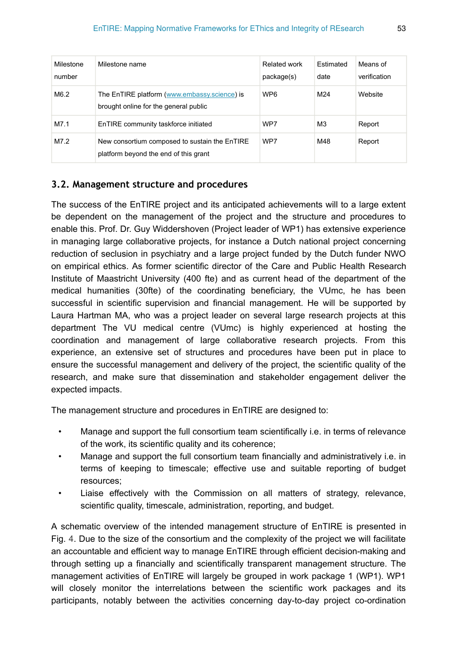| Milestone<br>number | Milestone name                                                                         | Related work<br>package(s) | Estimated<br>date | Means of<br>verification |
|---------------------|----------------------------------------------------------------------------------------|----------------------------|-------------------|--------------------------|
| M6.2                | The EnTIRE platform (www.embassy.science) is<br>brought online for the general public  | WP <sub>6</sub>            | M24               | Website                  |
| M7.1                | EnTIRE community taskforce initiated                                                   | WP7                        | M <sub>3</sub>    | Report                   |
| M7.2                | New consortium composed to sustain the EnTIRE<br>platform beyond the end of this grant | WP7                        | M48               | Report                   |

### **3.2. Management structure and procedures**

The success of the EnTIRE project and its anticipated achievements will to a large extent be dependent on the management of the project and the structure and procedures to enable this. Prof. Dr. Guy Widdershoven (Project leader of WP1) has extensive experience in managing large collaborative projects, for instance a Dutch national project concerning reduction of seclusion in psychiatry and a large project funded by the Dutch funder NWO on empirical ethics. As former scientific director of the Care and Public Health Research Institute of Maastricht University (400 fte) and as current head of the department of the medical humanities (30fte) of the coordinating beneficiary, the VUmc, he has been successful in scientific supervision and financial management. He will be supported by Laura Hartman MA, who was a project leader on several large research projects at this department The VU medical centre (VUmc) is highly experienced at hosting the coordination and management of large collaborative research projects. From this experience, an extensive set of structures and procedures have been put in place to ensure the successful management and delivery of the project, the scientific quality of the research, and make sure that dissemination and stakeholder engagement deliver the expected impacts.

The management structure and procedures in EnTIRE are designed to:

- Manage and support the full consortium team scientifically i.e. in terms of relevance of the work, its scientific quality and its coherence;
- Manage and support the full consortium team financially and administratively i.e. in terms of keeping to timescale; effective use and suitable reporting of budget resources;
- Liaise effectively with the Commission on all matters of strategy, relevance, scientific quality, timescale, administration, reporting, and budget.

A schematic overview of the intended management structure of EnTIRE is presented in Fig. [4](#page-53-0). Due to the size of the consortium and the complexity of the project we will facilitate an accountable and efficient way to manage EnTIRE through efficient decision-making and through setting up a financially and scientifically transparent management structure. The management activities of EnTIRE will largely be grouped in work package 1 (WP1). WP1 will closely monitor the interrelations between the scientific work packages and its participants, notably between the activities concerning day-to-day project co-ordination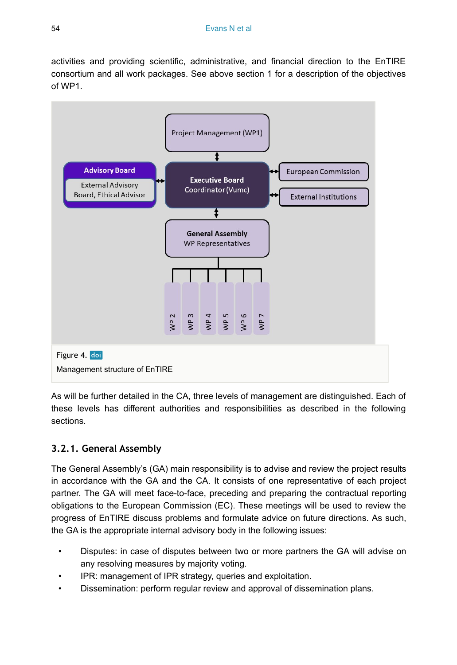activities and providing scientific, administrative, and financial direction to the EnTIRE consortium and all work packages. See above section 1 for a description of the objectives of WP1.

<span id="page-53-0"></span>

As will be further detailed in the CA, three levels of management are distinguished. Each of these levels has different authorities and responsibilities as described in the following sections.

# **3.2.1. General Assembly**

The General Assembly's (GA) main responsibility is to advise and review the project results in accordance with the GA and the CA. It consists of one representative of each project partner. The GA will meet face-to-face, preceding and preparing the contractual reporting obligations to the European Commission (EC). These meetings will be used to review the progress of EnTIRE discuss problems and formulate advice on future directions. As such, the GA is the appropriate internal advisory body in the following issues:

- Disputes: in case of disputes between two or more partners the GA will advise on any resolving measures by majority voting.
- IPR: management of IPR strategy, queries and exploitation.
- Dissemination: perform regular review and approval of dissemination plans.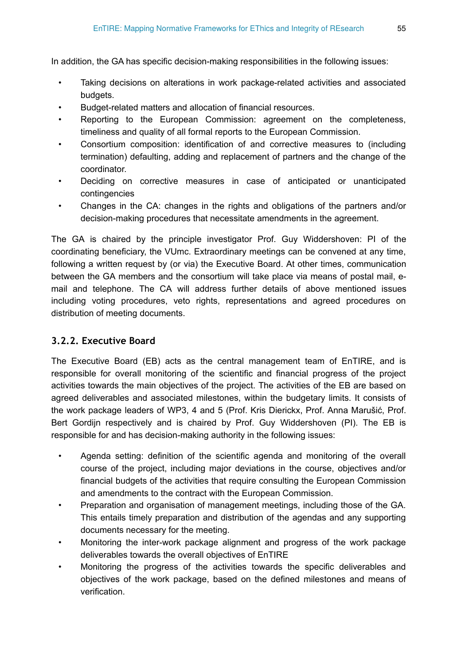In addition, the GA has specific decision-making responsibilities in the following issues:

- Taking decisions on alterations in work package-related activities and associated budgets.
- Budget-related matters and allocation of financial resources.
- Reporting to the European Commission: agreement on the completeness, timeliness and quality of all formal reports to the European Commission.
- Consortium composition: identification of and corrective measures to (including termination) defaulting, adding and replacement of partners and the change of the coordinator.
- Deciding on corrective measures in case of anticipated or unanticipated contingencies
- Changes in the CA: changes in the rights and obligations of the partners and/or decision-making procedures that necessitate amendments in the agreement.

The GA is chaired by the principle investigator Prof. Guy Widdershoven: PI of the coordinating beneficiary, the VUmc. Extraordinary meetings can be convened at any time, following a written request by (or via) the Executive Board. At other times, communication between the GA members and the consortium will take place via means of postal mail, email and telephone. The CA will address further details of above mentioned issues including voting procedures, veto rights, representations and agreed procedures on distribution of meeting documents.

# **3.2.2. Executive Board**

The Executive Board (EB) acts as the central management team of EnTIRE, and is responsible for overall monitoring of the scientific and financial progress of the project activities towards the main objectives of the project. The activities of the EB are based on agreed deliverables and associated milestones, within the budgetary limits. It consists of the work package leaders of WP3, 4 and 5 (Prof. Kris Dierickx, Prof. Anna Marušić, Prof. Bert Gordijn respectively and is chaired by Prof. Guy Widdershoven (PI). The EB is responsible for and has decision-making authority in the following issues:

- Agenda setting: definition of the scientific agenda and monitoring of the overall course of the project, including major deviations in the course, objectives and/or financial budgets of the activities that require consulting the European Commission and amendments to the contract with the European Commission.
- Preparation and organisation of management meetings, including those of the GA. This entails timely preparation and distribution of the agendas and any supporting documents necessary for the meeting.
- Monitoring the inter-work package alignment and progress of the work package deliverables towards the overall objectives of EnTIRE
- Monitoring the progress of the activities towards the specific deliverables and objectives of the work package, based on the defined milestones and means of verification.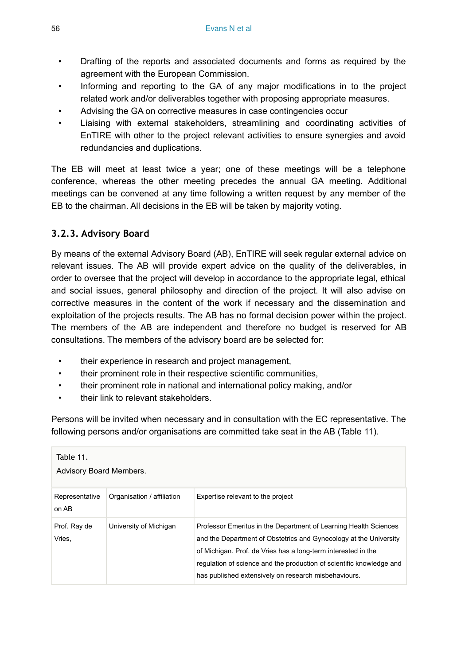- Drafting of the reports and associated documents and forms as required by the agreement with the European Commission.
- Informing and reporting to the GA of any major modifications in to the project related work and/or deliverables together with proposing appropriate measures.
- Advising the GA on corrective measures in case contingencies occur
- Liaising with external stakeholders, streamlining and coordinating activities of EnTIRE with other to the project relevant activities to ensure synergies and avoid redundancies and duplications.

The EB will meet at least twice a year; one of these meetings will be a telephone conference, whereas the other meeting precedes the annual GA meeting. Additional meetings can be convened at any time following a written request by any member of the EB to the chairman. All decisions in the EB will be taken by majority voting.

# **3.2.3. Advisory Board**

By means of the external Advisory Board (AB), EnTIRE will seek regular external advice on relevant issues. The AB will provide expert advice on the quality of the deliverables, in order to oversee that the project will develop in accordance to the appropriate legal, ethical and social issues, general philosophy and direction of the project. It will also advise on corrective measures in the content of the work if necessary and the dissemination and exploitation of the projects results. The AB has no formal decision power within the project. The members of the AB are independent and therefore no budget is reserved for AB consultations. The members of the advisory board are be selected for:

- their experience in research and project management,
- their prominent role in their respective scientific communities,
- their prominent role in national and international policy making, and/or
- their link to relevant stakeholders.

Persons will be invited when necessary and in consultation with the EC representative. The following persons and/or organisations are committed take seat in the AB (Table [11\)](#page-55-0).

<span id="page-55-0"></span>

| Table 11.<br><b>Advisory Board Members.</b> |                            |                                                                                                                                                                                                                                                                                                                                        |  |  |  |  |
|---------------------------------------------|----------------------------|----------------------------------------------------------------------------------------------------------------------------------------------------------------------------------------------------------------------------------------------------------------------------------------------------------------------------------------|--|--|--|--|
| Representative<br>on AB                     | Organisation / affiliation | Expertise relevant to the project                                                                                                                                                                                                                                                                                                      |  |  |  |  |
| Prof. Ray de<br>Vries.                      | University of Michigan     | Professor Emeritus in the Department of Learning Health Sciences<br>and the Department of Obstetrics and Gynecology at the University<br>of Michigan. Prof. de Vries has a long-term interested in the<br>regulation of science and the production of scientific knowledge and<br>has published extensively on research misbehaviours. |  |  |  |  |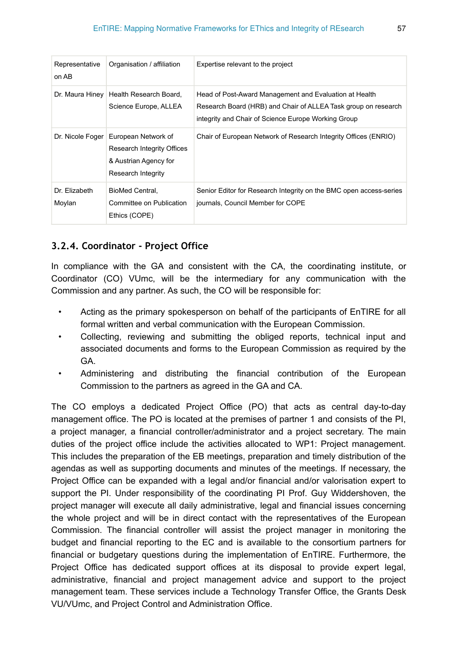| Representative<br>on AB | Organisation / affiliation                                                                                                 | Expertise relevant to the project                                                                                                                                               |
|-------------------------|----------------------------------------------------------------------------------------------------------------------------|---------------------------------------------------------------------------------------------------------------------------------------------------------------------------------|
|                         | Dr. Maura Hiney   Health Research Board,<br>Science Europe, ALLEA                                                          | Head of Post-Award Management and Evaluation at Health<br>Research Board (HRB) and Chair of ALLEA Task group on research<br>integrity and Chair of Science Europe Working Group |
|                         | Dr. Nicole Foger   European Network of<br><b>Research Integrity Offices</b><br>& Austrian Agency for<br>Research Integrity | Chair of European Network of Research Integrity Offices (ENRIO)                                                                                                                 |
| Dr. Elizabeth<br>Moylan | BioMed Central.<br>Committee on Publication<br>Ethics (COPE)                                                               | Senior Editor for Research Integrity on the BMC open access-series<br>journals, Council Member for COPE                                                                         |

# **3.2.4. Coordinator - Project Office**

In compliance with the GA and consistent with the CA, the coordinating institute, or Coordinator (CO) VUmc, will be the intermediary for any communication with the Commission and any partner. As such, the CO will be responsible for:

- Acting as the primary spokesperson on behalf of the participants of EnTIRE for all formal written and verbal communication with the European Commission.
- Collecting, reviewing and submitting the obliged reports, technical input and associated documents and forms to the European Commission as required by the GA.
- Administering and distributing the financial contribution of the European Commission to the partners as agreed in the GA and CA.

The CO employs a dedicated Project Office (PO) that acts as central day-to-day management office. The PO is located at the premises of partner 1 and consists of the PI, a project manager, a financial controller/administrator and a project secretary. The main duties of the project office include the activities allocated to WP1: Project management. This includes the preparation of the EB meetings, preparation and timely distribution of the agendas as well as supporting documents and minutes of the meetings. If necessary, the Project Office can be expanded with a legal and/or financial and/or valorisation expert to support the PI. Under responsibility of the coordinating PI Prof. Guy Widdershoven, the project manager will execute all daily administrative, legal and financial issues concerning the whole project and will be in direct contact with the representatives of the European Commission. The financial controller will assist the project manager in monitoring the budget and financial reporting to the EC and is available to the consortium partners for financial or budgetary questions during the implementation of EnTIRE. Furthermore, the Project Office has dedicated support offices at its disposal to provide expert legal, administrative, financial and project management advice and support to the project management team. These services include a Technology Transfer Office, the Grants Desk VU/VUmc, and Project Control and Administration Office.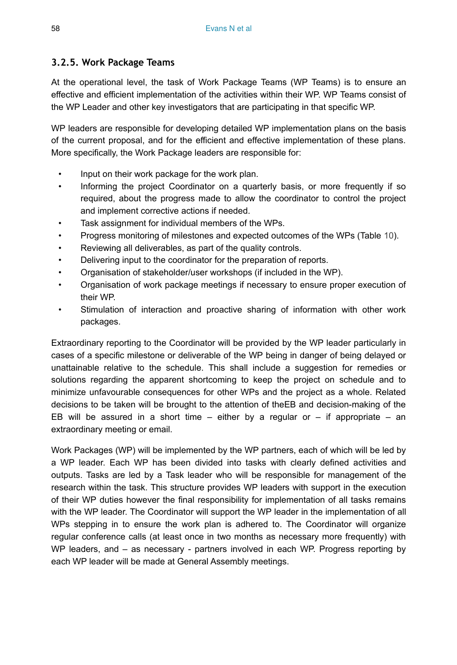### **3.2.5. Work Package Teams**

At the operational level, the task of Work Package Teams (WP Teams) is to ensure an effective and efficient implementation of the activities within their WP. WP Teams consist of the WP Leader and other key investigators that are participating in that specific WP.

WP leaders are responsible for developing detailed WP implementation plans on the basis of the current proposal, and for the efficient and effective implementation of these plans. More specifically, the Work Package leaders are responsible for:

- Input on their work package for the work plan.
- Informing the project Coordinator on a quarterly basis, or more frequently if so required, about the progress made to allow the coordinator to control the project and implement corrective actions if needed.
- Task assignment for individual members of the WPs.
- Progress monitoring of milestones and expected outcomes of the WPs (Table [10\)](#page-51-0).
- Reviewing all deliverables, as part of the quality controls.
- Delivering input to the coordinator for the preparation of reports.
- Organisation of stakeholder/user workshops (if included in the WP).
- Organisation of work package meetings if necessary to ensure proper execution of their WP.
- Stimulation of interaction and proactive sharing of information with other work packages.

Extraordinary reporting to the Coordinator will be provided by the WP leader particularly in cases of a specific milestone or deliverable of the WP being in danger of being delayed or unattainable relative to the schedule. This shall include a suggestion for remedies or solutions regarding the apparent shortcoming to keep the project on schedule and to minimize unfavourable consequences for other WPs and the project as a whole. Related decisions to be taken will be brought to the attention of theEB and decision-making of the EB will be assured in a short time  $-$  either by a regular or  $-$  if appropriate  $-$  an extraordinary meeting or email.

Work Packages (WP) will be implemented by the WP partners, each of which will be led by a WP leader. Each WP has been divided into tasks with clearly defined activities and outputs. Tasks are led by a Task leader who will be responsible for management of the research within the task. This structure provides WP leaders with support in the execution of their WP duties however the final responsibility for implementation of all tasks remains with the WP leader. The Coordinator will support the WP leader in the implementation of all WPs stepping in to ensure the work plan is adhered to. The Coordinator will organize regular conference calls (at least once in two months as necessary more frequently) with WP leaders, and – as necessary - partners involved in each WP. Progress reporting by each WP leader will be made at General Assembly meetings.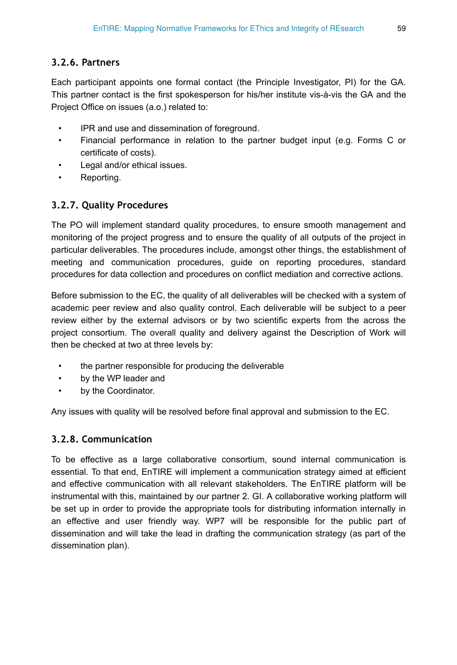# **3.2.6. Partners**

Each participant appoints one formal contact (the Principle Investigator, PI) for the GA. This partner contact is the first spokesperson for his/her institute vis-à-vis the GA and the Project Office on issues (a.o.) related to:

- IPR and use and dissemination of foreground.
- Financial performance in relation to the partner budget input (e.g. Forms C or certificate of costs).
- Legal and/or ethical issues.
- Reporting.

# **3.2.7. Quality Procedures**

The PO will implement standard quality procedures, to ensure smooth management and monitoring of the project progress and to ensure the quality of all outputs of the project in particular deliverables. The procedures include, amongst other things, the establishment of meeting and communication procedures, guide on reporting procedures, standard procedures for data collection and procedures on conflict mediation and corrective actions.

Before submission to the EC, the quality of all deliverables will be checked with a system of academic peer review and also quality control. Each deliverable will be subject to a peer review either by the external advisors or by two scientific experts from the across the project consortium. The overall quality and delivery against the Description of Work will then be checked at two at three levels by:

- the partner responsible for producing the deliverable
- by the WP leader and
- by the Coordinator.

Any issues with quality will be resolved before final approval and submission to the EC.

# **3.2.8. Communication**

To be effective as a large collaborative consortium, sound internal communication is essential. To that end, EnTIRE will implement a communication strategy aimed at efficient and effective communication with all relevant stakeholders. The EnTIRE platform will be instrumental with this, maintained by our partner 2. GI. A collaborative working platform will be set up in order to provide the appropriate tools for distributing information internally in an effective and user friendly way. WP7 will be responsible for the public part of dissemination and will take the lead in drafting the communication strategy (as part of the dissemination plan).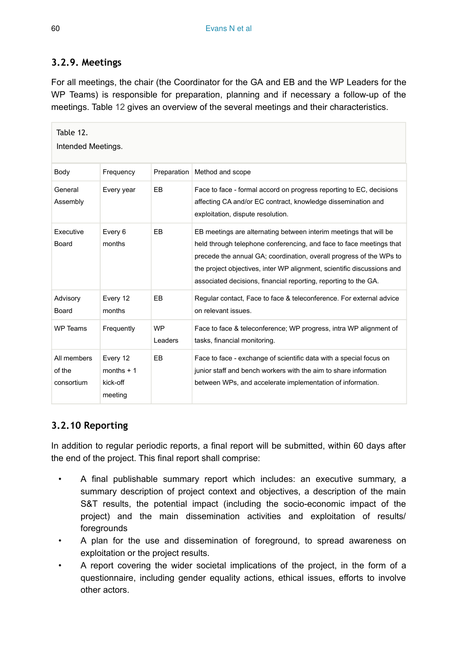# **3.2.9. Meetings**

For all meetings, the chair (the Coordinator for the GA and EB and the WP Leaders for the WP Teams) is responsible for preparation, planning and if necessary a follow-up of the meetings. Table [12](#page-59-0) gives an overview of the several meetings and their characteristics.

<span id="page-59-0"></span>

| Table 12.<br>Intended Meetings.     |                                                |                      |                                                                                                                                                                                                                                                                                                                                                              |  |  |  |
|-------------------------------------|------------------------------------------------|----------------------|--------------------------------------------------------------------------------------------------------------------------------------------------------------------------------------------------------------------------------------------------------------------------------------------------------------------------------------------------------------|--|--|--|
| Body                                | Frequency                                      |                      | Preparation   Method and scope                                                                                                                                                                                                                                                                                                                               |  |  |  |
| General<br>Assembly                 | Every year                                     | EB.                  | Face to face - formal accord on progress reporting to EC, decisions<br>affecting CA and/or EC contract, knowledge dissemination and<br>exploitation, dispute resolution.                                                                                                                                                                                     |  |  |  |
| Executive<br>Board                  | Every 6<br>months                              | EB.                  | EB meetings are alternating between interim meetings that will be<br>held through telephone conferencing, and face to face meetings that<br>precede the annual GA; coordination, overall progress of the WPs to<br>the project objectives, inter WP alignment, scientific discussions and<br>associated decisions, financial reporting, reporting to the GA. |  |  |  |
| Advisory<br>Board                   | Every 12<br>months                             | EB                   | Regular contact, Face to face & teleconference. For external advice<br>on relevant issues.                                                                                                                                                                                                                                                                   |  |  |  |
| <b>WP Teams</b>                     | Frequently                                     | <b>WP</b><br>Leaders | Face to face & teleconference; WP progress, intra WP alignment of<br>tasks, financial monitoring.                                                                                                                                                                                                                                                            |  |  |  |
| All members<br>of the<br>consortium | Every 12<br>months $+1$<br>kick-off<br>meeting | EB                   | Face to face - exchange of scientific data with a special focus on<br>junior staff and bench workers with the aim to share information<br>between WPs, and accelerate implementation of information.                                                                                                                                                         |  |  |  |

# **3.2.10 Reporting**

In addition to regular periodic reports, a final report will be submitted, within 60 days after the end of the project. This final report shall comprise:

- A final publishable summary report which includes: an executive summary, a summary description of project context and objectives, a description of the main S&T results, the potential impact (including the socio-economic impact of the project) and the main dissemination activities and exploitation of results/ foregrounds
- A plan for the use and dissemination of foreground, to spread awareness on exploitation or the project results.
- A report covering the wider societal implications of the project, in the form of a questionnaire, including gender equality actions, ethical issues, efforts to involve other actors.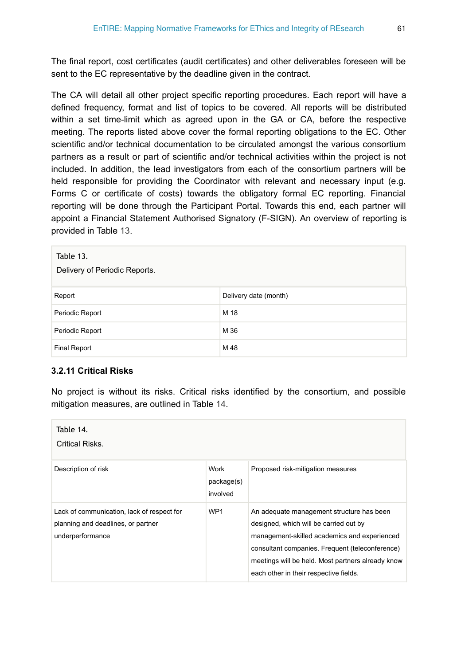The final report, cost certificates (audit certificates) and other deliverables foreseen will be sent to the EC representative by the deadline given in the contract.

The CA will detail all other project specific reporting procedures. Each report will have a defined frequency, format and list of topics to be covered. All reports will be distributed within a set time-limit which as agreed upon in the GA or CA, before the respective meeting. The reports listed above cover the formal reporting obligations to the EC. Other scientific and/or technical documentation to be circulated amongst the various consortium partners as a result or part of scientific and/or technical activities within the project is not included. In addition, the lead investigators from each of the consortium partners will be held responsible for providing the Coordinator with relevant and necessary input (e.g. Forms C or certificate of costs) towards the obligatory formal EC reporting. Financial reporting will be done through the Participant Portal. Towards this end, each partner will appoint a Financial Statement Authorised Signatory (F-SIGN). An overview of reporting is provided in Table [13.](#page-60-0)

<span id="page-60-0"></span>

| Table 13.<br>Delivery of Periodic Reports. |                       |  |  |
|--------------------------------------------|-----------------------|--|--|
| Report                                     | Delivery date (month) |  |  |
| Periodic Report                            | M 18                  |  |  |
| Periodic Report                            | M 36                  |  |  |
| <b>Final Report</b>                        | M 48                  |  |  |

#### **3.2.11 Critical Risks**

No project is without its risks. Critical risks identified by the consortium, and possible mitigation measures, are outlined in Table [14.](#page-60-1)

<span id="page-60-1"></span>

| Table 14.<br><b>Critical Risks.</b>                                                                  |                                |                                                                                                                                                                                                                                                                                       |
|------------------------------------------------------------------------------------------------------|--------------------------------|---------------------------------------------------------------------------------------------------------------------------------------------------------------------------------------------------------------------------------------------------------------------------------------|
| Description of risk                                                                                  | Work<br>package(s)<br>involved | Proposed risk-mitigation measures                                                                                                                                                                                                                                                     |
| Lack of communication, lack of respect for<br>planning and deadlines, or partner<br>underperformance | WP <sub>1</sub>                | An adequate management structure has been<br>designed, which will be carried out by<br>management-skilled academics and experienced<br>consultant companies. Frequent (teleconference)<br>meetings will be held. Most partners already know<br>each other in their respective fields. |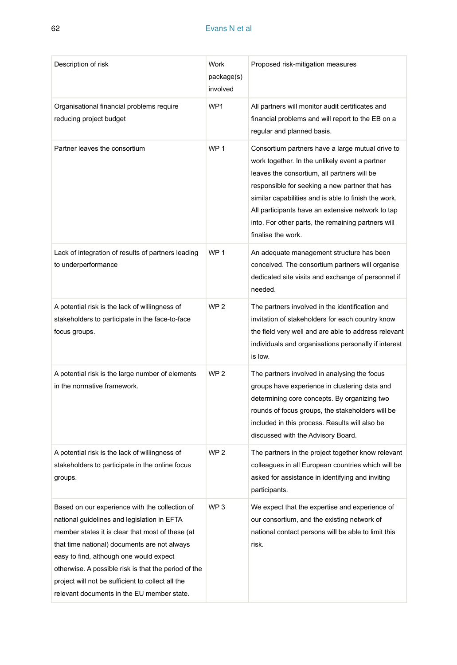| Description of risk                                                                                                                                                                                                                                                                                                                                                                                     | Work<br>package(s)<br>involved | Proposed risk-mitigation measures                                                                                                                                                                                                                                                                                                                                                            |
|---------------------------------------------------------------------------------------------------------------------------------------------------------------------------------------------------------------------------------------------------------------------------------------------------------------------------------------------------------------------------------------------------------|--------------------------------|----------------------------------------------------------------------------------------------------------------------------------------------------------------------------------------------------------------------------------------------------------------------------------------------------------------------------------------------------------------------------------------------|
| Organisational financial problems require<br>reducing project budget                                                                                                                                                                                                                                                                                                                                    | WP1                            | All partners will monitor audit certificates and<br>financial problems and will report to the EB on a<br>regular and planned basis.                                                                                                                                                                                                                                                          |
| Partner leaves the consortium                                                                                                                                                                                                                                                                                                                                                                           | WP <sub>1</sub>                | Consortium partners have a large mutual drive to<br>work together. In the unlikely event a partner<br>leaves the consortium, all partners will be<br>responsible for seeking a new partner that has<br>similar capabilities and is able to finish the work.<br>All participants have an extensive network to tap<br>into. For other parts, the remaining partners will<br>finalise the work. |
| Lack of integration of results of partners leading<br>to underperformance                                                                                                                                                                                                                                                                                                                               | WP <sub>1</sub>                | An adequate management structure has been<br>conceived. The consortium partners will organise<br>dedicated site visits and exchange of personnel if<br>needed.                                                                                                                                                                                                                               |
| A potential risk is the lack of willingness of<br>stakeholders to participate in the face-to-face<br>focus groups.                                                                                                                                                                                                                                                                                      | WP <sub>2</sub>                | The partners involved in the identification and<br>invitation of stakeholders for each country know<br>the field very well and are able to address relevant<br>individuals and organisations personally if interest<br>is low.                                                                                                                                                               |
| A potential risk is the large number of elements<br>in the normative framework.                                                                                                                                                                                                                                                                                                                         | WP <sub>2</sub>                | The partners involved in analysing the focus<br>groups have experience in clustering data and<br>determining core concepts. By organizing two<br>rounds of focus groups, the stakeholders will be<br>included in this process. Results will also be<br>discussed with the Advisory Board.                                                                                                    |
| A potential risk is the lack of willingness of<br>stakeholders to participate in the online focus<br>groups.                                                                                                                                                                                                                                                                                            | WP <sub>2</sub>                | The partners in the project together know relevant<br>colleagues in all European countries which will be<br>asked for assistance in identifying and inviting<br>participants.                                                                                                                                                                                                                |
| Based on our experience with the collection of<br>national guidelines and legislation in EFTA<br>member states it is clear that most of these (at<br>that time national) documents are not always<br>easy to find, although one would expect<br>otherwise. A possible risk is that the period of the<br>project will not be sufficient to collect all the<br>relevant documents in the EU member state. | WP <sub>3</sub>                | We expect that the expertise and experience of<br>our consortium, and the existing network of<br>national contact persons will be able to limit this<br>risk.                                                                                                                                                                                                                                |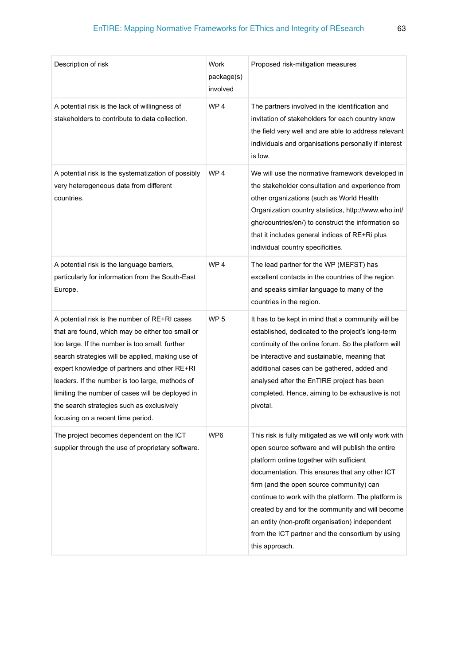| Description of risk                                                                                                                                                                                                                                                                                                                                                                                                                              | Work<br>package(s)<br>involved | Proposed risk-mitigation measures                                                                                                                                                                                                                                                                                                                                                                                                                                                        |
|--------------------------------------------------------------------------------------------------------------------------------------------------------------------------------------------------------------------------------------------------------------------------------------------------------------------------------------------------------------------------------------------------------------------------------------------------|--------------------------------|------------------------------------------------------------------------------------------------------------------------------------------------------------------------------------------------------------------------------------------------------------------------------------------------------------------------------------------------------------------------------------------------------------------------------------------------------------------------------------------|
| A potential risk is the lack of willingness of<br>stakeholders to contribute to data collection.                                                                                                                                                                                                                                                                                                                                                 | WP <sub>4</sub>                | The partners involved in the identification and<br>invitation of stakeholders for each country know<br>the field very well and are able to address relevant<br>individuals and organisations personally if interest<br>is low.                                                                                                                                                                                                                                                           |
| A potential risk is the systematization of possibly<br>very heterogeneous data from different<br>countries.                                                                                                                                                                                                                                                                                                                                      | WP <sub>4</sub>                | We will use the normative framework developed in<br>the stakeholder consultation and experience from<br>other organizations (such as World Health<br>Organization country statistics, http://www.who.int/<br>gho/countries/en/) to construct the information so<br>that it includes general indices of RE+Ri plus<br>individual country specificities.                                                                                                                                   |
| A potential risk is the language barriers,<br>particularly for information from the South-East<br>Europe.                                                                                                                                                                                                                                                                                                                                        | WP <sub>4</sub>                | The lead partner for the WP (MEFST) has<br>excellent contacts in the countries of the region<br>and speaks similar language to many of the<br>countries in the region.                                                                                                                                                                                                                                                                                                                   |
| A potential risk is the number of RE+RI cases<br>that are found, which may be either too small or<br>too large. If the number is too small, further<br>search strategies will be applied, making use of<br>expert knowledge of partners and other RE+RI<br>leaders. If the number is too large, methods of<br>limiting the number of cases will be deployed in<br>the search strategies such as exclusively<br>focusing on a recent time period. | WP <sub>5</sub>                | It has to be kept in mind that a community will be<br>established, dedicated to the project's long-term<br>continuity of the online forum. So the platform will<br>be interactive and sustainable, meaning that<br>additional cases can be gathered, added and<br>analysed after the EnTIRE project has been<br>completed. Hence, aiming to be exhaustive is not<br>pivotal.                                                                                                             |
| The project becomes dependent on the ICT<br>supplier through the use of proprietary software.                                                                                                                                                                                                                                                                                                                                                    | WP6                            | This risk is fully mitigated as we will only work with<br>open source software and will publish the entire<br>platform online together with sufficient<br>documentation. This ensures that any other ICT<br>firm (and the open source community) can<br>continue to work with the platform. The platform is<br>created by and for the community and will become<br>an entity (non-profit organisation) independent<br>from the ICT partner and the consortium by using<br>this approach. |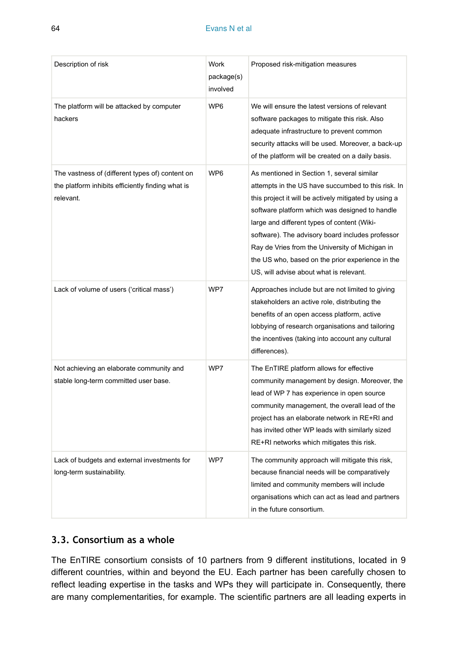| Description of risk                                                                                               | Work<br>package(s)<br>involved | Proposed risk-mitigation measures                                                                                                                                                                                                                                                                                                                                                                                                                                |
|-------------------------------------------------------------------------------------------------------------------|--------------------------------|------------------------------------------------------------------------------------------------------------------------------------------------------------------------------------------------------------------------------------------------------------------------------------------------------------------------------------------------------------------------------------------------------------------------------------------------------------------|
| The platform will be attacked by computer<br>hackers                                                              | WP6                            | We will ensure the latest versions of relevant<br>software packages to mitigate this risk. Also<br>adequate infrastructure to prevent common<br>security attacks will be used. Moreover, a back-up<br>of the platform will be created on a daily basis.                                                                                                                                                                                                          |
| The vastness of (different types of) content on<br>the platform inhibits efficiently finding what is<br>relevant. | WP6                            | As mentioned in Section 1, several similar<br>attempts in the US have succumbed to this risk. In<br>this project it will be actively mitigated by using a<br>software platform which was designed to handle<br>large and different types of content (Wiki-<br>software). The advisory board includes professor<br>Ray de Vries from the University of Michigan in<br>the US who, based on the prior experience in the<br>US, will advise about what is relevant. |
| Lack of volume of users ('critical mass')                                                                         | WP7                            | Approaches include but are not limited to giving<br>stakeholders an active role, distributing the<br>benefits of an open access platform, active<br>lobbying of research organisations and tailoring<br>the incentives (taking into account any cultural<br>differences).                                                                                                                                                                                        |
| Not achieving an elaborate community and<br>stable long-term committed user base.                                 | WP7                            | The EnTIRE platform allows for effective<br>community management by design. Moreover, the<br>lead of WP 7 has experience in open source<br>community management, the overall lead of the<br>project has an elaborate network in RE+RI and<br>has invited other WP leads with similarly sized<br>RE+RI networks which mitigates this risk.                                                                                                                        |
| Lack of budgets and external investments for<br>long-term sustainability.                                         | WP7                            | The community approach will mitigate this risk,<br>because financial needs will be comparatively<br>limited and community members will include<br>organisations which can act as lead and partners<br>in the future consortium.                                                                                                                                                                                                                                  |

# **3.3. Consortium as a whole**

The EnTIRE consortium consists of 10 partners from 9 different institutions, located in 9 different countries, within and beyond the EU. Each partner has been carefully chosen to reflect leading expertise in the tasks and WPs they will participate in. Consequently, there are many complementarities, for example. The scientific partners are all leading experts in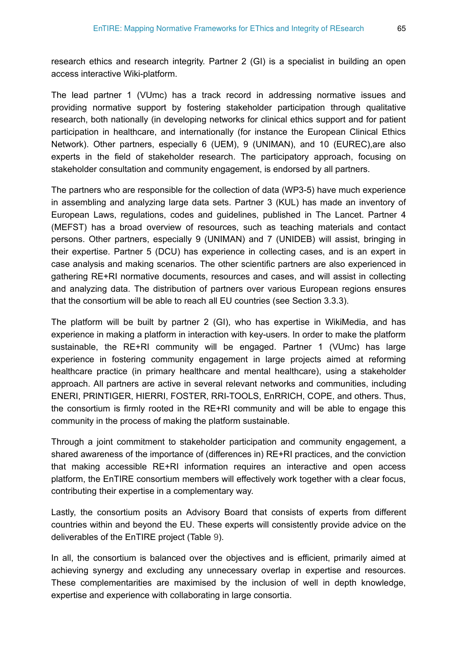research ethics and research integrity. Partner 2 (GI) is a specialist in building an open access interactive Wiki-platform.

The lead partner 1 (VUmc) has a track record in addressing normative issues and providing normative support by fostering stakeholder participation through qualitative research, both nationally (in developing networks for clinical ethics support and for patient participation in healthcare, and internationally (for instance the European Clinical Ethics Network). Other partners, especially 6 (UEM), 9 (UNIMAN), and 10 (EUREC),are also experts in the field of stakeholder research. The participatory approach, focusing on stakeholder consultation and community engagement, is endorsed by all partners.

The partners who are responsible for the collection of data (WP3-5) have much experience in assembling and analyzing large data sets. Partner 3 (KUL) has made an inventory of European Laws, regulations, codes and guidelines, published in The Lancet. Partner 4 (MEFST) has a broad overview of resources, such as teaching materials and contact persons. Other partners, especially 9 (UNIMAN) and 7 (UNIDEB) will assist, bringing in their expertise. Partner 5 (DCU) has experience in collecting cases, and is an expert in case analysis and making scenarios. The other scientific partners are also experienced in gathering RE+RI normative documents, resources and cases, and will assist in collecting and analyzing data. The distribution of partners over various European regions ensures that the consortium will be able to reach all EU countries (see Section 3.3.3).

The platform will be built by partner 2 (GI), who has expertise in WikiMedia, and has experience in making a platform in interaction with key-users. In order to make the platform sustainable, the RE+RI community will be engaged. Partner 1 (VUmc) has large experience in fostering community engagement in large projects aimed at reforming healthcare practice (in primary healthcare and mental healthcare), using a stakeholder approach. All partners are active in several relevant networks and communities, including ENERI, PRINTIGER, HIERRI, FOSTER, RRI-TOOLS, EnRRICH, COPE, and others. Thus, the consortium is firmly rooted in the RE+RI community and will be able to engage this community in the process of making the platform sustainable.

Through a joint commitment to stakeholder participation and community engagement, a shared awareness of the importance of (differences in) RE+RI practices, and the conviction that making accessible RE+RI information requires an interactive and open access platform, the EnTIRE consortium members will effectively work together with a clear focus, contributing their expertise in a complementary way.

Lastly, the consortium posits an Advisory Board that consists of experts from different countries within and beyond the EU. These experts will consistently provide advice on the deliverables of the EnTIRE project (Table [9\)](#page-48-0).

In all, the consortium is balanced over the objectives and is efficient, primarily aimed at achieving synergy and excluding any unnecessary overlap in expertise and resources. These complementarities are maximised by the inclusion of well in depth knowledge, expertise and experience with collaborating in large consortia.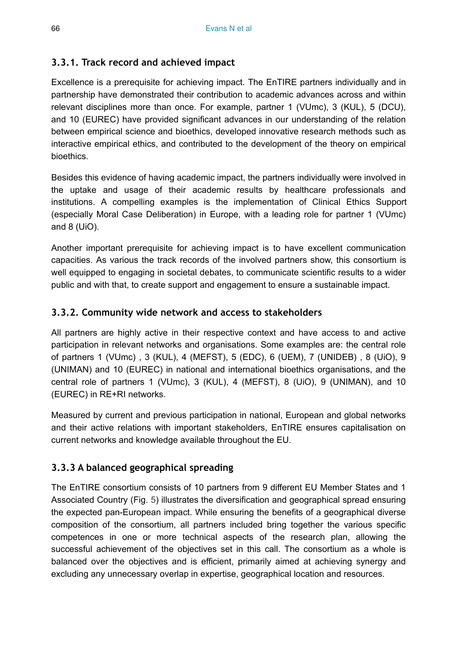# **3.3.1. Track record and achieved impact**

Excellence is a prerequisite for achieving impact. The EnTIRE partners individually and in partnership have demonstrated their contribution to academic advances across and within relevant disciplines more than once. For example, partner 1 (VUmc), 3 (KUL), 5 (DCU), and 10 (EUREC) have provided significant advances in our understanding of the relation between empirical science and bioethics, developed innovative research methods such as interactive empirical ethics, and contributed to the development of the theory on empirical bioethics.

Besides this evidence of having academic impact, the partners individually were involved in the uptake and usage of their academic results by healthcare professionals and institutions. A compelling examples is the implementation of Clinical Ethics Support (especially Moral Case Deliberation) in Europe, with a leading role for partner 1 (VUmc) and 8 (UiO).

Another important prerequisite for achieving impact is to have excellent communication capacities. As various the track records of the involved partners show, this consortium is well equipped to engaging in societal debates, to communicate scientific results to a wider public and with that, to create support and engagement to ensure a sustainable impact.

# **3.3.2. Community wide network and access to stakeholders**

All partners are highly active in their respective context and have access to and active participation in relevant networks and organisations. Some examples are: the central role of partners 1 (VUmc) , 3 (KUL), 4 (MEFST), 5 (EDC), 6 (UEM), 7 (UNIDEB) , 8 (UiO), 9 (UNIMAN) and 10 (EUREC) in national and international bioethics organisations, and the central role of partners 1 (VUmc), 3 (KUL), 4 (MEFST), 8 (UiO), 9 (UNIMAN), and 10 (EUREC) in RE+RI networks.

Measured by current and previous participation in national, European and global networks and their active relations with important stakeholders, EnTIRE ensures capitalisation on current networks and knowledge available throughout the EU.

# **3.3.3 A balanced geographical spreading**

The EnTIRE consortium consists of 10 partners from 9 different EU Member States and 1 Associated Country (Fig. [5](#page-66-4)) illustrates the diversification and geographical spread ensuring the expected pan-European impact. While ensuring the benefits of a geographical diverse composition of the consortium, all partners included bring together the various specific competences in one or more technical aspects of the research plan, allowing the successful achievement of the objectives set in this call. The consortium as a whole is balanced over the objectives and is efficient, primarily aimed at achieving synergy and excluding any unnecessary overlap in expertise, geographical location and resources.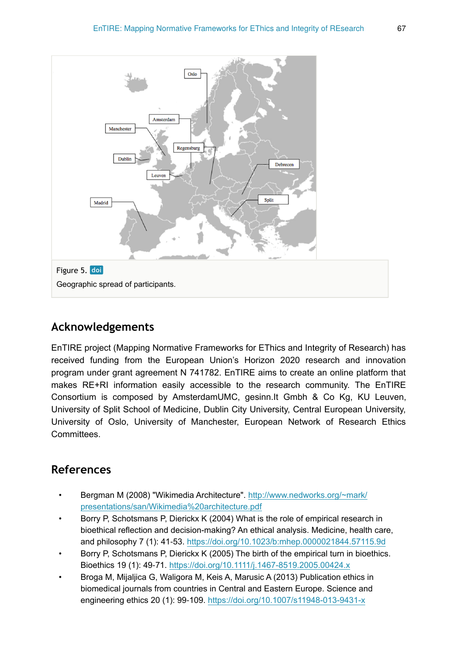<span id="page-66-4"></span>

# **Acknowledgements**

EnTIRE project (Mapping Normative Frameworks for EThics and Integrity of Research) has received funding from the European Union's Horizon 2020 research and innovation program under grant agreement N 741782. EnTIRE aims to create an online platform that makes RE+RI information easily accessible to the research community. The EnTIRE Consortium is composed by AmsterdamUMC, gesinn.It Gmbh & Co Kg, KU Leuven, University of Split School of Medicine, Dublin City University, Central European University, University of Oslo, University of Manchester, European Network of Research Ethics Committees.

# **References**

- <span id="page-66-3"></span>• Bergman M (2008) "Wikimedia Architecture". [http://www.nedworks.org/~mark/](http://www.nedworks.org/~mark/presentations/san/Wikimedia%20architecture.pdf) [presentations/san/Wikimedia%20architecture.pdf](http://www.nedworks.org/~mark/presentations/san/Wikimedia%20architecture.pdf)
- <span id="page-66-1"></span>• Borry P, Schotsmans P, Dierickx K (2004) What is the role of empirical research in bioethical reflection and decision-making? An ethical analysis. Medicine, health care, and philosophy 7 (1): 41‑53.<https://doi.org/10.1023/b:mhep.0000021844.57115.9d>
- <span id="page-66-0"></span>• Borry P, Schotsmans P, Dierickx K (2005) The birth of the empirical turn in bioethics. Bioethics 19 (1): 49‑71.<https://doi.org/10.1111/j.1467-8519.2005.00424.x>
- <span id="page-66-2"></span>• Broga M, Mijaljica G, Waligora M, Keis A, Marusic A (2013) Publication ethics in biomedical journals from countries in Central and Eastern Europe. Science and engineering ethics 20 (1): 99‑109. <https://doi.org/10.1007/s11948-013-9431-x>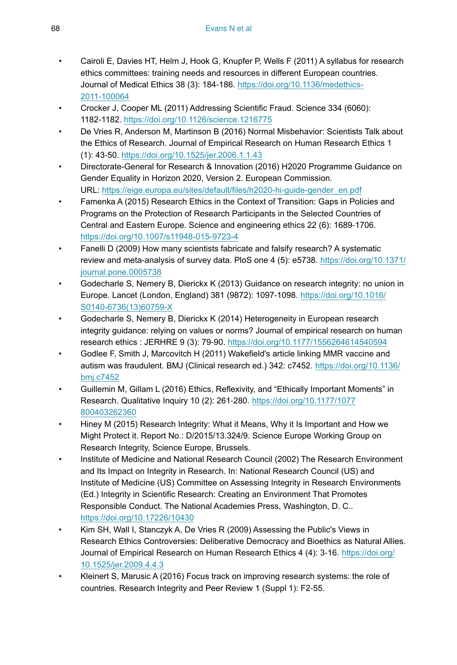- <span id="page-67-13"></span>• Cairoli E, Davies HT, Helm J, Hook G, Knupfer P, Wells F (2011) A syllabus for research ethics committees: training needs and resources in different European countries. Journal of Medical Ethics 38 (3): 184‑186. [https://doi.org/10.1136/medethics-](https://doi.org/10.1136/medethics-2011-100064)[2011-100064](https://doi.org/10.1136/medethics-2011-100064)
- <span id="page-67-1"></span>• Crocker J, Cooper ML (2011) Addressing Scientific Fraud. Science 334 (6060): 1182‑1182. <https://doi.org/10.1126/science.1216775>
- <span id="page-67-5"></span>• De Vries R, Anderson M, Martinson B (2016) Normal Misbehavior: Scientists Talk about the Ethics of Research. Journal of Empirical Research on Human Research Ethics 1 (1): 43‑50.<https://doi.org/10.1525/jer.2006.1.1.43>
- <span id="page-67-11"></span>• Directorate-General for Research & Innovation (2016) H2020 Programme Guidance on Gender Equality in Horizon 2020, Version 2. European Commission. URL: [https://eige.europa.eu/sites/default/files/h2020-hi-guide-gender\\_en.pdf](https://eige.europa.eu/sites/default/files/h2020-hi-guide-gender_en.pdf)
- <span id="page-67-12"></span>• Famenka A (2015) Research Ethics in the Context of Transition: Gaps in Policies and Programs on the Protection of Research Participants in the Selected Countries of Central and Eastern Europe. Science and engineering ethics 22 (6): 1689‑1706. <https://doi.org/10.1007/s11948-015-9723-4>
- <span id="page-67-9"></span>• Fanelli D (2009) How many scientists fabricate and falsify research? A systematic review and meta-analysis of survey data. PloS one 4 (5): e5738. [https://doi.org/10.1371/](https://doi.org/10.1371/journal.pone.0005738) [journal.pone.0005738](https://doi.org/10.1371/journal.pone.0005738)
- <span id="page-67-3"></span>• Godecharle S, Nemery B, Dierickx K (2013) Guidance on research integrity: no union in Europe. Lancet (London, England) 381 (9872): 1097‑1098. [https://doi.org/10.1016/](https://doi.org/10.1016/S0140-6736(13)60759-X) [S0140-6736\(13\)60759-X](https://doi.org/10.1016/S0140-6736(13)60759-X)
- <span id="page-67-2"></span>• Godecharle S, Nemery B, Dierickx K (2014) Heterogeneity in European research integrity guidance: relying on values or norms? Journal of empirical research on human research ethics : JERHRE 9 (3): 79-90. <https://doi.org/10.1177/1556264614540594>
- <span id="page-67-0"></span>• Godlee F, Smith J, Marcovitch H (2011) Wakefield's article linking MMR vaccine and autism was fraudulent. BMJ (Clinical research ed.) 342: c7452. [https://doi.org/10.1136/](https://doi.org/10.1136/bmj.c7452) [bmj.c7452](https://doi.org/10.1136/bmj.c7452)
- <span id="page-67-10"></span>• Guillemin M, Gillam L (2016) Ethics, Reflexivity, and "Ethically Important Moments" in Research. Qualitative Inquiry 10 (2): 261‑280. [https://doi.org/10.1177/1077](https://doi.org/10.1177/1077800403262360) [800403262360](https://doi.org/10.1177/1077800403262360)
- <span id="page-67-6"></span>• Hiney M (2015) Research Integrity: What it Means, Why it Is Important and How we Might Protect it. Report No.: D/2015/13.324/9. Science Europe Working Group on Research Integrity, Science Europe, Brussels.
- <span id="page-67-7"></span>• Institute of Medicine and National Research Council (2002) The Research Environment and Its Impact on Integrity in Research. In: National Research Council (US) and Institute of Medicine (US) Committee on Assessing Integrity in Research Environments (Ed.) Integrity in Scientific Research: Creating an Environment That Promotes Responsible Conduct. The National Academies Press, Washington, D. C.. <https://doi.org/10.17226/10430>
- <span id="page-67-4"></span>• Kim SH, Wall I, Stanczyk A, De Vries R (2009) Assessing the Public's Views in Research Ethics Controversies: Deliberative Democracy and Bioethics as Natural Allies. Journal of Empirical Research on Human Research Ethics 4 (4): 3‑16. [https://doi.org/](https://doi.org/10.1525/jer.2009.4.4.3) [10.1525/jer.2009.4.4.3](https://doi.org/10.1525/jer.2009.4.4.3)
- <span id="page-67-8"></span>• Kleinert S, Marusic A (2016) Focus track on improving research systems: the role of countries. Research Integrity and Peer Review 1 (Suppl 1): F2‑55.